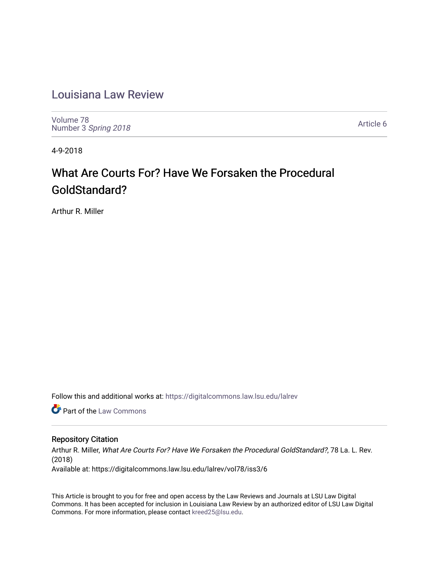# [Louisiana Law Review](https://digitalcommons.law.lsu.edu/lalrev)

[Volume 78](https://digitalcommons.law.lsu.edu/lalrev/vol78) Number 3 [Spring 2018](https://digitalcommons.law.lsu.edu/lalrev/vol78/iss3) 

[Article 6](https://digitalcommons.law.lsu.edu/lalrev/vol78/iss3/6) 

4-9-2018

# What Are Courts For? Have We Forsaken the Procedural GoldStandard?

Arthur R. Miller

Follow this and additional works at: [https://digitalcommons.law.lsu.edu/lalrev](https://digitalcommons.law.lsu.edu/lalrev?utm_source=digitalcommons.law.lsu.edu%2Flalrev%2Fvol78%2Fiss3%2F6&utm_medium=PDF&utm_campaign=PDFCoverPages)

**Part of the [Law Commons](http://network.bepress.com/hgg/discipline/578?utm_source=digitalcommons.law.lsu.edu%2Flalrev%2Fvol78%2Fiss3%2F6&utm_medium=PDF&utm_campaign=PDFCoverPages)** 

### Repository Citation

Arthur R. Miller, What Are Courts For? Have We Forsaken the Procedural GoldStandard?, 78 La. L. Rev. (2018) Available at: https://digitalcommons.law.lsu.edu/lalrev/vol78/iss3/6

This Article is brought to you for free and open access by the Law Reviews and Journals at LSU Law Digital Commons. It has been accepted for inclusion in Louisiana Law Review by an authorized editor of LSU Law Digital Commons. For more information, please contact [kreed25@lsu.edu](mailto:kreed25@lsu.edu).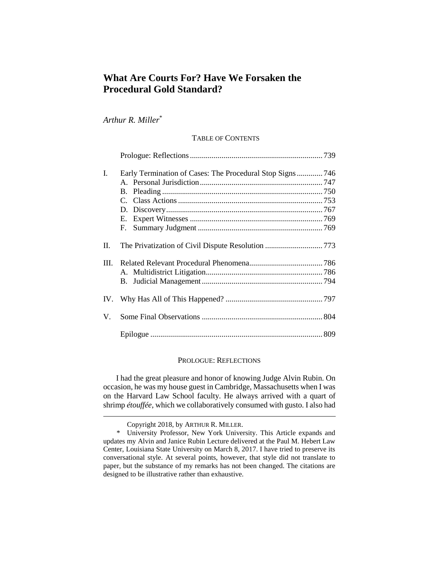## **What Are Courts For? Have We Forsaken the Procedural Gold Standard?**

*Arthur R. Miller*\*

#### TABLE OF CONTENTS

| I. |    |  |
|----|----|--|
|    |    |  |
|    |    |  |
|    |    |  |
|    |    |  |
|    |    |  |
|    | F. |  |
| П. |    |  |
|    |    |  |
|    |    |  |
|    |    |  |
|    |    |  |
|    |    |  |
|    |    |  |

#### PROLOGUE: REFLECTIONS

I had the great pleasure and honor of knowing Judge Alvin Rubin. On occasion, he was my house guest in Cambridge, Massachusetts when I was on the Harvard Law School faculty. He always arrived with a quart of shrimp *étouffée*, which we collaboratively consumed with gusto. I also had

Copyright 2018, by ARTHUR R. MILLER.

<sup>\*</sup> University Professor, New York University. This Article expands and updates my Alvin and Janice Rubin Lecture delivered at the Paul M. Hebert Law Center, Louisiana State University on March 8, 2017. I have tried to preserve its conversational style. At several points, however, that style did not translate to paper, but the substance of my remarks has not been changed. The citations are designed to be illustrative rather than exhaustive.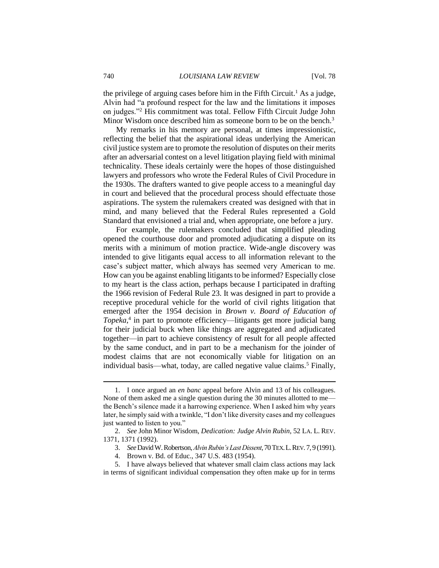the privilege of arguing cases before him in the Fifth Circuit.<sup>1</sup> As a judge, Alvin had "a profound respect for the law and the limitations it imposes on judges."<sup>2</sup> His commitment was total. Fellow Fifth Circuit Judge John Minor Wisdom once described him as someone born to be on the bench.<sup>3</sup>

My remarks in his memory are personal, at times impressionistic, reflecting the belief that the aspirational ideas underlying the American civil justice system are to promote the resolution of disputes on their merits after an adversarial contest on a level litigation playing field with minimal technicality. These ideals certainly were the hopes of those distinguished lawyers and professors who wrote the Federal Rules of Civil Procedure in the 1930s. The drafters wanted to give people access to a meaningful day in court and believed that the procedural process should effectuate those aspirations. The system the rulemakers created was designed with that in mind, and many believed that the Federal Rules represented a Gold Standard that envisioned a trial and, when appropriate, one before a jury.

For example, the rulemakers concluded that simplified pleading opened the courthouse door and promoted adjudicating a dispute on its merits with a minimum of motion practice. Wide-angle discovery was intended to give litigants equal access to all information relevant to the case's subject matter, which always has seemed very American to me. How can you be against enabling litigants to be informed? Especially close to my heart is the class action, perhaps because I participated in drafting the 1966 revision of Federal Rule 23. It was designed in part to provide a receptive procedural vehicle for the world of civil rights litigation that emerged after the 1954 decision in *Brown v. Board of Education of Topeka*, 4 in part to promote efficiency—litigants get more judicial bang for their judicial buck when like things are aggregated and adjudicated together—in part to achieve consistency of result for all people affected by the same conduct, and in part to be a mechanism for the joinder of modest claims that are not economically viable for litigation on an individual basis—what, today, are called negative value claims.<sup>5</sup> Finally,

<sup>1.</sup> I once argued an *en banc* appeal before Alvin and 13 of his colleagues. None of them asked me a single question during the 30 minutes allotted to me the Bench's silence made it a harrowing experience. When I asked him why years later, he simply said with a twinkle, "I don't like diversity cases and my colleagues just wanted to listen to you."

<sup>2.</sup> *See* John Minor Wisdom, *Dedication: Judge Alvin Rubin*, 52 LA. L. REV. 1371, 1371 (1992).

<sup>3.</sup> *See*David W. Robertson,*Alvin Rubin's Last Dissent*, 70 TEX.L.REV.7, 9 (1991).

<sup>4.</sup> Brown v. Bd. of Educ., 347 U.S. 483 (1954).

<sup>5.</sup> I have always believed that whatever small claim class actions may lack in terms of significant individual compensation they often make up for in terms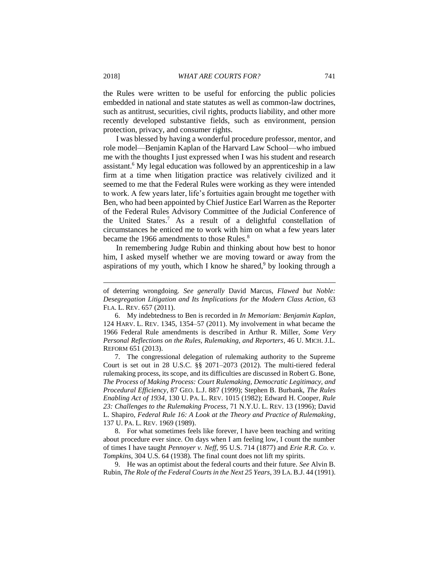the Rules were written to be useful for enforcing the public policies embedded in national and state statutes as well as common-law doctrines, such as antitrust, securities, civil rights, products liability, and other more recently developed substantive fields, such as environment, pension protection, privacy, and consumer rights.

I was blessed by having a wonderful procedure professor, mentor, and role model—Benjamin Kaplan of the Harvard Law School—who imbued me with the thoughts I just expressed when I was his student and research assistant.<sup>6</sup> My legal education was followed by an apprenticeship in a law firm at a time when litigation practice was relatively civilized and it seemed to me that the Federal Rules were working as they were intended to work. A few years later, life's fortuities again brought me together with Ben, who had been appointed by Chief Justice Earl Warren as the Reporter of the Federal Rules Advisory Committee of the Judicial Conference of the United States.<sup>7</sup> As a result of a delightful constellation of circumstances he enticed me to work with him on what a few years later became the 1966 amendments to those Rules.<sup>8</sup>

In remembering Judge Rubin and thinking about how best to honor him, I asked myself whether we are moving toward or away from the aspirations of my youth, which I know he shared,<sup>9</sup> by looking through a

7. The congressional delegation of rulemaking authority to the Supreme Court is set out in 28 U.S.C. §§ 2071–2073 (2012). The multi-tiered federal rulemaking process, its scope, and its difficulties are discussed in Robert G. Bone, *The Process of Making Process: Court Rulemaking, Democratic Legitimacy, and Procedural Efficiency*, 87 GEO. L.J. 887 (1999); Stephen B. Burbank, *The Rules Enabling Act of 1934*, 130 U. PA. L. REV. 1015 (1982); Edward H. Cooper, *Rule 23: Challenges to the Rulemaking Process*, 71 N.Y.U. L. REV. 13 (1996); David L. Shapiro, *Federal Rule 16: A Look at the Theory and Practice of Rulemaking*, 137 U. PA. L. REV. 1969 (1989).

8. For what sometimes feels like forever, I have been teaching and writing about procedure ever since. On days when I am feeling low, I count the number of times I have taught *Pennoyer v. Neff*, 95 U.S. 714 (1877) and *Erie R.R. Co. v. Tompkins*, 304 U.S. 64 (1938). The final count does not lift my spirits.

9. He was an optimist about the federal courts and their future. *See* Alvin B. Rubin, *The Role of the Federal Courts in the Next 25 Years*, 39 LA. B.J. 44 (1991).

of deterring wrongdoing. *See generally* David Marcus, *Flawed but Noble: Desegregation Litigation and Its Implications for the Modern Class Action*, 63 FLA. L. REV. 657 (2011).

<sup>6.</sup> My indebtedness to Ben is recorded in *In Memoriam: Benjamin Kaplan*, 124 HARV. L. REV. 1345, 1354–57 (2011). My involvement in what became the 1966 Federal Rule amendments is described in Arthur R. Miller, *Some Very Personal Reflections on the Rules, Rulemaking, and Reporters*, 46 U. MICH. J.L. REFORM 651 (2013).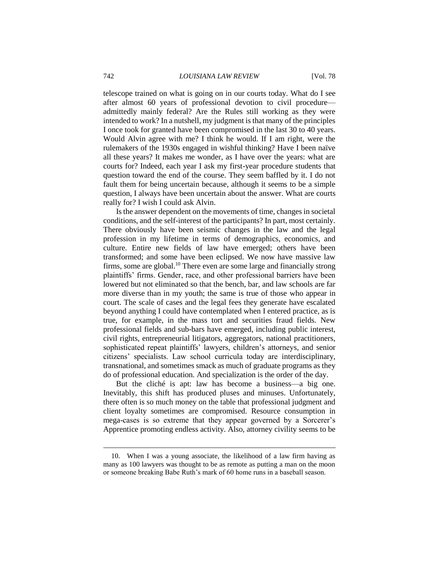telescope trained on what is going on in our courts today. What do I see after almost 60 years of professional devotion to civil procedure admittedly mainly federal? Are the Rules still working as they were intended to work? In a nutshell, my judgment is that many of the principles I once took for granted have been compromised in the last 30 to 40 years. Would Alvin agree with me? I think he would. If I am right, were the rulemakers of the 1930s engaged in wishful thinking? Have I been naïve all these years? It makes me wonder, as I have over the years: what are courts for? Indeed, each year I ask my first-year procedure students that question toward the end of the course. They seem baffled by it. I do not fault them for being uncertain because, although it seems to be a simple question, I always have been uncertain about the answer. What are courts really for? I wish I could ask Alvin.

Is the answer dependent on the movements of time, changes in societal conditions, and the self-interest of the participants? In part, most certainly. There obviously have been seismic changes in the law and the legal profession in my lifetime in terms of demographics, economics, and culture. Entire new fields of law have emerged; others have been transformed; and some have been eclipsed. We now have massive law firms, some are global.<sup>10</sup> There even are some large and financially strong plaintiffs' firms. Gender, race, and other professional barriers have been lowered but not eliminated so that the bench, bar, and law schools are far more diverse than in my youth; the same is true of those who appear in court. The scale of cases and the legal fees they generate have escalated beyond anything I could have contemplated when I entered practice, as is true, for example, in the mass tort and securities fraud fields. New professional fields and sub-bars have emerged, including public interest, civil rights, entrepreneurial litigators, aggregators, national practitioners, sophisticated repeat plaintiffs' lawyers, children's attorneys, and senior citizens' specialists. Law school curricula today are interdisciplinary, transnational, and sometimes smack as much of graduate programs as they do of professional education. And specialization is the order of the day.

But the cliché is apt: law has become a business—a big one. Inevitably, this shift has produced pluses and minuses. Unfortunately, there often is so much money on the table that professional judgment and client loyalty sometimes are compromised. Resource consumption in mega-cases is so extreme that they appear governed by a Sorcerer's Apprentice promoting endless activity. Also, attorney civility seems to be

<sup>10.</sup> When I was a young associate, the likelihood of a law firm having as many as 100 lawyers was thought to be as remote as putting a man on the moon or someone breaking Babe Ruth's mark of 60 home runs in a baseball season.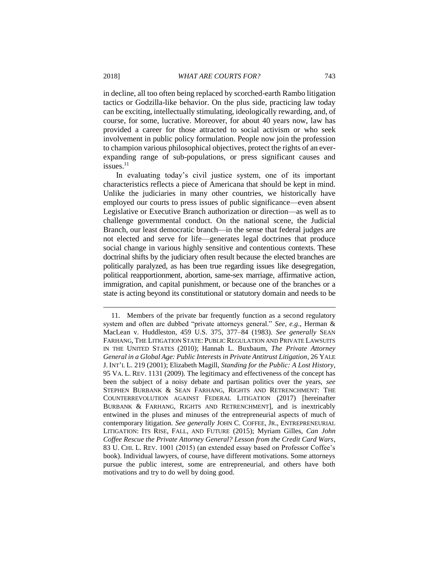in decline, all too often being replaced by scorched-earth Rambo litigation tactics or Godzilla-like behavior. On the plus side, practicing law today can be exciting, intellectually stimulating, ideologically rewarding, and, of course, for some, lucrative. Moreover, for about 40 years now, law has provided a career for those attracted to social activism or who seek involvement in public policy formulation. People now join the profession to champion various philosophical objectives, protect the rights of an everexpanding range of sub-populations, or press significant causes and issues. 11

In evaluating today's civil justice system, one of its important characteristics reflects a piece of Americana that should be kept in mind. Unlike the judiciaries in many other countries, we historically have employed our courts to press issues of public significance—even absent Legislative or Executive Branch authorization or direction—as well as to challenge governmental conduct. On the national scene, the Judicial Branch, our least democratic branch—in the sense that federal judges are not elected and serve for life—generates legal doctrines that produce social change in various highly sensitive and contentious contexts. These doctrinal shifts by the judiciary often result because the elected branches are politically paralyzed, as has been true regarding issues like desegregation, political reapportionment, abortion, same-sex marriage, affirmative action, immigration, and capital punishment, or because one of the branches or a state is acting beyond its constitutional or statutory domain and needs to be

<sup>11.</sup> Members of the private bar frequently function as a second regulatory system and often are dubbed "private attorneys general." *See, e.g*., Herman & MacLean v. Huddleston, 459 U.S. 375, 377–84 (1983). *See generally* SEAN FARHANG, THE LITIGATION STATE: PUBLIC REGULATION AND PRIVATE LAWSUITS IN THE UNITED STATES (2010); Hannah L. Buxbaum, *The Private Attorney General in a Global Age: Public Interests in Private Antitrust Litigation*, 26 YALE J. INT'L L. 219 (2001); Elizabeth Magill, *Standing for the Public: A Lost History*, 95 VA. L. REV. 1131 (2009). The legitimacy and effectiveness of the concept has been the subject of a noisy debate and partisan politics over the years, *see* STEPHEN BURBANK & SEAN FARHANG, RIGHTS AND RETRENCHMENT: THE COUNTERREVOLUTION AGAINST FEDERAL LITIGATION (2017) [hereinafter BURBANK & FARHANG, RIGHTS AND RETRENCHMENT], and is inextricably entwined in the pluses and minuses of the entrepreneurial aspects of much of contemporary litigation. *See generally* JOHN C. COFFEE, JR., ENTREPRENEURIAL LITIGATION: ITS RISE, FALL, AND FUTURE (2015); Myriam Gilles, *Can John Coffee Rescue the Private Attorney General? Lesson from the Credit Card Wars*, 83 U. CHI. L. REV. 1001 (2015) (an extended essay based on Professor Coffee's book). Individual lawyers, of course, have different motivations. Some attorneys pursue the public interest, some are entrepreneurial, and others have both motivations and try to do well by doing good.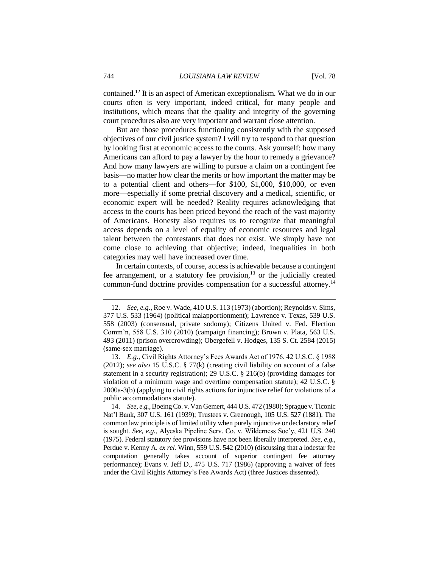contained.<sup>12</sup> It is an aspect of American exceptionalism. What we do in our courts often is very important, indeed critical, for many people and institutions, which means that the quality and integrity of the governing court procedures also are very important and warrant close attention.

But are those procedures functioning consistently with the supposed objectives of our civil justice system? I will try to respond to that question by looking first at economic access to the courts. Ask yourself: how many Americans can afford to pay a lawyer by the hour to remedy a grievance? And how many lawyers are willing to pursue a claim on a contingent fee basis—no matter how clear the merits or how important the matter may be to a potential client and others—for \$100, \$1,000, \$10,000, or even more—especially if some pretrial discovery and a medical, scientific, or economic expert will be needed? Reality requires acknowledging that access to the courts has been priced beyond the reach of the vast majority of Americans. Honesty also requires us to recognize that meaningful access depends on a level of equality of economic resources and legal talent between the contestants that does not exist. We simply have not come close to achieving that objective; indeed, inequalities in both categories may well have increased over time.

In certain contexts, of course, access is achievable because a contingent fee arrangement, or a statutory fee provision, $13$  or the judicially created common-fund doctrine provides compensation for a successful attorney.<sup>14</sup>

<sup>12.</sup> *See, e.g.*, Roe v. Wade, 410 U.S. 113 (1973) (abortion); Reynolds v. Sims, 377 U.S. 533 (1964) (political malapportionment); Lawrence v. Texas, 539 U.S. 558 (2003) (consensual, private sodomy); Citizens United v. Fed. Election Comm'n, 558 U.S. 310 (2010) (campaign financing); Brown v. Plata, 563 U.S. 493 (2011) (prison overcrowding); Obergefell v. Hodges, 135 S. Ct. 2584 (2015) (same-sex marriage).

<sup>13.</sup> *E.g.*, Civil Rights Attorney's Fees Awards Act of 1976, 42 U.S.C. § 1988 (2012); *see also* 15 U.S.C. § 77(k) (creating civil liability on account of a false statement in a security registration); 29 U.S.C. § 216(b) (providing damages for violation of a minimum wage and overtime compensation statute); 42 U.S.C. § 2000a-3(b) (applying to civil rights actions for injunctive relief for violations of a public accommodations statute).

<sup>14.</sup> *See, e.g.*, Boeing Co. v. Van Gemert, 444 U.S. 472 (1980); Sprague v. Ticonic Nat'l Bank, 307 U.S. 161 (1939); Trustees v. Greenough, 105 U.S. 527 (1881). The common law principle is of limited utility when purely injunctive or declaratory relief is sought. *See, e.g.*, Alyeska Pipeline Serv. Co. v. Wilderness Soc'y, 421 U.S. 240 (1975). Federal statutory fee provisions have not been liberally interpreted. *See, e.g.*, Perdue v. Kenny A. *ex rel.* Winn, 559 U.S. 542 (2010) (discussing that a lodestar fee computation generally takes account of superior contingent fee attorney performance); Evans v. Jeff D., 475 U.S. 717 (1986) (approving a waiver of fees under the Civil Rights Attorney's Fee Awards Act) (three Justices dissented).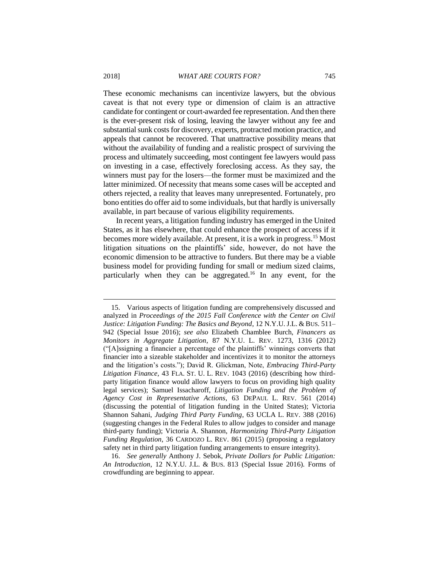These economic mechanisms can incentivize lawyers, but the obvious caveat is that not every type or dimension of claim is an attractive candidate for contingent or court-awarded fee representation. And then there is the ever-present risk of losing, leaving the lawyer without any fee and substantial sunk costs for discovery, experts, protracted motion practice, and appeals that cannot be recovered. That unattractive possibility means that without the availability of funding and a realistic prospect of surviving the process and ultimately succeeding, most contingent fee lawyers would pass on investing in a case, effectively foreclosing access. As they say, the winners must pay for the losers—the former must be maximized and the latter minimized. Of necessity that means some cases will be accepted and others rejected, a reality that leaves many unrepresented. Fortunately, pro bono entities do offer aid to some individuals, but that hardly is universally available, in part because of various eligibility requirements.

In recent years, a litigation funding industry has emerged in the United States, as it has elsewhere, that could enhance the prospect of access if it becomes more widely available. At present, it is a work in progress.<sup>15</sup> Most litigation situations on the plaintiffs' side, however, do not have the economic dimension to be attractive to funders. But there may be a viable business model for providing funding for small or medium sized claims, particularly when they can be aggregated.<sup>16</sup> In any event, for the

16. *See generally* Anthony J. Sebok, *Private Dollars for Public Litigation: An Introduction*, 12 N.Y.U. J.L. & BUS. 813 (Special Issue 2016). Forms of crowdfunding are beginning to appear.

<sup>15.</sup> Various aspects of litigation funding are comprehensively discussed and analyzed in *Proceedings of the 2015 Fall Conference with the Center on Civil Justice: Litigation Funding: The Basics and Beyond*, 12 N.Y.U. J.L. & BUS. 511– 942 (Special Issue 2016); *see also* Elizabeth Chamblee Burch, *Financers as Monitors in Aggregate Litigation*, 87 N.Y.U. L. REV. 1273, 1316 (2012) ("[A]ssigning a financier a percentage of the plaintiffs' winnings converts that financier into a sizeable stakeholder and incentivizes it to monitor the attorneys and the litigation's costs."); David R. Glickman, Note, *Embracing Third-Party Litigation Finance*, 43 FLA. ST. U. L. REV. 1043 (2016) (describing how thirdparty litigation finance would allow lawyers to focus on providing high quality legal services); Samuel Issacharoff, *Litigation Funding and the Problem of Agency Cost in Representative Actions*, 63 DEPAUL L. REV. 561 (2014) (discussing the potential of litigation funding in the United States); Victoria Shannon Sahani, *Judging Third Party Funding*, 63 UCLA L. REV. 388 (2016) (suggesting changes in the Federal Rules to allow judges to consider and manage third-party funding); Victoria A. Shannon, *Harmonizing Third-Party Litigation Funding Regulation*, 36 CARDOZO L. REV. 861 (2015) (proposing a regulatory safety net in third party litigation funding arrangements to ensure integrity).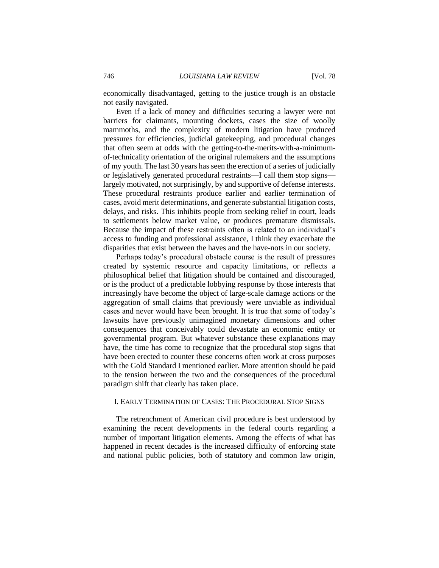economically disadvantaged, getting to the justice trough is an obstacle not easily navigated.

Even if a lack of money and difficulties securing a lawyer were not barriers for claimants, mounting dockets, cases the size of woolly mammoths, and the complexity of modern litigation have produced pressures for efficiencies, judicial gatekeeping, and procedural changes that often seem at odds with the getting-to-the-merits-with-a-minimumof-technicality orientation of the original rulemakers and the assumptions of my youth. The last 30 years has seen the erection of a series of judicially or legislatively generated procedural restraints—I call them stop signs largely motivated, not surprisingly, by and supportive of defense interests. These procedural restraints produce earlier and earlier termination of cases, avoid merit determinations, and generate substantial litigation costs, delays, and risks. This inhibits people from seeking relief in court, leads to settlements below market value, or produces premature dismissals. Because the impact of these restraints often is related to an individual's access to funding and professional assistance, I think they exacerbate the disparities that exist between the haves and the have-nots in our society.

Perhaps today's procedural obstacle course is the result of pressures created by systemic resource and capacity limitations, or reflects a philosophical belief that litigation should be contained and discouraged, or is the product of a predictable lobbying response by those interests that increasingly have become the object of large-scale damage actions or the aggregation of small claims that previously were unviable as individual cases and never would have been brought. It is true that some of today's lawsuits have previously unimagined monetary dimensions and other consequences that conceivably could devastate an economic entity or governmental program. But whatever substance these explanations may have, the time has come to recognize that the procedural stop signs that have been erected to counter these concerns often work at cross purposes with the Gold Standard I mentioned earlier. More attention should be paid to the tension between the two and the consequences of the procedural paradigm shift that clearly has taken place.

#### I. EARLY TERMINATION OF CASES: THE PROCEDURAL STOP SIGNS

The retrenchment of American civil procedure is best understood by examining the recent developments in the federal courts regarding a number of important litigation elements. Among the effects of what has happened in recent decades is the increased difficulty of enforcing state and national public policies, both of statutory and common law origin,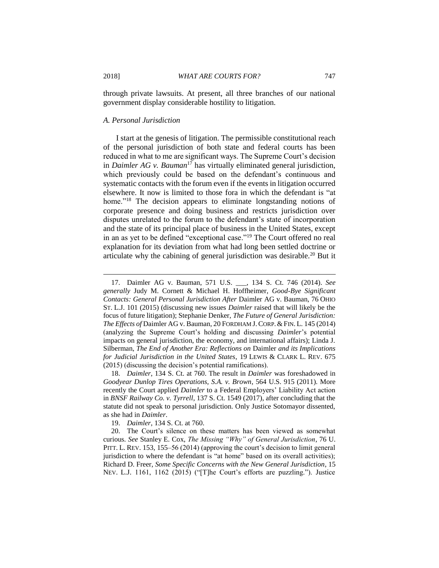through private lawsuits. At present, all three branches of our national government display considerable hostility to litigation.

#### *A. Personal Jurisdiction*

I start at the genesis of litigation. The permissible constitutional reach of the personal jurisdiction of both state and federal courts has been reduced in what to me are significant ways. The Supreme Court's decision in *Daimler AG v. Bauman*<sup>17</sup> has virtually eliminated general jurisdiction, which previously could be based on the defendant's continuous and systematic contacts with the forum even if the events in litigation occurred elsewhere. It now is limited to those fora in which the defendant is "at home."<sup>18</sup> The decision appears to eliminate longstanding notions of corporate presence and doing business and restricts jurisdiction over disputes unrelated to the forum to the defendant's state of incorporation and the state of its principal place of business in the United States, except in an as yet to be defined "exceptional case."<sup>19</sup> The Court offered no real explanation for its deviation from what had long been settled doctrine or articulate why the cabining of general jurisdiction was desirable.<sup>20</sup> But it

<sup>17.</sup> Daimler AG v. Bauman, 571 U.S. \_\_\_, 134 S. Ct. 746 (2014). *See generally* Judy M. Cornett & Michael H. Hoffheimer, *Good-Bye Significant Contacts: General Personal Jurisdiction After* Daimler AG v. Bauman, 76 OHIO ST. L.J. 101 (2015) (discussing new issues *Daimler* raised that will likely be the focus of future litigation); Stephanie Denker, *The Future of General Jurisdiction: The Effects of* Daimler AG v. Bauman, 20 FORDHAM J.CORP.&FIN. L. 145 (2014) (analyzing the Supreme Court's holding and discussing *Daimler*'s potential impacts on general jurisdiction, the economy, and international affairs); Linda J. Silberman, *The End of Another Era: Reflections on* Daimler *and its Implications for Judicial Jurisdiction in the United States*, 19 LEWIS & CLARK L. REV. 675 (2015) (discussing the decision's potential ramifications).

<sup>18.</sup> *Daimler*, 134 S. Ct. at 760. The result in *Daimler* was foreshadowed in *Goodyear Dunlop Tires Operations, S.A. v. Brown*, 564 U.S. 915 (2011). More recently the Court applied *Daimler* to a Federal Employers' Liability Act action in *BNSF Railway Co. v. Tyrrell*, 137 S. Ct. 1549 (2017), after concluding that the statute did not speak to personal jurisdiction. Only Justice Sotomayor dissented, as she had in *Daimler*.

<sup>19.</sup> *Daimler*, 134 S. Ct. at 760.

<sup>20.</sup> The Court's silence on these matters has been viewed as somewhat curious. *See* Stanley E. Cox, *The Missing "Why" of General Jurisdiction*, 76 U. PITT. L. REV. 153, 155–56 (2014) (approving the court's decision to limit general jurisdiction to where the defendant is "at home" based on its overall activities); Richard D. Freer, *Some Specific Concerns with the New General Jurisdiction*, 15 NEV. L.J. 1161, 1162 (2015) ("[T]he Court's efforts are puzzling."). Justice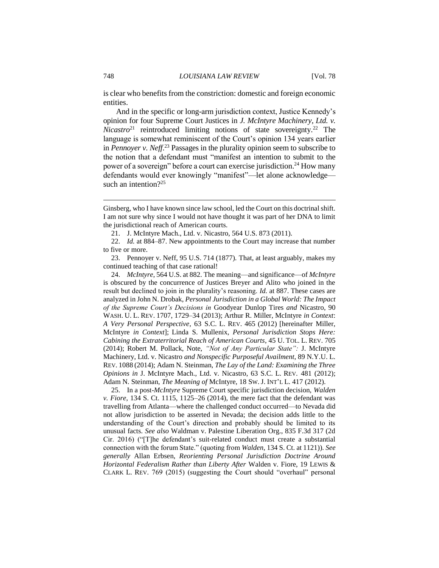is clear who benefits from the constriction: domestic and foreign economic entities.

And in the specific or long-arm jurisdiction context, Justice Kennedy's opinion for four Supreme Court Justices in *J. McIntyre Machinery, Ltd. v. Nicastro*<sup>21</sup> reintroduced limiting notions of state sovereignty.<sup>22</sup> The language is somewhat reminiscent of the Court's opinion 134 years earlier in *Pennoyer v. Neff*. <sup>23</sup> Passages in the plurality opinion seem to subscribe to the notion that a defendant must "manifest an intention to submit to the power of a sovereign" before a court can exercise jurisdiction.<sup>24</sup> How many defendants would ever knowingly "manifest"—let alone acknowledge such an intention? $25$ 

24. *McIntyre*, 564 U.S. at 882. The meaning—and significance—of *McIntyre* is obscured by the concurrence of Justices Breyer and Alito who joined in the result but declined to join in the plurality's reasoning. *Id.* at 887. These cases are analyzed in John N. Drobak, *Personal Jurisdiction in a Global World: The Impact of the Supreme Court's Decisions in* Goodyear Dunlop Tires *and* Nicastro, 90 WASH. U. L. REV. 1707, 1729–34 (2013); Arthur R. Miller, McIntyre *in Context*: *A Very Personal Perspective*, 63 S.C. L. REV. 465 (2012) [hereinafter Miller, McIntyre *in Context*]; Linda S. Mullenix, *Personal Jurisdiction Stops Here: Cabining the Extraterritorial Reach of American Courts*, 45 U. TOL. L. REV. 705 (2014); Robert M. Pollack, Note, *"Not of Any Particular State":* J. McIntyre Machinery, Ltd. v. Nicastro *and Nonspecific Purposeful Availment*, 89 N.Y.U. L. REV. 1088 (2014); Adam N. Steinman, *The Lay of the Land: Examining the Three Opinions in* J. McIntyre Mach., Ltd. v. Nicastro, 63 S.C. L. REV. 481 (2012); Adam N. Steinman, *The Meaning of* McIntyre, 18 SW. J. INT'L L. 417 (2012).

25. In a post-*McIntyre* Supreme Court specific jurisdiction decision, *Walden v. Fiore*, 134 S. Ct. 1115, 1125–26 (2014), the mere fact that the defendant was travelling from Atlanta—where the challenged conduct occurred—to Nevada did not allow jurisdiction to be asserted in Nevada; the decision adds little to the understanding of the Court's direction and probably should be limited to its unusual facts. *See also* Waldman v. Palestine Liberation Org., 835 F.3d 317 (2d Cir. 2016) ("[T]he defendant's suit-related conduct must create a substantial connection with the forum State." (quoting from *Walden*, 134 S. Ct. at 1121)). *See generally* Allan Erbsen, *Reorienting Personal Jurisdiction Doctrine Around Horizontal Federalism Rather than Liberty After* Walden v. Fiore, 19 LEWIS & CLARK L. REV. 769 (2015) (suggesting the Court should "overhaul" personal

Ginsberg, who I have known since law school, led the Court on this doctrinal shift. I am not sure why since I would not have thought it was part of her DNA to limit the jurisdictional reach of American courts.

<sup>21.</sup> J. McIntyre Mach., Ltd. v. Nicastro, 564 U.S. 873 (2011).

<sup>22.</sup> *Id.* at 884–87. New appointments to the Court may increase that number to five or more.

<sup>23.</sup> Pennoyer v. Neff, 95 U.S. 714 (1877). That, at least arguably, makes my continued teaching of that case rational!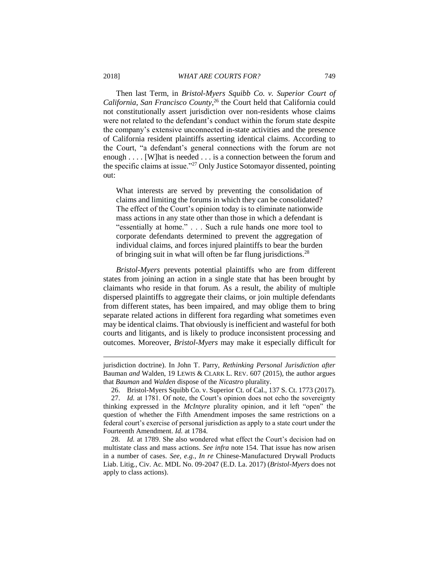Then last Term, in *Bristol-Myers Squibb Co. v. Superior Court of California*, *San Francisco County*, <sup>26</sup> the Court held that California could not constitutionally assert jurisdiction over non-residents whose claims were not related to the defendant's conduct within the forum state despite the company's extensive unconnected in-state activities and the presence of California resident plaintiffs asserting identical claims. According to the Court, "a defendant's general connections with the forum are not enough . . . . [W] hat is needed . . . is a connection between the forum and the specific claims at issue."<sup>27</sup> Only Justice Sotomayor dissented, pointing out:

What interests are served by preventing the consolidation of claims and limiting the forums in which they can be consolidated? The effect of the Court's opinion today is to eliminate nationwide mass actions in any state other than those in which a defendant is "essentially at home." . . . Such a rule hands one more tool to corporate defendants determined to prevent the aggregation of individual claims, and forces injured plaintiffs to bear the burden of bringing suit in what will often be far flung jurisdictions.<sup>28</sup>

*Bristol-Myers* prevents potential plaintiffs who are from different states from joining an action in a single state that has been brought by claimants who reside in that forum. As a result, the ability of multiple dispersed plaintiffs to aggregate their claims, or join multiple defendants from different states, has been impaired, and may oblige them to bring separate related actions in different fora regarding what sometimes even may be identical claims. That obviously is inefficient and wasteful for both courts and litigants, and is likely to produce inconsistent processing and outcomes. Moreover, *Bristol-Myers* may make it especially difficult for

jurisdiction doctrine). In John T. Parry, *Rethinking Personal Jurisdiction after*  Bauman *and* Walden, 19 LEWIS & CLARK L. REV. 607 (2015), the author argues that *Bauman* and *Walden* dispose of the *Nicastro* plurality.

<sup>26.</sup> Bristol-Myers Squibb Co. v. Superior Ct. of Cal., 137 S. Ct. 1773 (2017).

<sup>27.</sup> *Id.* at 1781. Of note, the Court's opinion does not echo the sovereignty thinking expressed in the *McIntyre* plurality opinion, and it left "open" the question of whether the Fifth Amendment imposes the same restrictions on a federal court's exercise of personal jurisdiction as apply to a state court under the Fourteenth Amendment. *Id.* at 1784.

<sup>28.</sup> *Id.* at 1789. She also wondered what effect the Court's decision had on multistate class and mass actions. *See infra* note 154. That issue has now arisen in a number of cases. *See, e.g.*, *In re* Chinese-Manufactured Drywall Products Liab. Litig., Civ. Ac. MDL No. 09-2047 (E.D. La. 2017) (*Bristol-Myers* does not apply to class actions).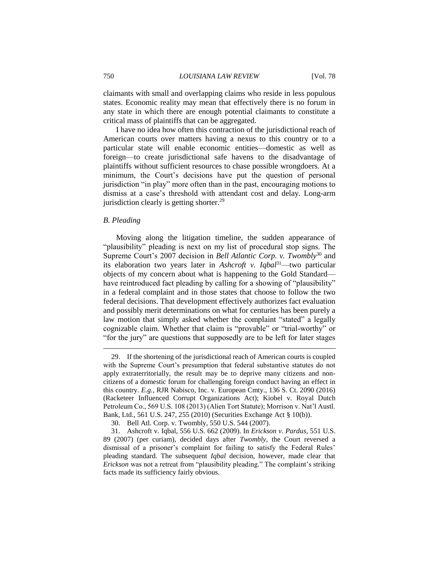claimants with small and overlapping claims who reside in less populous states. Economic reality may mean that effectively there is no forum in any state in which there are enough potential claimants to constitute a critical mass of plaintiffs that can be aggregated.

I have no idea how often this contraction of the jurisdictional reach of American courts over matters having a nexus to this country or to a particular state will enable economic entities—domestic as well as foreign—to create jurisdictional safe havens to the disadvantage of plaintiffs without sufficient resources to chase possible wrongdoers. At a minimum, the Court's decisions have put the question of personal jurisdiction "in play" more often than in the past, encouraging motions to dismiss at a case's threshold with attendant cost and delay. Long-arm jurisdiction clearly is getting shorter.<sup>29</sup>

#### *B. Pleading*

 $\overline{a}$ 

Moving along the litigation timeline, the sudden appearance of "plausibility" pleading is next on my list of procedural stop signs. The Supreme Court's 2007 decision in *Bell Atlantic Corp. v. Twombly*<sup>30</sup> and its elaboration two years later in *Ashcroft v. Iqbal*<sup>31</sup>—two particular objects of my concern about what is happening to the Gold Standard have reintroduced fact pleading by calling for a showing of "plausibility" in a federal complaint and in those states that choose to follow the two federal decisions. That development effectively authorizes fact evaluation and possibly merit determinations on what for centuries has been purely a law motion that simply asked whether the complaint "stated" a legally cognizable claim. Whether that claim is "provable" or "trial-worthy" or "for the jury" are questions that supposedly are to be left for later stages

<sup>29.</sup> If the shortening of the jurisdictional reach of American courts is coupled with the Supreme Court's presumption that federal substantive statutes do not apply extraterritorially, the result may be to deprive many citizens and noncitizens of a domestic forum for challenging foreign conduct having an effect in this country. *E.g.*, RJR Nabisco, Inc. v. European Cmty., 136 S. Ct. 2090 (2016) (Racketeer Influenced Corrupt Organizations Act); Kiobel v. Royal Dutch Petroleum Co., 569 U.S. 108 (2013) (Alien Tort Statute); Morrison v. Nat'l Austl. Bank, Ltd., 561 U.S. 247, 255 (2010) (Securities Exchange Act § 10(b)).

<sup>30.</sup> Bell Atl. Corp. v. Twombly, 550 U.S. 544 (2007).

<sup>31.</sup> Ashcroft v. Iqbal, 556 U.S. 662 (2009). In *Erickson v. Pardus*, 551 U.S. 89 (2007) (per curiam), decided days after *Twombly*, the Court reversed a dismissal of a prisoner's complaint for failing to satisfy the Federal Rules' pleading standard. The subsequent *Iqbal* decision, however, made clear that *Erickson* was not a retreat from "plausibility pleading." The complaint's striking facts made its sufficiency fairly obvious.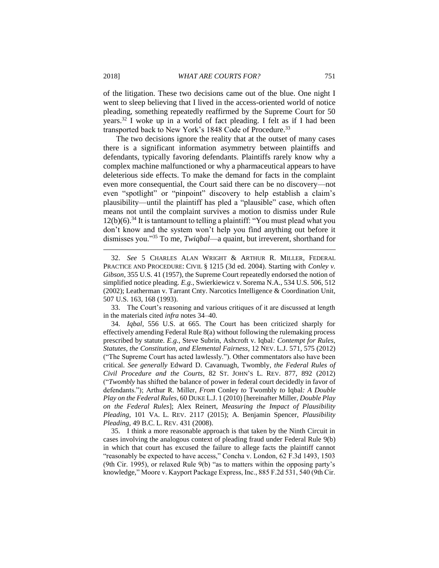of the litigation. These two decisions came out of the blue. One night I went to sleep believing that I lived in the access-oriented world of notice pleading, something repeatedly reaffirmed by the Supreme Court for 50 years.<sup>32</sup> I woke up in a world of fact pleading. I felt as if I had been transported back to New York's 1848 Code of Procedure.<sup>33</sup>

The two decisions ignore the reality that at the outset of many cases there is a significant information asymmetry between plaintiffs and defendants, typically favoring defendants. Plaintiffs rarely know why a complex machine malfunctioned or why a pharmaceutical appears to have deleterious side effects. To make the demand for facts in the complaint even more consequential, the Court said there can be no discovery—not even "spotlight" or "pinpoint" discovery to help establish a claim's plausibility—until the plaintiff has pled a "plausible" case, which often means not until the complaint survives a motion to dismiss under Rule  $12(b)(6)$ .<sup>34</sup> It is tantamount to telling a plaintiff: "You must plead what you don't know and the system won't help you find anything out before it dismisses you."<sup>35</sup> To me, *Twiqbal*—a quaint, but irreverent, shorthand for

33. The Court's reasoning and various critiques of it are discussed at length in the materials cited *infra* notes 34–40.

34. *Iqbal*, 556 U.S. at 665. The Court has been criticized sharply for effectively amending Federal Rule 8(a) without following the rulemaking process prescribed by statute. *E.g.*, Steve Subrin, Ashcroft v. Iqbal*: Contempt for Rules, Statutes, the Constitution, and Elemental Fairness*, 12 NEV. L.J. 571, 575 (2012) ("The Supreme Court has acted lawlessly."). Other commentators also have been critical. *See generally* Edward D. Cavanuagh, Twombly*, the Federal Rules of Civil Procedure and the Courts*, 82 ST. JOHN'S L. REV. 877, 892 (2012) ("*Twombly* has shifted the balance of power in federal court decidedly in favor of defendants."); Arthur R. Miller, *From* Conley *to* Twombly *to* Iqbal*: A Double Play on the Federal Rules*, 60 DUKE L.J. 1 (2010) [hereinafter Miller, *Double Play on the Federal Rules*]; Alex Reinert, *Measuring the Impact of Plausibility Pleading*, 101 VA. L. REV. 2117 (2015); A. Benjamin Spencer, *Plausibility Pleading*, 49 B.C. L. REV. 431 (2008).

35. I think a more reasonable approach is that taken by the Ninth Circuit in cases involving the analogous context of pleading fraud under Federal Rule 9(b) in which that court has excused the failure to allege facts the plaintiff cannot "reasonably be expected to have access," Concha v. London, 62 F.3d 1493, 1503 (9th Cir. 1995), or relaxed Rule 9(b) "as to matters within the opposing party's knowledge," Moore v. Kayport Package Express, Inc., 885 F.2d 531, 540 (9th Cir.

<sup>32.</sup> *See* 5 CHARLES ALAN WRIGHT & ARTHUR R. MILLER, FEDERAL PRACTICE AND PROCEDURE: CIVIL § 1215 (3d ed. 2004). Starting with *Conley v. Gibson*, 355 U.S. 41 (1957), the Supreme Court repeatedly endorsed the notion of simplified notice pleading. *E.g.*, Swierkiewicz v. Sorema N.A., 534 U.S. 506, 512 (2002); Leatherman v. Tarrant Cnty. Narcotics Intelligence & Coordination Unit, 507 U.S. 163, 168 (1993).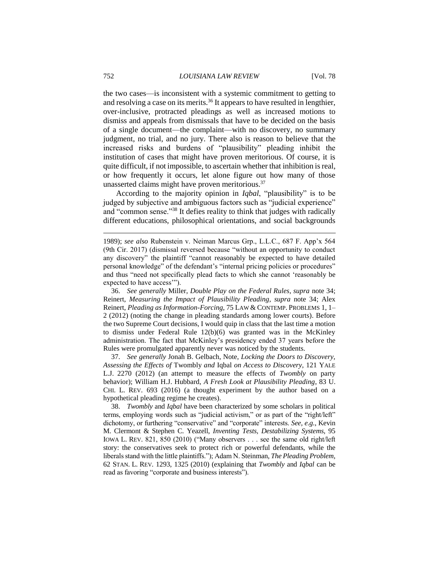the two cases—is inconsistent with a systemic commitment to getting to and resolving a case on its merits.<sup>36</sup> It appears to have resulted in lengthier, over-inclusive, protracted pleadings as well as increased motions to dismiss and appeals from dismissals that have to be decided on the basis of a single document—the complaint—with no discovery, no summary judgment, no trial, and no jury. There also is reason to believe that the increased risks and burdens of "plausibility" pleading inhibit the institution of cases that might have proven meritorious. Of course, it is quite difficult, if not impossible, to ascertain whether that inhibition is real, or how frequently it occurs, let alone figure out how many of those unasserted claims might have proven meritorious.<sup>37</sup>

According to the majority opinion in *Iqbal*, "plausibility" is to be judged by subjective and ambiguous factors such as "judicial experience" and "common sense."<sup>38</sup> It defies reality to think that judges with radically different educations, philosophical orientations, and social backgrounds

36. *See generally* Miller, *Double Play on the Federal Rules, supra* note 34; Reinert, *Measuring the Impact of Plausibility Pleading*, *supra* note 34; Alex Reinert, *Pleading as Information-Forcing*, 75 LAW & CONTEMP. PROBLEMS 1, 1– 2 (2012) (noting the change in pleading standards among lower courts). Before the two Supreme Court decisions, I would quip in class that the last time a motion to dismiss under Federal Rule 12(b)(6) was granted was in the McKinley administration. The fact that McKinley's presidency ended 37 years before the Rules were promulgated apparently never was noticed by the students.

37. *See generally* Jonah B. Gelbach, Note, *Locking the Doors to Discovery, Assessing the Effects of* Twombly *and* Iqbal *on Access to Discovery*, 121 YALE L.J. 2270 (2012) (an attempt to measure the effects of *Twombly* on party behavior); William H.J. Hubbard, *A Fresh Look at Plausibility Pleading*, 83 U. CHI. L. REV. 693 (2016) (a thought experiment by the author based on a hypothetical pleading regime he creates).

38. *Twombly* and *Iqbal* have been characterized by some scholars in political terms, employing words such as "judicial activism," or as part of the "right/left" dichotomy, or furthering "conservative" and "corporate" interests. *See, e.g.*, Kevin M. Clermont & Stephen C. Yeazell, *Inventing Tests, Destabilizing Systems*, 95 IOWA L. REV. 821, 850 (2010) ("Many observers . . . see the same old right/left story: the conservatives seek to protect rich or powerful defendants, while the liberals stand with the little plaintiffs."); Adam N. Steinman, *The Pleading Problem*, 62 STAN. L. REV. 1293, 1325 (2010) (explaining that *Twombly* and *Iqbal* can be read as favoring "corporate and business interests").

<sup>1989);</sup> *see also* Rubenstein v. Neiman Marcus Grp., L.L.C., 687 F. App'x 564 (9th Cir. 2017) (dismissal reversed because "without an opportunity to conduct any discovery" the plaintiff "cannot reasonably be expected to have detailed personal knowledge" of the defendant's "internal pricing policies or procedures" and thus "need not specifically plead facts to which she cannot 'reasonably be expected to have access'").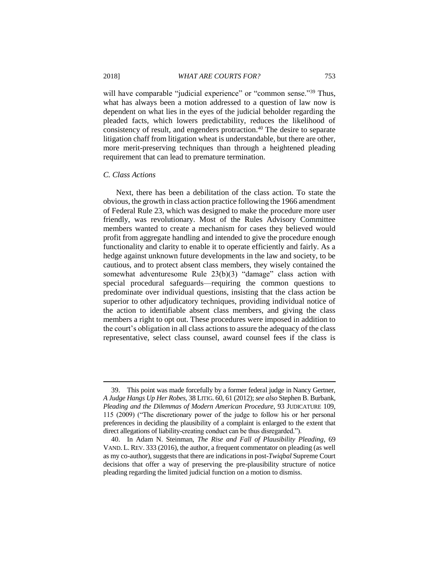will have comparable "judicial experience" or "common sense."<sup>39</sup> Thus, what has always been a motion addressed to a question of law now is dependent on what lies in the eyes of the judicial beholder regarding the pleaded facts, which lowers predictability, reduces the likelihood of consistency of result, and engenders protraction.<sup>40</sup> The desire to separate litigation chaff from litigation wheat is understandable, but there are other, more merit-preserving techniques than through a heightened pleading requirement that can lead to premature termination.

#### *C. Class Actions*

 $\overline{a}$ 

Next, there has been a debilitation of the class action. To state the obvious, the growth in class action practice following the 1966 amendment of Federal Rule 23, which was designed to make the procedure more user friendly, was revolutionary. Most of the Rules Advisory Committee members wanted to create a mechanism for cases they believed would profit from aggregate handling and intended to give the procedure enough functionality and clarity to enable it to operate efficiently and fairly. As a hedge against unknown future developments in the law and society, to be cautious, and to protect absent class members, they wisely contained the somewhat adventuresome Rule 23(b)(3) "damage" class action with special procedural safeguards—requiring the common questions to predominate over individual questions, insisting that the class action be superior to other adjudicatory techniques, providing individual notice of the action to identifiable absent class members, and giving the class members a right to opt out. These procedures were imposed in addition to the court's obligation in all class actions to assure the adequacy of the class representative, select class counsel, award counsel fees if the class is

<sup>39.</sup> This point was made forcefully by a former federal judge in Nancy Gertner, *A Judge Hangs Up Her Robes*, 38 LITIG. 60, 61 (2012); *see also* Stephen B. Burbank, *Pleading and the Dilemmas of Modern American Procedure*, 93 JUDICATURE 109, 115 (2009) ("The discretionary power of the judge to follow his or her personal preferences in deciding the plausibility of a complaint is enlarged to the extent that direct allegations of liability-creating conduct can be thus disregarded.").

<sup>40.</sup> In Adam N. Steinman, *The Rise and Fall of Plausibility Pleading*, 69 VAND. L. REV. 333 (2016), the author, a frequent commentator on pleading (as well as my co-author), suggests that there are indications in post-*Twiqbal* Supreme Court decisions that offer a way of preserving the pre-plausibility structure of notice pleading regarding the limited judicial function on a motion to dismiss.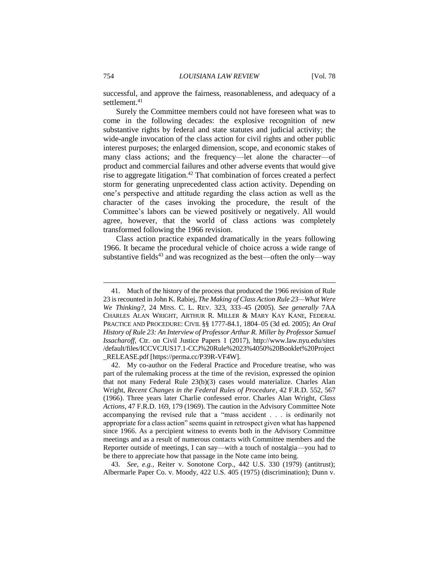successful, and approve the fairness, reasonableness, and adequacy of a settlement.<sup>41</sup>

Surely the Committee members could not have foreseen what was to come in the following decades: the explosive recognition of new substantive rights by federal and state statutes and judicial activity; the wide-angle invocation of the class action for civil rights and other public interest purposes; the enlarged dimension, scope, and economic stakes of many class actions; and the frequency—let alone the character—of product and commercial failures and other adverse events that would give rise to aggregate litigation.<sup>42</sup> That combination of forces created a perfect storm for generating unprecedented class action activity. Depending on one's perspective and attitude regarding the class action as well as the character of the cases invoking the procedure, the result of the Committee's labors can be viewed positively or negatively. All would agree, however, that the world of class actions was completely transformed following the 1966 revision.

Class action practice expanded dramatically in the years following 1966. It became the procedural vehicle of choice across a wide range of substantive fields<sup>43</sup> and was recognized as the best—often the only—way

43. *See, e.g.*, Reiter v. Sonotone Corp., 442 U.S. 330 (1979) (antitrust); Albermarle Paper Co. v. Moody, 422 U.S. 405 (1975) (discrimination); Dunn v.

<sup>41.</sup> Much of the history of the process that produced the 1966 revision of Rule 23 is recounted in John K. Rabiej, *The Making of Class Action Rule 23—What Were We Thinking?*, 24 MISS. C. L. REV. 323, 333–45 (2005). *See generally* 7AA CHARLES ALAN WRIGHT, ARTHUR R. MILLER & MARY KAY KANE, FEDERAL PRACTICE AND PROCEDURE: CIVIL §§ 1777-84.1, 1804–05 (3d ed. 2005); *An Oral History of Rule 23: An Interview of Professor Arthur R. Miller by Professor Samuel Issacharoff*, Ctr. on Civil Justice Papers 1 (2017), http://www.law.nyu.edu/sites /default/files/ICCVCJUS17.1-CCJ%20Rule%2023%4050%20Booklet%20Project \_RELEASE.pdf [https://perma.cc/P39R-VF4W].

<sup>42.</sup> My co-author on the Federal Practice and Procedure treatise, who was part of the rulemaking process at the time of the revision, expressed the opinion that not many Federal Rule 23(b)(3) cases would materialize. Charles Alan Wright, *Recent Changes in the Federal Rules of Procedure*, 42 F.R.D. 552, 567 (1966). Three years later Charlie confessed error. Charles Alan Wright, *Class Actions*, 47 F.R.D. 169, 179 (1969). The caution in the Advisory Committee Note accompanying the revised rule that a "mass accident . . . is ordinarily not appropriate for a class action" seems quaint in retrospect given what has happened since 1966. As a percipient witness to events both in the Advisory Committee meetings and as a result of numerous contacts with Committee members and the Reporter outside of meetings, I can say—with a touch of nostalgia—you had to be there to appreciate how that passage in the Note came into being.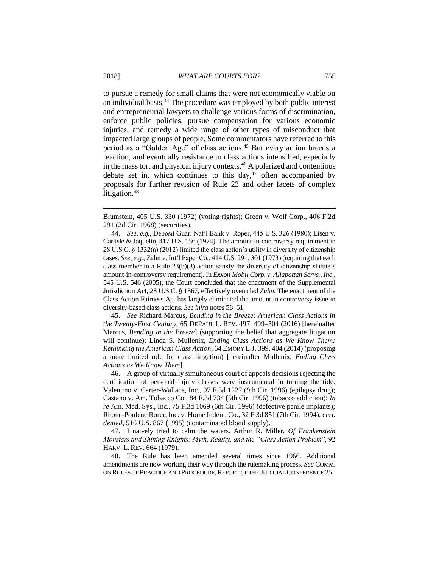to pursue a remedy for small claims that were not economically viable on an individual basis.<sup>44</sup> The procedure was employed by both public interest and entrepreneurial lawyers to challenge various forms of discrimination, enforce public policies, pursue compensation for various economic injuries, and remedy a wide range of other types of misconduct that impacted large groups of people. Some commentators have referred to this period as a "Golden Age" of class actions.<sup>45</sup> But every action breeds a reaction, and eventually resistance to class actions intensified, especially in the mass tort and physical injury contexts.<sup>46</sup> A polarized and contentious debate set in, which continues to this day,<sup>47</sup> often accompanied by proposals for further revision of Rule 23 and other facets of complex litigation.<sup>48</sup>

45. *See* Richard Marcus, *Bending in the Breeze: American Class Actions in the Twenty-First Century*, 65 DEPAUL L. REV. 497, 499–504 (2016) [hereinafter Marcus, *Bending in the Breeze*] (supporting the belief that aggregate litigation will continue); Linda S. Mullenix, *Ending Class Actions as We Know Them: Rethinking the American Class Action*, 64 EMORY L.J. 399, 404 (2014) (proposing a more limited role for class litigation) [hereinafter Mullenix, *Ending Class Actions as We Know Them*].

46. A group of virtually simultaneous court of appeals decisions rejecting the certification of personal injury classes were instrumental in turning the tide. Valentino v. Carter-Wallace, Inc., 97 F.3d 1227 (9th Cir. 1996) (epilepsy drug); Castano v. Am. Tobacco Co., 84 F.3d 734 (5th Cir. 1996) (tobacco addiction); *In re* Am. Med. Sys., Inc., 75 F.3d 1069 (6th Cir. 1996) (defective penile implants); Rhone-Poulenc Rorer, Inc. v. Home Indem. Co., 32 F.3d 851 (7th Cir. 1994), *cert. denied*, 516 U.S. 867 (1995) (contaminated blood supply).

47. I naively tried to calm the waters. Arthur R. Miller, *Of Frankenstein Monsters and Shining Knights: Myth, Reality, and the "Class Action Problem*", 92 HARV. L. REV. 664 (1979).

48. The Rule has been amended several times since 1966. Additional amendments are now working their way through the rulemaking process. *See* COMM. ON RULES OF PRACTICE AND PROCEDURE, REPORT OF THE JUDICIAL CONFERENCE 25-

Blumstein, 405 U.S. 330 (1972) (voting rights); Green v. Wolf Corp., 406 F.2d 291 (2d Cir. 1968) (securities).

<sup>44.</sup> *See, e.g.*, Deposit Guar. Nat'l Bank v. Roper, 445 U.S. 326 (1980); Eisen v. Carlisle & Jaquelin, 417 U.S. 156 (1974). The amount-in-controversy requirement in 28 U.S.C. § 1332(a) (2012) limited the class action's utility in diversity of citizenship cases. *See, e.g.*, Zahn v. Int'l Paper Co., 414 U.S. 291, 301 (1973) (requiring that each class member in a Rule 23(b)(3) action satisfy the diversity of citizenship statute's amount-in-controversy requirement). In *Exxon Mobil Corp. v. Allapattah Servs., Inc*., 545 U.S. 546 (2005), the Court concluded that the enactment of the Supplemental Jurisdiction Act, 28 U.S.C. § 1367, effectively overruled *Zahn*. The enactment of the Class Action Fairness Act has largely eliminated the amount in controversy issue in diversity-based class actions. *See infra* notes 58–61.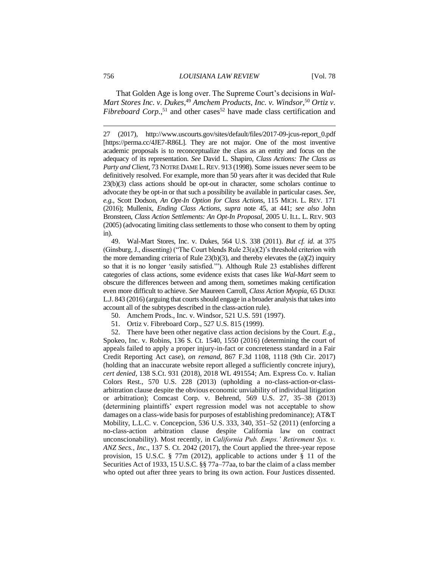That Golden Age is long over. The Supreme Court's decisions in *Wal-Mart Stores Inc. v. Dukes*, <sup>49</sup> *Amchem Products, Inc. v. Windsor,*<sup>50</sup> *Ortiz v. Fibreboard Corp.*<sup>51</sup> and other cases<sup>52</sup> have made class certification and

27 (2017), http://www.uscourts.gov/sites/default/files/2017-09-jcus-report\_0.pdf [https://perma.cc/4JE7-R86L]. They are not major. One of the most inventive academic proposals is to reconceptualize the class as an entity and focus on the adequacy of its representation. *See* David L. Shapiro, *Class Actions: The Class as*  Party and Client, 73 NOTRE DAME L. REV. 913 (1998). Some issues never seem to be definitively resolved. For example, more than 50 years after it was decided that Rule 23(b)(3) class actions should be opt-out in character, some scholars continue to advocate they be opt-in or that such a possibility be available in particular cases. *See, e.g.*, Scott Dodson, *An Opt-In Option for Class Actions*, 115 MICH. L. REV. 171 (2016); Mullenix, *Ending Class Actions, supra* note 45, at 441; *see also* John Bronsteen, *Class Action Settlements: An Opt-In Proposal*, 2005 U. ILL. L. REV. 903 (2005) (advocating limiting class settlements to those who consent to them by opting in).

49. Wal-Mart Stores, Inc. v. Dukes, 564 U.S. 338 (2011). *But cf. id.* at 375 (Ginsburg, J., dissenting) ("The Court blends Rule  $23(a)(2)$ " s threshold criterion with the more demanding criteria of Rule  $23(b)(3)$ , and thereby elevates the (a)(2) inquiry so that it is no longer 'easily satisfied.'"). Although Rule 23 establishes different categories of class actions, some evidence exists that cases like *Wal-Mart* seem to obscure the differences between and among them, sometimes making certification even more difficult to achieve. *See* Maureen Carroll, *Class Action Myopia*, 65 DUKE L.J. 843 (2016) (arguing that courts should engage in a broader analysis that takes into account all of the subtypes described in the class-action rule).

50. Amchem Prods., Inc. v. Windsor, 521 U.S. 591 (1997).

51. Ortiz v. Fibreboard Corp., 527 U.S. 815 (1999).

52. There have been other negative class action decisions by the Court. *E.g.*, Spokeo, Inc. v. Robins, 136 S. Ct. 1540, 1550 (2016) (determining the court of appeals failed to apply a proper injury-in-fact or concreteness standard in a Fair Credit Reporting Act case), *on remand*, 867 F.3d 1108, 1118 (9th Cir. 2017) (holding that an inaccurate website report alleged a sufficiently concrete injury), *cert denied*, 138 S.Ct. 931 (2018), 2018 WL 491554; Am. Express Co. v. Italian Colors Rest., 570 U.S. 228 (2013) (upholding a no-class-action-or-classarbitration clause despite the obvious economic unviability of individual litigation or arbitration); Comcast Corp. v. Behrend, 569 U.S. 27, 35–38 (2013) (determining plaintiffs' expert regression model was not acceptable to show damages on a class-wide basis for purposes of establishing predominance); AT&T Mobility, L.L.C. v. Concepcion, 536 U.S. 333, 340, 351–52 (2011) (enforcing a no-class-action arbitration clause despite California law on contract unconscionability). Most recently, in *California Pub. Emps.' Retirement Sys. v. ANZ Secs., Inc*., 137 S. Ct. 2042 (2017), the Court applied the three-year repose provision, 15 U.S.C. § 77m (2012), applicable to actions under § 11 of the Securities Act of 1933, 15 U.S.C. §§ 77a–77aa, to bar the claim of a class member who opted out after three years to bring its own action. Four Justices dissented.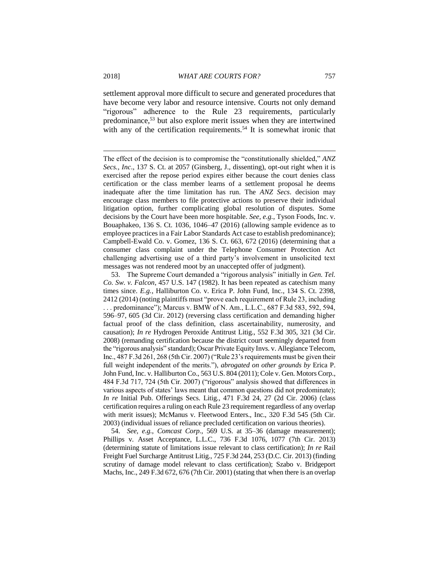settlement approval more difficult to secure and generated procedures that have become very labor and resource intensive. Courts not only demand "rigorous" adherence to the Rule 23 requirements, particularly predominance,<sup>53</sup> but also explore merit issues when they are intertwined with any of the certification requirements.<sup>54</sup> It is somewhat ironic that

53. The Supreme Court demanded a "rigorous analysis" initially in *Gen. Tel. Co. Sw. v. Falcon*, 457 U.S. 147 (1982). It has been repeated as catechism many times since. *E.g.*, Halliburton Co. v. Erica P. John Fund, Inc., 134 S. Ct. 2398, 2412 (2014) (noting plaintiffs must "prove each requirement of Rule 23, including . . . predominance"); Marcus v. BMW of N. Am., L.L.C., 687 F.3d 583, 592, 594, 596–97, 605 (3d Cir. 2012) (reversing class certification and demanding higher factual proof of the class definition, class ascertainability, numerosity, and causation); *In re* Hydrogen Peroxide Antitrust Litig., 552 F.3d 305, 321 (3d Cir. 2008) (remanding certification because the district court seemingly departed from the "rigorous analysis" standard); Oscar Private Equity Invs. v. Allegiance Telecom, Inc., 487 F.3d 261, 268 (5th Cir. 2007) ("Rule 23's requirements must be given their full weight independent of the merits."), *abrogated on other grounds by* Erica P. John Fund, Inc. v. Halliburton Co., 563 U.S. 804 (2011); Cole v. Gen. Motors Corp., 484 F.3d 717, 724 (5th Cir. 2007) ("rigorous" analysis showed that differences in various aspects of states' laws meant that common questions did not predominate); *In re* Initial Pub. Offerings Secs. Litig., 471 F.3d 24, 27 (2d Cir. 2006) (class certification requires a ruling on each Rule 23 requirement regardless of any overlap with merit issues); McManus v. Fleetwood Enters., Inc., 320 F.3d 545 (5th Cir. 2003) (individual issues of reliance precluded certification on various theories).

54. *See, e.g.*, *Comcast Corp.*, 569 U.S. at 35–36 (damage measurement); Phillips v. Asset Acceptance, L.L.C., 736 F.3d 1076, 1077 (7th Cir. 2013) (determining statute of limitations issue relevant to class certification); *In re* Rail Freight Fuel Surcharge Antitrust Litig., 725 F.3d 244, 253 (D.C. Cir. 2013) (finding scrutiny of damage model relevant to class certification); Szabo v. Bridgeport Machs, Inc., 249 F.3d 672, 676 (7th Cir. 2001) (stating that when there is an overlap

The effect of the decision is to compromise the "constitutionally shielded," *ANZ Secs., Inc*., 137 S. Ct. at 2057 (Ginsberg, J., dissenting), opt-out right when it is exercised after the repose period expires either because the court denies class certification or the class member learns of a settlement proposal he deems inadequate after the time limitation has run. The *ANZ Secs*. decision may encourage class members to file protective actions to preserve their individual litigation option, further complicating global resolution of disputes. Some decisions by the Court have been more hospitable. *See, e.g.*, Tyson Foods, Inc. v. Bouaphakeo, 136 S. Ct. 1036, 1046–47 (2016) (allowing sample evidence as to employee practices in a Fair Labor Standards Act case to establish predominance); Campbell-Ewald Co. v. Gomez, 136 S. Ct. 663, 672 (2016) (determining that a consumer class complaint under the Telephone Consumer Protection Act challenging advertising use of a third party's involvement in unsolicited text messages was not rendered moot by an unaccepted offer of judgment).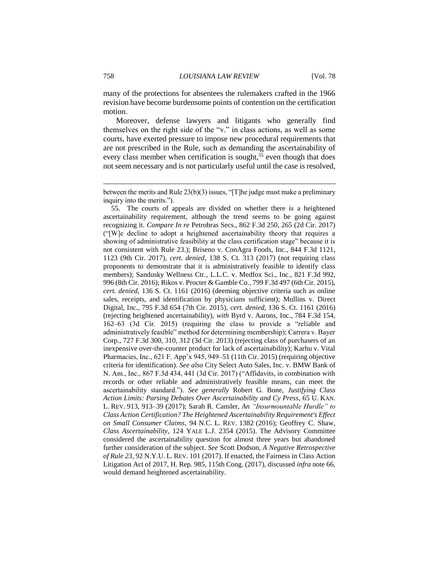many of the protections for absentees the rulemakers crafted in the 1966 revision have become burdensome points of contention on the certification motion.

Moreover, defense lawyers and litigants who generally find themselves on the right side of the "v." in class actions, as well as some courts, have exerted pressure to impose new procedural requirements that are not prescribed in the Rule, such as demanding the ascertainability of every class member when certification is sought,<sup>55</sup> even though that does not seem necessary and is not particularly useful until the case is resolved,

55. The courts of appeals are divided on whether there is a heightened ascertainability requirement, although the trend seems to be going against recognizing it. *Compare In re* Petrobras Secs., 862 F.3d 250, 265 (2d Cir. 2017) ("[W]e decline to adopt a heightened ascertainability theory that requires a showing of administrative feasibility at the class certification stage" because it is not consistent with Rule 23.); Briseno v. ConAgra Foods, Inc., 844 F.3d 1121, 1123 (9th Cir. 2017), *cert. denied*, 138 S. Ct. 313 (2017) (not requiring class proponents to demonstrate that it is administratively feasible to identify class members); Sandusky Wellness Ctr., L.L.C. v. Medfox Sci., Inc., 821 F.3d 992, 996 (8th Cir. 2016); Rikos v. Procter & Gamble Co., 799 F.3d 497 (6th Cir. 2015), *cert. denied*, 136 S. Ct. 1161 (2016) (deeming objective criteria such as online sales, receipts, and identification by physicians sufficient); Mullins v. Direct Digital, Inc., 795 F.3d 654 (7th Cir. 2015), *cert. denied*, 136 S. Ct. 1161 (2016) (rejecting heightened ascertainability), *with* Byrd v. Aarons, Inc., 784 F.3d 154, 162–63 (3d Cir. 2015) (requiring the class to provide a "reliable and administratively feasible" method for determining membership); Carrera v. Bayer Corp., 727 F.3d 300, 310, 312 (3d Cir. 2013) (rejecting class of purchasers of an inexpensive over-the-counter product for lack of ascertainability); Karhu v. Vital Pharmacies, Inc., 621 F. App'x 945, 949–51 (11th Cir. 2015) (requiring objective criteria for identification). *See also* City Select Auto Sales, Inc. v. BMW Bank of N. Am., Inc., 867 F.3d 434, 441 (3d Cir. 2017) ("Affidavits, in combination with records or other reliable and administratively feasible means, can meet the ascertainability standard."). *See generally* Robert G. Bone, *Justifying Class Action Limits: Parsing Debates Over Ascertainability and Cy Press*, 65 U. KAN. L. REV. 913, 913–39 (2017); Sarah R. Cansler, *An "Insurmountable Hurdle" to Class Action Certification? The Heightened Ascertainability Requirement's Effect on Small Consumer Claims*, 94 N.C. L. REV. 1382 (2016); Geoffrey C. Shaw, *Class Ascertainability*, 124 YALE L.J. 2354 (2015). The Advisory Committee considered the ascertainability question for almost three years but abandoned further consideration of the subject. *See* Scott Dodson, *A Negative Retrospective of Rule 23*, 92 N.Y.U. L. REV. 101 (2017). If enacted, the Fairness in Class Action Litigation Act of 2017, H. Rep. 985, 115th Cong. (2017), discussed *infra* note 66, would demand heightened ascertainability.

between the merits and Rule  $23(b)(3)$  issues, "[T]he judge must make a preliminary inquiry into the merits.").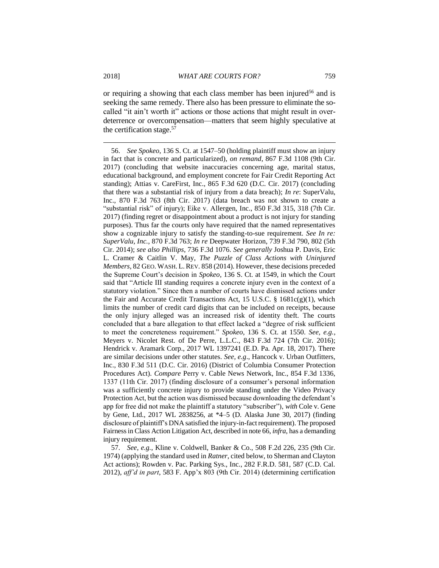or requiring a showing that each class member has been injured<sup>56</sup> and is seeking the same remedy. There also has been pressure to eliminate the socalled "it ain't worth it" actions or those actions that might result in overdeterrence or overcompensation—matters that seem highly speculative at the certification stage.<sup>57</sup>

<sup>56.</sup> *See Spokeo*, 136 S. Ct. at 1547–50 (holding plaintiff must show an injury in fact that is concrete and particularized), *on remand*, 867 F.3d 1108 (9th Cir. 2017) (concluding that website inaccuracies concerning age, marital status, educational background, and employment concrete for Fair Credit Reporting Act standing); Attias v. CareFirst, Inc., 865 F.3d 620 (D.C. Cir. 2017) (concluding that there was a substantial risk of injury from a data breach); *In re*: SuperValu, Inc., 870 F.3d 763 (8th Cir. 2017) (data breach was not shown to create a "substantial risk" of injury); Eike v. Allergen, Inc., 850 F.3d 315, 318 (7th Cir. 2017) (finding regret or disappointment about a product is not injury for standing purposes). Thus far the courts only have required that the named representatives show a cognizable injury to satisfy the standing-to-sue requirement. *See In re: SuperValu, Inc.*, 870 F.3d 763; *In re* Deepwater Horizon, 739 F.3d 790, 802 (5th Cir. 2014); *see also Phillips*, 736 F.3d 1076. *See generally* Joshua P. Davis, Eric L. Cramer & Caitlin V. May, *The Puzzle of Class Actions with Uninjured Members*, 82 GEO. WASH. L.REV. 858 (2014). However, these decisions preceded the Supreme Court's decision in *Spokeo*, 136 S. Ct. at 1549, in which the Court said that "Article III standing requires a concrete injury even in the context of a statutory violation." Since then a number of courts have dismissed actions under the Fair and Accurate Credit Transactions Act, 15 U.S.C. § 1681c(g)(1), which limits the number of credit card digits that can be included on receipts, because the only injury alleged was an increased risk of identity theft. The courts concluded that a bare allegation to that effect lacked a "degree of risk sufficient to meet the concreteness requirement." *Spokeo*, 136 S. Ct. at 1550. *See, e.g.*, Meyers v. Nicolet Rest. of De Perre, L.L.C., 843 F.3d 724 (7th Cir. 2016); Hendrick v. Aramark Corp., 2017 WL 1397241 (E.D. Pa. Apr. 18, 2017). There are similar decisions under other statutes. *See, e.g*., Hancock v. Urban Outfitters, Inc., 830 F.3d 511 (D.C. Cir. 2016) (District of Columbia Consumer Protection Procedures Act). *Compare* Perry v. Cable News Network, Inc., 854 F.3d 1336, 1337 (11th Cir. 2017) (finding disclosure of a consumer's personal information was a sufficiently concrete injury to provide standing under the Video Privacy Protection Act, but the action was dismissed because downloading the defendant's app for free did not make the plaintiff a statutory "subscriber"), *with* Cole v. Gene by Gene, Ltd., 2017 WL 2838256, at \*4–5 (D. Alaska June 30, 2017) (finding disclosure of plaintiff's DNA satisfied the injury-in-fact requirement). The proposed Fairness in Class Action Litigation Act, described in note 66, *infra*, has a demanding injury requirement.

<sup>57.</sup> *See, e.g.*, Kline v. Coldwell, Banker & Co., 508 F.2d 226, 235 (9th Cir. 1974) (applying the standard used in *Ratner*, cited below*,* to Sherman and Clayton Act actions); Rowden v. Pac. Parking Sys., Inc., 282 F.R.D. 581, 587 (C.D. Cal. 2012), *aff'd in part*, 583 F. App'x 803 (9th Cir. 2014) (determining certification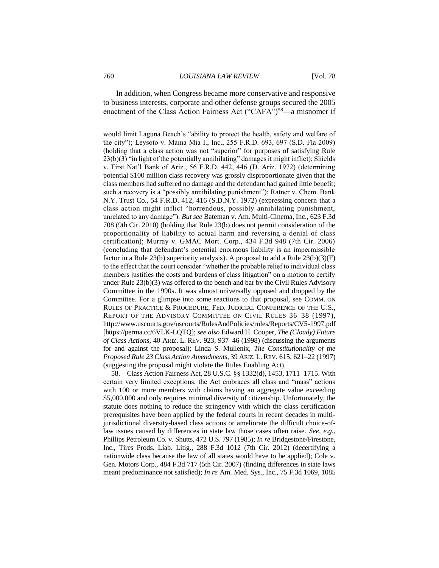In addition, when Congress became more conservative and responsive to business interests, corporate and other defense groups secured the 2005 enactment of the Class Action Fairness Act ("CAFA")<sup>58</sup>—a misnomer if

would limit Laguna Beach's "ability to protect the health, safety and welfare of the city"); Leysoto v. Mama Mia I., Inc., 255 F.R.D. 693, 697 (S.D. Fla 2009) (holding that a class action was not "superior" for purposes of satisfying Rule  $23(b)(3)$  "in light of the potentially annihilating" damages it might inflict); Shields v. First Nat'l Bank of Ariz., 56 F.R.D. 442, 446 (D. Ariz. 1972) (determining potential \$100 million class recovery was grossly disproportionate given that the class members had suffered no damage and the defendant had gained little benefit; such a recovery is a "possibly annihilating punishment"); Ratner v. Chem. Bank N.Y. Trust Co., 54 F.R.D. 412, 416 (S.D.N.Y. 1972) (expressing concern that a class action might inflict "horrendous, possibly annihilating punishment, unrelated to any damage"). *But see* Bateman v. Am. Multi-Cinema, Inc., 623 F.3d 708 (9th Cir. 2010) (holding that Rule 23(b) does not permit consideration of the proportionality of liability to actual harm and reversing a denial of class certification); Murray v. GMAC Mort. Corp., 434 F.3d 948 (7th Cir. 2006) (concluding that defendant's potential enormous liability is an impermissible factor in a Rule 23(b) superiority analysis). A proposal to add a Rule 23(b)(3)(F) to the effect that the court consider "whether the probable relief to individual class members justifies the costs and burdens of class litigation" on a motion to certify under Rule 23(b)(3) was offered to the bench and bar by the Civil Rules Advisory Committee in the 1990s. It was almost universally opposed and dropped by the Committee. For a glimpse into some reactions to that proposal, see COMM. ON RULES OF PRACTICE & PROCEDURE, FED. JUDICIAL CONFERENCE OF THE U.S., REPORT OF THE ADVISORY COMMITTEE ON CIVIL RULES 36–38 (1997), http://www.uscourts.gov/uscourts/RulesAndPolicies/rules/Reports/CV5-1997.pdf [https://perma.cc/6VLK-LQTQ]; *see also* Edward H. Cooper, *The (Cloudy) Future of Class Actions*, 40 ARIZ. L. REV. 923, 937–46 (1998) (discussing the arguments for and against the proposal); Linda S. Mullenix, *The Constitutionality of the Proposed Rule 23 Class Action Amendments*, 39 ARIZ. L. REV. 615, 621–22 (1997) (suggesting the proposal might violate the Rules Enabling Act).

58. Class Action Fairness Act, 28 U.S.C. §§ 1332(d), 1453, 1711–1715. With certain very limited exceptions, the Act embraces all class and "mass" actions with 100 or more members with claims having an aggregate value exceeding \$5,000,000 and only requires minimal diversity of citizenship. Unfortunately, the statute does nothing to reduce the stringency with which the class certification prerequisites have been applied by the federal courts in recent decades in multijurisdictional diversity-based class actions or ameliorate the difficult choice-oflaw issues caused by differences in state law those cases often raise. *See, e.g.*, Phillips Petroleum Co. v. Shutts, 472 U.S. 797 (1985); *In re* Bridgestone/Firestone, Inc., Tires Prods. Liab. Litig., 288 F.3d 1012 (7th Cir. 2012) (decertifying a nationwide class because the law of all states would have to be applied); Cole v. Gen. Motors Corp., 484 F.3d 717 (5th Cir. 2007) (finding differences in state laws meant predominance not satisfied); *In re* Am. Med. Sys., Inc., 75 F.3d 1069, 1085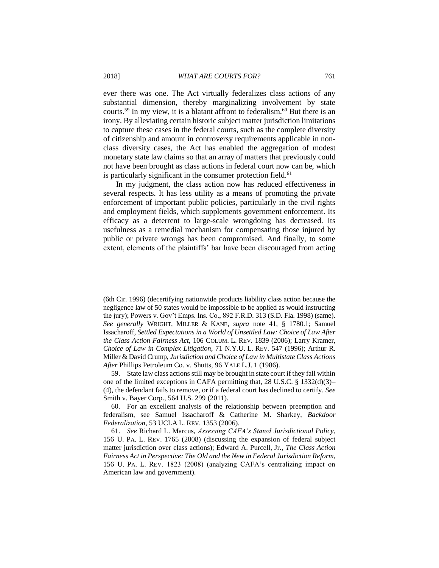ever there was one. The Act virtually federalizes class actions of any substantial dimension, thereby marginalizing involvement by state courts.<sup>59</sup> In my view, it is a blatant affront to federalism.<sup>60</sup> But there is an irony. By alleviating certain historic subject matter jurisdiction limitations to capture these cases in the federal courts, such as the complete diversity of citizenship and amount in controversy requirements applicable in nonclass diversity cases, the Act has enabled the aggregation of modest monetary state law claims so that an array of matters that previously could not have been brought as class actions in federal court now can be, which is particularly significant in the consumer protection field.<sup>61</sup>

In my judgment, the class action now has reduced effectiveness in several respects. It has less utility as a means of promoting the private enforcement of important public policies, particularly in the civil rights and employment fields, which supplements government enforcement. Its efficacy as a deterrent to large-scale wrongdoing has decreased. Its usefulness as a remedial mechanism for compensating those injured by public or private wrongs has been compromised. And finally, to some extent, elements of the plaintiffs' bar have been discouraged from acting

<sup>(6</sup>th Cir. 1996) (decertifying nationwide products liability class action because the negligence law of 50 states would be impossible to be applied as would instructing the jury); Powers v. Gov't Emps. Ins. Co., 892 F.R.D. 313 (S.D. Fla. 1998) (same). *See generally* WRIGHT, MILLER & KANE, *supra* note 41, § 1780.1; Samuel Issacharoff, *Settled Expectations in a World of Unsettled Law: Choice of Law After the Class Action Fairness Act*, 106 COLUM. L. REV. 1839 (2006); Larry Kramer, *Choice of Law in Complex Litigation*, 71 N.Y.U. L. REV. 547 (1996); Arthur R. Miller & David Crump, *Jurisdiction and Choice of Law in Multistate Class Actions After* Phillips Petroleum Co*.* v. Shutts, 96 YALE L.J. 1 (1986).

<sup>59.</sup> State law class actions still may be brought in state court if they fall within one of the limited exceptions in CAFA permitting that, 28 U.S.C.  $\S$  1332(d)(3)– (4), the defendant fails to remove, or if a federal court has declined to certify. *See* Smith v. Bayer Corp., 564 U.S. 299 (2011).

<sup>60.</sup> For an excellent analysis of the relationship between preemption and federalism, see Samuel Issacharoff & Catherine M. Sharkey, *Backdoor Federalization*, 53 UCLA L. REV. 1353 (2006).

<sup>61.</sup> *See* Richard L. Marcus, *Assessing CAFA's Stated Jurisdictional Policy*, 156 U. PA. L. REV. 1765 (2008) (discussing the expansion of federal subject matter jurisdiction over class actions); Edward A. Purcell, Jr., *The Class Action Fairness Act in Perspective: The Old and the New in Federal Jurisdiction Reform*, 156 U. PA. L. REV. 1823 (2008) (analyzing CAFA's centralizing impact on American law and government).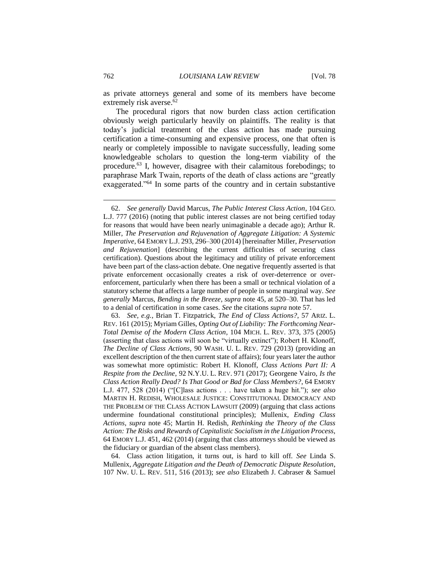as private attorneys general and some of its members have become extremely risk averse.<sup>62</sup>

The procedural rigors that now burden class action certification obviously weigh particularly heavily on plaintiffs. The reality is that today's judicial treatment of the class action has made pursuing certification a time-consuming and expensive process, one that often is nearly or completely impossible to navigate successfully, leading some knowledgeable scholars to question the long-term viability of the procedure.<sup>63</sup> I, however, disagree with their calamitous forebodings; to paraphrase Mark Twain, reports of the death of class actions are "greatly exaggerated."<sup>64</sup> In some parts of the country and in certain substantive

63. *See, e.g.*, Brian T. Fitzpatrick, *The End of Class Actions?*, 57 ARIZ. L. REV. 161 (2015); Myriam Gilles, *Opting Out of Liability: The Forthcoming Near-Total Demise of the Modern Class Action*, 104 MICH. L. REV. 373, 375 (2005) (asserting that class actions will soon be "virtually extinct"); Robert H. Klonoff, *The Decline of Class Actions*, 90 WASH. U. L. REV. 729 (2013) (providing an excellent description of the then current state of affairs); four years later the author was somewhat more optimistic: Robert H. Klonoff, *Class Actions Part II: A Respite from the Decline*, 92 N.Y.U. L. REV. 971 (2017); Georgene Vairo, *Is the Class Action Really Dead? Is That Good or Bad for Class Members?*, 64 EMORY L.J. 477, 528 (2014) ("[C]lass actions . . . have taken a huge hit."); *see also*  MARTIN H. REDISH, WHOLESALE JUSTICE: CONSTITUTIONAL DEMOCRACY AND THE PROBLEM OF THE CLASS ACTION LAWSUIT (2009) (arguing that class actions undermine foundational constitutional principles); Mullenix, *Ending Class Actions*, *supra* note 45; Martin H. Redish, *Rethinking the Theory of the Class Action: The Risks and Rewards of Capitalistic Socialism in the Litigation Process*, 64 EMORY L.J. 451, 462 (2014) (arguing that class attorneys should be viewed as the fiduciary or guardian of the absent class members).

64. Class action litigation, it turns out, is hard to kill off. *See* Linda S. Mullenix, *Aggregate Litigation and the Death of Democratic Dispute Resolution*, 107 NW. U. L. REV. 511, 516 (2013); *see also* Elizabeth J. Cabraser & Samuel

<sup>62.</sup> *See generally* David Marcus, *The Public Interest Class Action*, 104 GEO. L.J. 777 (2016) (noting that public interest classes are not being certified today for reasons that would have been nearly unimaginable a decade ago); Arthur R. Miller, *The Preservation and Rejuvenation of Aggregate Litigation: A Systemic Imperative*, 64 EMORY L.J. 293, 296–300 (2014) [hereinafter Miller, *Preservation and Rejuvenation*] (describing the current difficulties of securing class certification). Questions about the legitimacy and utility of private enforcement have been part of the class-action debate. One negative frequently asserted is that private enforcement occasionally creates a risk of over-deterrence or overenforcement, particularly when there has been a small or technical violation of a statutory scheme that affects a large number of people in some marginal way. *See generally* Marcus, *Bending in the Breeze*, *supra* note 45, at 520–30. That has led to a denial of certification in some cases. *See* the citations *supra* note 57.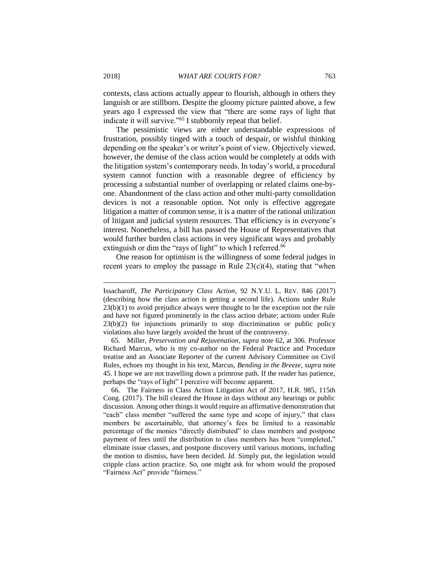contexts, class actions actually appear to flourish, although in others they languish or are stillborn. Despite the gloomy picture painted above, a few years ago I expressed the view that "there are some rays of light that indicate it will survive."<sup>65</sup> I stubbornly repeat that belief.

The pessimistic views are either understandable expressions of frustration, possibly tinged with a touch of despair, or wishful thinking depending on the speaker's or writer's point of view. Objectively viewed, however, the demise of the class action would be completely at odds with the litigation system's contemporary needs. In today's world, a procedural system cannot function with a reasonable degree of efficiency by processing a substantial number of overlapping or related claims one-byone. Abandonment of the class action and other multi-party consolidation devices is not a reasonable option. Not only is effective aggregate litigation a matter of common sense, it is a matter of the rational utilization of litigant and judicial system resources. That efficiency is in everyone's interest. Nonetheless, a bill has passed the House of Representatives that would further burden class actions in very significant ways and probably extinguish or dim the "rays of light" to which I referred.<sup>66</sup>

One reason for optimism is the willingness of some federal judges in recent years to employ the passage in Rule  $23(c)(4)$ , stating that "when

65. Miller, *Preservation and Rejuvenation*, *supra* note 62, at 306. Professor Richard Marcus, who is my co-author on the Federal Practice and Procedure treatise and an Associate Reporter of the current Advisory Committee on Civil Rules, echoes my thought in his text, Marcus, *Bending in the Breeze*, *supra* note 45. I hope we are not travelling down a primrose path. If the reader has patience, perhaps the "rays of light" I perceive will become apparent.

66. The Fairness in Class Action Litigation Act of 2017, H.R. 985, 115th Cong. (2017). The bill cleared the House in days without any hearings or public discussion. Among other things it would require an affirmative demonstration that "each" class member "suffered the same type and scope of injury," that class members be ascertainable, that attorney's fees be limited to a reasonable percentage of the monies "directly distributed" to class members and postpone payment of fees until the distribution to class members has been "completed," eliminate issue classes, and postpone discovery until various motions, including the motion to dismiss, have been decided. *Id.* Simply put, the legislation would cripple class action practice. So, one might ask for whom would the proposed "Fairness Act" provide "fairness."

Issacharoff, *The Participatory Class Action*, 92 N.Y.U. L. REV. 846 (2017) (describing how the class action is getting a second life). Actions under Rule 23(b)(1) to avoid prejudice always were thought to be the exception not the rule and have not figured prominently in the class action debate; actions under Rule 23(b)(2) for injunctions primarily to stop discrimination or public policy violations also have largely avoided the brunt of the controversy.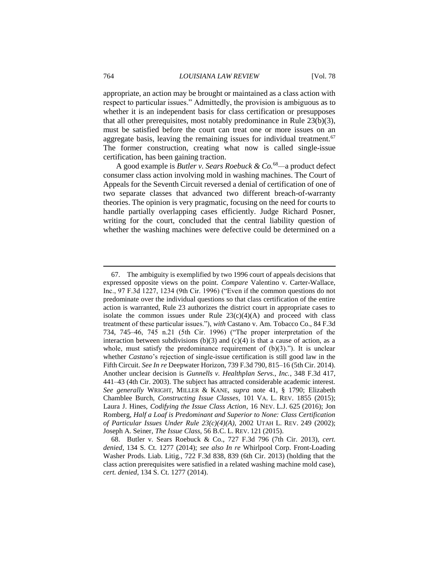appropriate, an action may be brought or maintained as a class action with respect to particular issues." Admittedly, the provision is ambiguous as to whether it is an independent basis for class certification or presupposes that all other prerequisites, most notably predominance in Rule 23(b)(3), must be satisfied before the court can treat one or more issues on an aggregate basis, leaving the remaining issues for individual treatment.<sup>67</sup> The former construction, creating what now is called single-issue certification, has been gaining traction.

A good example is *Butler v. Sears Roebuck & Co.*<sup>68</sup>*—*a product defect consumer class action involving mold in washing machines. The Court of Appeals for the Seventh Circuit reversed a denial of certification of one of two separate classes that advanced two different breach-of-warranty theories. The opinion is very pragmatic, focusing on the need for courts to handle partially overlapping cases efficiently. Judge Richard Posner, writing for the court, concluded that the central liability question of whether the washing machines were defective could be determined on a

<sup>67.</sup> The ambiguity is exemplified by two 1996 court of appeals decisions that expressed opposite views on the point. *Compare* Valentino v. Carter-Wallace, Inc., 97 F.3d 1227, 1234 (9th Cir. 1996) ("Even if the common questions do not predominate over the individual questions so that class certification of the entire action is warranted, Rule 23 authorizes the district court in appropriate cases to isolate the common issues under Rule  $23(c)(4)(A)$  and proceed with class treatment of these particular issues."), *with* Castano v. Am. Tobacco Co., 84 F.3d 734, 745–46, 745 n.21 (5th Cir. 1996) ("The proper interpretation of the interaction between subdivisions  $(b)(3)$  and  $(c)(4)$  is that a cause of action, as a whole, must satisfy the predominance requirement of  $(b)(3)$ ."). It is unclear whether *Castano*'s rejection of single-issue certification is still good law in the Fifth Circuit. *See In re* Deepwater Horizon, 739 F.3d 790, 815–16 (5th Cir. 2014). Another unclear decision is *Gunnells v. Healthplan Servs., Inc.*, 348 F.3d 417, 441–43 (4th Cir. 2003). The subject has attracted considerable academic interest. *See generally* WRIGHT, MILLER & KANE, *supra* note 41, § 1790; Elizabeth Chamblee Burch, *Constructing Issue Classes*, 101 VA. L. REV. 1855 (2015); Laura J. Hines, *Codifying the Issue Class Action*, 16 NEV. L.J. 625 (2016); Jon Romberg, *Half a Loaf is Predominant and Superior to None: Class Certification of Particular Issues Under Rule 23(c)(4)(A)*, 2002 UTAH L. REV. 249 (2002); Joseph A. Seiner, *The Issue Class*, 56 B.C. L. REV. 121 (2015).

<sup>68.</sup> Butler v. Sears Roebuck & Co., 727 F.3d 796 (7th Cir. 2013), *cert. denied*, 134 S. Ct. 1277 (2014); *see also In re* Whirlpool Corp. Front-Loading Washer Prods. Liab. Litig., 722 F.3d 838, 839 (6th Cir. 2013) (holding that the class action prerequisites were satisfied in a related washing machine mold case), *cert. denied*, 134 S. Ct. 1277 (2014).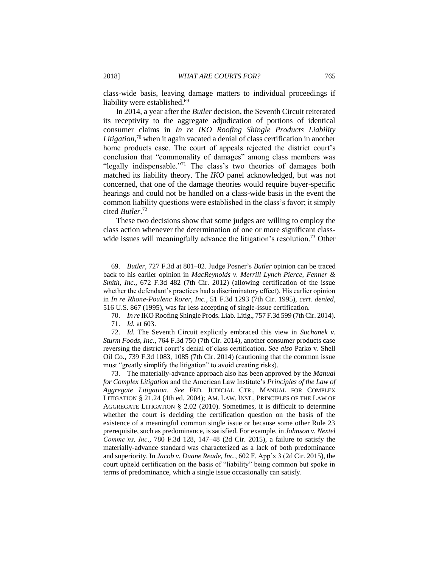class-wide basis, leaving damage matters to individual proceedings if liability were established.<sup>69</sup>

In 2014, a year after the *Butler* decision, the Seventh Circuit reiterated its receptivity to the aggregate adjudication of portions of identical consumer claims in *In re IKO Roofing Shingle Products Liability Litigation*, <sup>70</sup> when it again vacated a denial of class certification in another home products case. The court of appeals rejected the district court's conclusion that "commonality of damages" among class members was "legally indispensable."<sup>71</sup> The class's two theories of damages both matched its liability theory. The *IKO* panel acknowledged, but was not concerned, that one of the damage theories would require buyer-specific hearings and could not be handled on a class-wide basis in the event the common liability questions were established in the class's favor; it simply cited *Butler*. 72

These two decisions show that some judges are willing to employ the class action whenever the determination of one or more significant classwide issues will meaningfully advance the litigation's resolution.<sup>73</sup> Other

70. *In re* IKO Roofing Shingle Prods. Liab. Litig., 757 F.3d 599 (7th Cir. 2014).

71. *Id.* at 603.

 $\overline{a}$ 

72. *Id.* The Seventh Circuit explicitly embraced this view in *Suchanek v. Sturm Foods, Inc.*, 764 F.3d 750 (7th Cir. 2014), another consumer products case reversing the district court's denial of class certification. *See also* Parko v. Shell Oil Co., 739 F.3d 1083, 1085 (7th Cir. 2014) (cautioning that the common issue must "greatly simplify the litigation" to avoid creating risks).

73. The materially-advance approach also has been approved by the *Manual for Complex Litigation* and the American Law Institute's *Principles of the Law of Aggregate Litigation*. *See* FED. JUDICIAL CTR., MANUAL FOR COMPLEX LITIGATION § 21.24 (4th ed. 2004); AM. LAW. INST., PRINCIPLES OF THE LAW OF AGGREGATE LITIGATION § 2.02 (2010). Sometimes, it is difficult to determine whether the court is deciding the certification question on the basis of the existence of a meaningful common single issue or because some other Rule 23 prerequisite, such as predominance, is satisfied. For example, in *Johnson v. Nextel Commc'ns, Inc*., 780 F.3d 128, 147–48 (2d Cir. 2015), a failure to satisfy the materially-advance standard was characterized as a lack of both predominance and superiority. In *Jacob v. Duane Reade, Inc.*, 602 F. App'x 3 (2d Cir. 2015), the court upheld certification on the basis of "liability" being common but spoke in terms of predominance, which a single issue occasionally can satisfy.

<sup>69.</sup> *Butler*, 727 F.3d at 801–02. Judge Posner's *Butler* opinion can be traced back to his earlier opinion in *MacReynolds v. Merrill Lynch Pierce, Fenner & Smith, Inc*., 672 F.3d 482 (7th Cir. 2012) (allowing certification of the issue whether the defendant's practices had a discriminatory effect). His earlier opinion in *In re Rhone-Poulenc Rorer, Inc.*, 51 F.3d 1293 (7th Cir. 1995), *cert. denied*, 516 U.S. 867 (1995), was far less accepting of single-issue certification.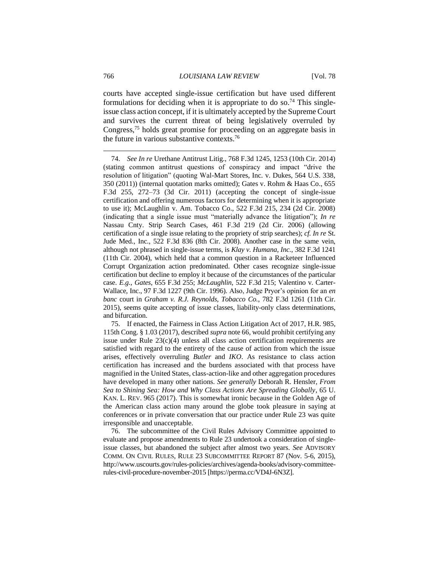courts have accepted single-issue certification but have used different formulations for deciding when it is appropriate to do so.<sup>74</sup> This singleissue class action concept, if it is ultimately accepted by the Supreme Court and survives the current threat of being legislatively overruled by Congress,<sup>75</sup> holds great promise for proceeding on an aggregate basis in the future in various substantive contexts.<sup>76</sup>

75. If enacted, the Fairness in Class Action Litigation Act of 2017, H.R. 985, 115th Cong. § 1.03 (2017), described *supra* note 66, would prohibit certifying any issue under Rule  $23(c)(4)$  unless all class action certification requirements are satisfied with regard to the entirety of the cause of action from which the issue arises, effectively overruling *Butler* and *IKO*. As resistance to class action certification has increased and the burdens associated with that process have magnified in the United States, class-action-like and other aggregation procedures have developed in many other nations. *See generally* Deborah R. Hensler, *From Sea to Shining Sea: How and Why Class Actions Are Spreading Globally*, 65 U. KAN. L. REV. 965 (2017). This is somewhat ironic because in the Golden Age of the American class action many around the globe took pleasure in saying at conferences or in private conversation that our practice under Rule 23 was quite irresponsible and unacceptable.

76. The subcommittee of the Civil Rules Advisory Committee appointed to evaluate and propose amendments to Rule 23 undertook a consideration of singleissue classes, but abandoned the subject after almost two years. *See* ADVISORY COMM. ON CIVIL RULES, RULE 23 SUBCOMMITTEE REPORT 87 (Nov. 5-6, 2015), http://www.uscourts.gov/rules-policies/archives/agenda-books/advisory-committeerules-civil-procedure-november-2015 [https://perma.cc/VD4J-6N3Z].

<sup>74.</sup> *See In re* Urethane Antitrust Litig., 768 F.3d 1245, 1253 (10th Cir. 2014) (stating common antitrust questions of conspiracy and impact "drive the resolution of litigation" (quoting Wal-Mart Stores, Inc. v. Dukes, 564 U.S. 338, 350 (2011)) (internal quotation marks omitted); Gates v. Rohm & Haas Co., 655 F.3d 255, 272–73 (3d Cir. 2011) (accepting the concept of single-issue certification and offering numerous factors for determining when it is appropriate to use it); McLaughlin v. Am. Tobacco Co., 522 F.3d 215, 234 (2d Cir. 2008) (indicating that a single issue must "materially advance the litigation"); *In re*  Nassau Cnty. Strip Search Cases, 461 F.3d 219 (2d Cir. 2006) (allowing certification of a single issue relating to the propriety of strip searches); *cf. In re* St. Jude Med., Inc., 522 F.3d 836 (8th Cir. 2008). Another case in the same vein, although not phrased in single-issue terms, is *Klay v. Humana, Inc.*, 382 F.3d 1241 (11th Cir. 2004), which held that a common question in a Racketeer Influenced Corrupt Organization action predominated. Other cases recognize single-issue certification but decline to employ it because of the circumstances of the particular case. *E.g.*, *Gates*, 655 F.3d 255; *McLaughlin*, 522 F.3d 215; Valentino v. Carter-Wallace, Inc., 97 F.3d 1227 (9th Cir. 1996). Also, Judge Pryor's opinion for an *en banc* court in *Graham v. R.J. Reynolds, Tobacco Co.*, 782 F.3d 1261 (11th Cir. 2015), seems quite accepting of issue classes, liability-only class determinations, and bifurcation.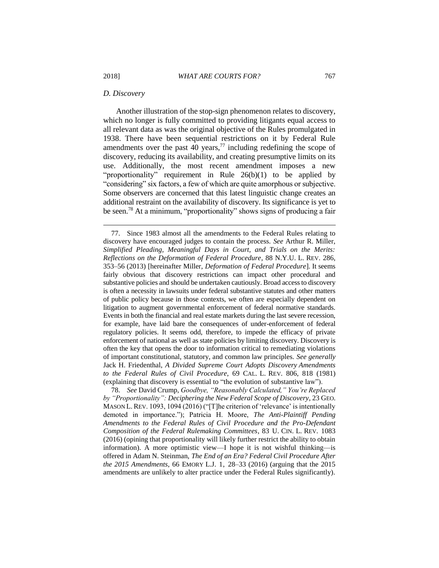#### *D. Discovery*

Another illustration of the stop-sign phenomenon relates to discovery, which no longer is fully committed to providing litigants equal access to all relevant data as was the original objective of the Rules promulgated in 1938. There have been sequential restrictions on it by Federal Rule amendments over the past  $\overline{40}$  years,<sup>77</sup> including redefining the scope of discovery, reducing its availability, and creating presumptive limits on its use. Additionally, the most recent amendment imposes a new "proportionality" requirement in Rule 26(b)(1) to be applied by "considering" six factors, a few of which are quite amorphous or subjective. Some observers are concerned that this latest linguistic change creates an additional restraint on the availability of discovery. Its significance is yet to be seen.<sup>78</sup> At a minimum, "proportionality" shows signs of producing a fair

<sup>77.</sup> Since 1983 almost all the amendments to the Federal Rules relating to discovery have encouraged judges to contain the process. *See* Arthur R. Miller, *Simplified Pleading, Meaningful Days in Court, and Trials on the Merits: Reflections on the Deformation of Federal Procedure*, 88 N.Y.U. L. REV. 286, 353–56 (2013) [hereinafter Miller, *Deformation of Federal Procedure*]. It seems fairly obvious that discovery restrictions can impact other procedural and substantive policies and should be undertaken cautiously. Broad access to discovery is often a necessity in lawsuits under federal substantive statutes and other matters of public policy because in those contexts, we often are especially dependent on litigation to augment governmental enforcement of federal normative standards. Events in both the financial and real estate markets during the last severe recession, for example, have laid bare the consequences of under-enforcement of federal regulatory policies. It seems odd, therefore, to impede the efficacy of private enforcement of national as well as state policies by limiting discovery. Discovery is often the key that opens the door to information critical to remediating violations of important constitutional, statutory, and common law principles. *See generally*  Jack H. Friedenthal, *A Divided Supreme Court Adopts Discovery Amendments to the Federal Rules of Civil Procedure*, 69 CAL. L. REV. 806, 818 (1981) (explaining that discovery is essential to "the evolution of substantive law").

<sup>78.</sup> *See* David Crump, *Goodbye, "Reasonably Calculated," You're Replaced by "Proportionality": Deciphering the New Federal Scope of Discovery*, 23 GEO. MASON L. REV. 1093, 1094 (2016) ("[T]he criterion of 'relevance' is intentionally demoted in importance."); Patricia H. Moore, *The Anti-Plaintiff Pending Amendments to the Federal Rules of Civil Procedure and the Pro-Defendant Composition of the Federal Rulemaking Committees*, 83 U. CIN. L. REV. 1083 (2016) (opining that proportionality will likely further restrict the ability to obtain information). A more optimistic view—I hope it is not wishful thinking—is offered in Adam N. Steinman, *The End of an Era? Federal Civil Procedure After the 2015 Amendments*, 66 EMORY L.J. 1, 28–33 (2016) (arguing that the 2015 amendments are unlikely to alter practice under the Federal Rules significantly).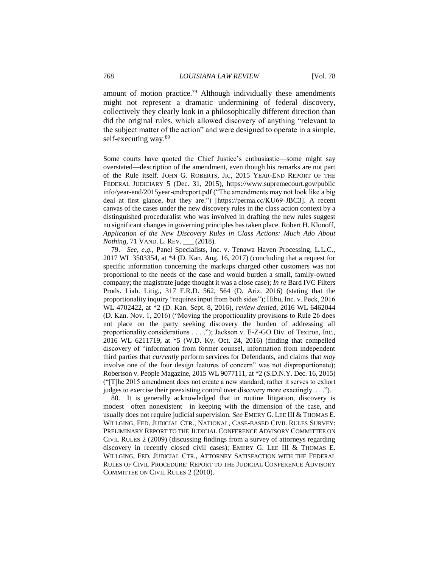amount of motion practice.<sup>79</sup> Although individually these amendments might not represent a dramatic undermining of federal discovery, collectively they clearly look in a philosophically different direction than did the original rules, which allowed discovery of anything "relevant to the subject matter of the action" and were designed to operate in a simple, self-executing way.<sup>80</sup>

Some courts have quoted the Chief Justice's enthusiastic—some might say overstated—description of the amendment, even though his remarks are not part of the Rule itself. JOHN G. ROBERTS, JR., 2015 YEAR-END REPORT OF THE FEDERAL JUDICIARY 5 (Dec. 31, 2015), https://www.supremecourt.gov/public info/year-end/2015year-endreport.pdf ("The amendments may not look like a big deal at first glance, but they are.") [https://perma.cc/KU69-JBC3]. A recent canvas of the cases under the new discovery rules in the class action context by a distinguished proceduralist who was involved in drafting the new rules suggest no significant changes in governing principles has taken place. Robert H. Klonoff, *Application of the New Discovery Rules in Class Actions: Much Ado About Nothing*, 71 VAND. L. REV. (2018).

79. *See, e.g.*, Panel Specialists, Inc. v. Tenawa Haven Processing, L.L.C., 2017 WL 3503354, at \*4 (D. Kan. Aug. 16, 2017) (concluding that a request for specific information concerning the markups charged other customers was not proportional to the needs of the case and would burden a small, family-owned company; the magistrate judge thought it was a close case); *In re* Bard IVC Filters Prods. Liab. Litig., 317 F.R.D. 562, 564 (D. Ariz. 2016) (stating that the proportionality inquiry "requires input from both sides"); Hibu, Inc. v. Peck, 2016 WL 4702422, at \*2 (D. Kan. Sept. 8, 2016), *review denied*, 2016 WL 6462044 (D. Kan. Nov. 1, 2016) ("Moving the proportionality provisions to Rule 26 does not place on the party seeking discovery the burden of addressing all proportionality considerations . . . ."); Jackson v. E-Z-GO Div. of Textron, Inc., 2016 WL 6211719, at \*5 (W.D. Ky. Oct. 24, 2016) (finding that compelled discovery of "information from former counsel, information from independent third parties that *currently* perform services for Defendants, and claims that *may* involve one of the four design features of concern" was not disproportionate); Robertson v. People Magazine, 2015 WL 9077111, at \*2 (S.D.N.Y. Dec. 16, 2015) ("[T]he 2015 amendment does not create a new standard; rather it serves to exhort judges to exercise their preexisting control over discovery more exactingly. . . .").

80. It is generally acknowledged that in routine litigation, discovery is modest—often nonexistent—in keeping with the dimension of the case, and usually does not require judicial supervision. *See* EMERY G. LEE III & THOMAS E. WILLGING, FED. JUDICIAL CTR., NATIONAL, CASE-BASED CIVIL RULES SURVEY: PRELIMINARY REPORT TO THE JUDICIAL CONFERENCE ADVISORY COMMITTEE ON CIVIL RULES 2 (2009) (discussing findings from a survey of attorneys regarding discovery in recently closed civil cases); EMERY G. LEE III & THOMAS E. WILLGING, FED. JUDICIAL CTR., ATTORNEY SATISFACTION WITH THE FEDERAL RULES OF CIVIL PROCEDURE: REPORT TO THE JUDICIAL CONFERENCE ADVISORY COMMITTEE ON CIVIL RULES 2 (2010).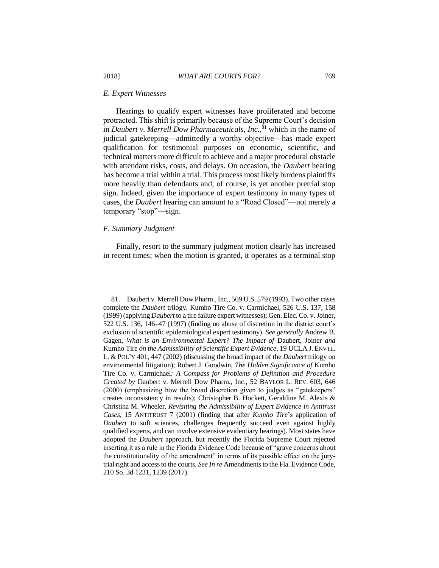#### *E. Expert Witnesses*

Hearings to qualify expert witnesses have proliferated and become protracted. This shift is primarily because of the Supreme Court's decision in *Daubert v. Merrell Dow Pharmaceuticals, Inc.*, <sup>81</sup> which in the name of judicial gatekeeping—admittedly a worthy objective—has made expert qualification for testimonial purposes on economic, scientific, and technical matters more difficult to achieve and a major procedural obstacle with attendant risks, costs, and delays. On occasion, the *Daubert* hearing has become a trial within a trial. This process most likely burdens plaintiffs more heavily than defendants and, of course, is yet another pretrial stop sign. Indeed, given the importance of expert testimony in many types of cases, the *Daubert* hearing can amount to a "Road Closed"—not merely a temporary "stop"—sign.

#### *F. Summary Judgment*

 $\overline{a}$ 

Finally, resort to the summary judgment motion clearly has increased in recent times; when the motion is granted, it operates as a terminal stop

<sup>81.</sup> Daubert v. Merrell Dow Pharm., Inc., 509 U.S. 579 (1993). Two other cases complete the *Daubert* trilogy. Kumho Tire Co. v. Carmichael, 526 U.S. 137, 158 (1999) (applying *Daubert* to a tire failure expert witnesses); Gen. Elec. Co. v. Joiner, 522 U.S. 136, 146–47 (1997) (finding no abuse of discretion in the district court's exclusion of scientific epidemiological expert testimony). *See generally* Andrew B. Gagen, *What is an Environmental Expert? The Impact of* Daubert*,* Joiner *and*  Kumho Tire *on the Admissibility of Scientific Expert Evidence*, 19 UCLA J. ENVTL. L. & POL'Y 401, 447 (2002) (discussing the broad impact of the *Daubert* trilogy on environmental litigation); Robert J. Goodwin, *The Hidden Significance of* Kumho Tire Co. v. Carmichael*: A Compass for Problems of Definition and Procedure Created by* Daubert v. Merrell Dow Pharm., Inc., 52 BAYLOR L. REV. 603, 646 (2000) (emphasizing how the broad discretion given to judges as "gatekeepers" creates inconsistency in results); Christopher B. Hockett, Geraldine M. Alexis & Christina M. Wheeler, *Revisiting the Admissibility of Expert Evidence in Antitrust Cases*, 15 ANTITRUST 7 (2001) (finding that after *Kumho Tire*'s application of *Daubert* to soft sciences, challenges frequently succeed even against highly qualified experts, and can involve extensive evidentiary hearings). Most states have adopted the *Daubert* approach, but recently the Florida Supreme Court rejected inserting it as a rule in the Florida Evidence Code because of "grave concerns about the constitutionality of the amendment" in terms of its possible effect on the jurytrial right and access to the courts. *See In re* Amendments to the Fla. Evidence Code, 210 So. 3d 1231, 1239 (2017).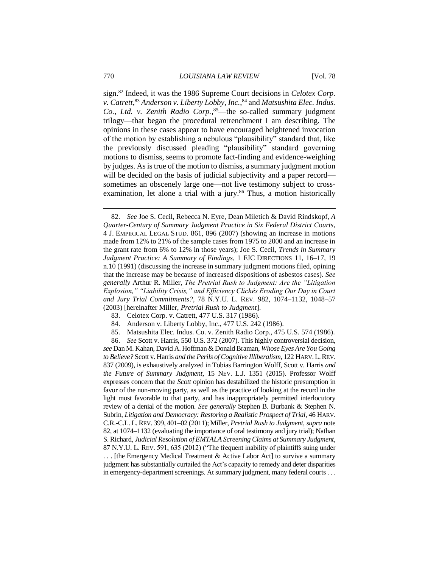sign.<sup>82</sup> Indeed, it was the 1986 Supreme Court decisions in *Celotex Corp. v. Catrett*, <sup>83</sup> *Anderson v. Liberty Lobby, Inc.*, <sup>84</sup> and *Matsushita Elec. Indus. Co., Ltd. v. Zenith Radio Corp.*, <sup>85</sup>—the so-called summary judgment trilogy—that began the procedural retrenchment I am describing. The opinions in these cases appear to have encouraged heightened invocation of the motion by establishing a nebulous "plausibility" standard that, like the previously discussed pleading "plausibility" standard governing motions to dismiss, seems to promote fact-finding and evidence-weighing by judges. As is true of the motion to dismiss, a summary judgment motion will be decided on the basis of judicial subjectivity and a paper record sometimes an obscenely large one—not live testimony subject to crossexamination, let alone a trial with a jury. $86$  Thus, a motion historically

- 84. Anderson v. Liberty Lobby, Inc., 477 U.S. 242 (1986).
- 85. Matsushita Elec. Indus. Co. v. Zenith Radio Corp., 475 U.S. 574 (1986).

86. *See* Scott v. Harris, 550 U.S. 372 (2007). This highly controversial decision, *see* Dan M. Kahan, David A. Hoffman & Donald Braman, *Whose Eyes Are You Going to Believe?* Scott v. Harris *and the Perils of Cognitive Illiberalism*, 122 HARV.L.REV. 837 (2009), is exhaustively analyzed in Tobias Barrington Wolff, Scott v. Harris *and the Future of Summary Judgment*, 15 NEV. L.J. 1351 (2015). Professor Wolff expresses concern that the *Scott* opinion has destabilized the historic presumption in favor of the non-moving party, as well as the practice of looking at the record in the light most favorable to that party, and has inappropriately permitted interlocutory review of a denial of the motion. *See generally* Stephen B. Burbank & Stephen N. Subrin, *Litigation and Democracy: Restoring a Realistic Prospect of Trial*, 46 HARV. C.R.-C.L. L. REV. 399, 401–02 (2011); Miller, *Pretrial Rush to Judgment*, *supra* note 82, at 1074–1132 (evaluating the importance of oral testimony and jury trial); Nathan S. Richard, *Judicial Resolution of EMTALA Screening Claims at Summary Judgment*, 87 N.Y.U. L. REV. 591, 635 (2012) ("The frequent inability of plaintiffs suing under . . . [the Emergency Medical Treatment & Active Labor Act] to survive a summary judgment has substantially curtailed the Act's capacity to remedy and deter disparities in emergency-department screenings. At summary judgment, many federal courts . . .

<sup>82.</sup> *See* Joe S. Cecil, Rebecca N. Eyre, Dean Miletich & David Rindskopf, *A Quarter-Century of Summary Judgment Practice in Six Federal District Courts*, 4 J. EMPIRICAL LEGAL STUD. 861, 896 (2007) (showing an increase in motions made from 12% to 21% of the sample cases from 1975 to 2000 and an increase in the grant rate from 6% to 12% in those years); Joe S. Cecil, *Trends in Summary Judgment Practice: A Summary of Findings*, 1 FJC DIRECTIONS 11, 16–17, 19 n.10 (1991) (discussing the increase in summary judgment motions filed, opining that the increase may be because of increased dispositions of asbestos cases). *See generally* Arthur R. Miller, *The Pretrial Rush to Judgment: Are the "Litigation Explosion," "Liability Crisis," and Efficiency Clichés Eroding Our Day in Court and Jury Trial Commitments?*, 78 N.Y.U. L. REV. 982, 1074–1132, 1048–57 (2003) [hereinafter Miller, *Pretrial Rush to Judgment*].

<sup>83.</sup> Celotex Corp. v. Catrett, 477 U.S. 317 (1986).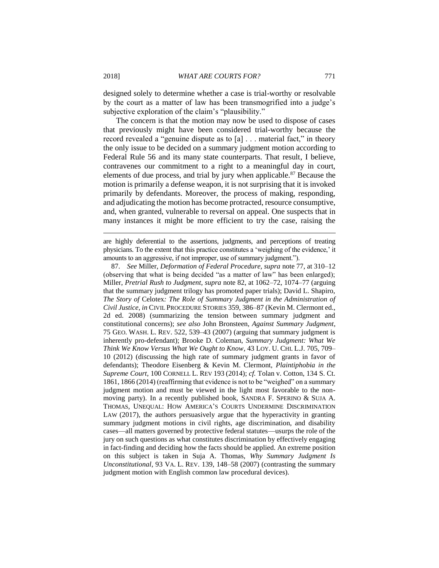designed solely to determine whether a case is trial-worthy or resolvable by the court as a matter of law has been transmogrified into a judge's subjective exploration of the claim's "plausibility."

The concern is that the motion may now be used to dispose of cases that previously might have been considered trial-worthy because the record revealed a "genuine dispute as to [a] . . . material fact," in theory the only issue to be decided on a summary judgment motion according to Federal Rule 56 and its many state counterparts. That result, I believe, contravenes our commitment to a right to a meaningful day in court, elements of due process, and trial by jury when applicable.<sup>87</sup> Because the motion is primarily a defense weapon, it is not surprising that it is invoked primarily by defendants. Moreover, the process of making, responding, and adjudicating the motion has become protracted, resource consumptive, and, when granted, vulnerable to reversal on appeal. One suspects that in many instances it might be more efficient to try the case, raising the

are highly deferential to the assertions, judgments, and perceptions of treating physicians. To the extent that this practice constitutes a 'weighing of the evidence,' it amounts to an aggressive, if not improper, use of summary judgment.").

87. *See* Miller, *Deformation of Federal Procedure, supra* note 77, at 310–12 (observing that what is being decided "as a matter of law" has been enlarged); Miller, *Pretrial Rush to Judgment*, *supra* note 82, at 1062–72, 1074–77 (arguing that the summary judgment trilogy has promoted paper trials); David L. Shapiro, *The Story of* Celotex*: The Role of Summary Judgment in the Administration of Civil Justice*, *in* CIVIL PROCEDURE STORIES 359, 386–87 (Kevin M. Clermont ed., 2d ed. 2008) (summarizing the tension between summary judgment and constitutional concerns); *see also* John Bronsteen, *Against Summary Judgment*, 75 GEO. WASH. L. REV. 522, 539–43 (2007) (arguing that summary judgment is inherently pro-defendant); Brooke D. Coleman, *Summary Judgment: What We Think We Know Versus What We Ought to Know*, 43 LOY. U. CHI. L.J. 705, 709– 10 (2012) (discussing the high rate of summary judgment grants in favor of defendants); Theodore Eisenberg & Kevin M. Clermont, *Plaintiphobia in the Supreme Court*, 100 CORNELL L. REV 193 (2014); *cf.* Tolan v. Cotton, 134 S. Ct. 1861, 1866 (2014) (reaffirming that evidence is not to be "weighed" on a summary judgment motion and must be viewed in the light most favorable to the nonmoving party). In a recently published book, SANDRA F. SPERINO & SUJA A. THOMAS, UNEQUAL: HOW AMERICA'S COURTS UNDERMINE DISCRIMINATION LAW (2017), the authors persuasively argue that the hyperactivity in granting summary judgment motions in civil rights, age discrimination, and disability cases—all matters governed by protective federal statutes—usurps the role of the jury on such questions as what constitutes discrimination by effectively engaging in fact-finding and deciding how the facts should be applied. An extreme position on this subject is taken in Suja A. Thomas, *Why Summary Judgment Is Unconstitutional*, 93 VA. L. REV. 139, 148–58 (2007) (contrasting the summary judgment motion with English common law procedural devices).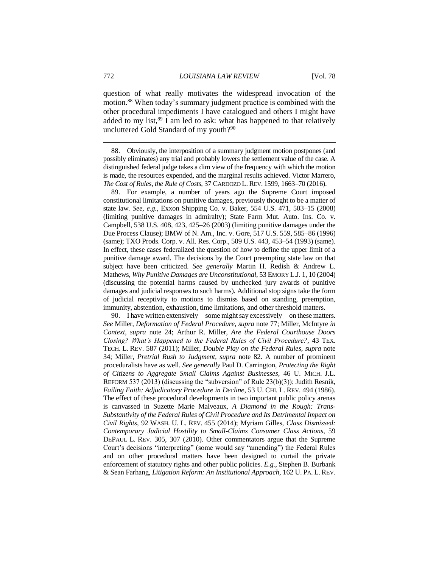question of what really motivates the widespread invocation of the motion.<sup>88</sup> When today's summary judgment practice is combined with the other procedural impediments I have catalogued and others I might have added to my list, $89$  I am led to ask: what has happened to that relatively uncluttered Gold Standard of my youth?<sup>90</sup>

88. Obviously, the interposition of a summary judgment motion postpones (and possibly eliminates) any trial and probably lowers the settlement value of the case. A distinguished federal judge takes a dim view of the frequency with which the motion is made, the resources expended, and the marginal results achieved. Victor Marrero, *The Cost of Rules, the Rule of Costs*, 37 CARDOZO L. REV. 1599, 1663–70 (2016).

89. For example, a number of years ago the Supreme Court imposed constitutional limitations on punitive damages, previously thought to be a matter of state law*. See, e.g.*, Exxon Shipping Co. v. Baker, 554 U.S. 471, 503–15 (2008) (limiting punitive damages in admiralty); State Farm Mut. Auto. Ins. Co. v. Campbell, 538 U.S. 408, 423, 425–26 (2003) (limiting punitive damages under the Due Process Clause); BMW of N. Am., Inc. v. Gore, 517 U.S. 559, 585–86 (1996) (same); TXO Prods. Corp. v. All. Res. Corp., 509 U.S. 443, 453–54 (1993) (same). In effect, these cases federalized the question of how to define the upper limit of a punitive damage award. The decisions by the Court preempting state law on that subject have been criticized. *See generally* Martin H. Redish & Andrew L. Mathews, *Why Punitive Damages are Unconstitutional*, 53 EMORY L.J. 1, 10 (2004) (discussing the potential harms caused by unchecked jury awards of punitive damages and judicial responses to such harms). Additional stop signs take the form of judicial receptivity to motions to dismiss based on standing, preemption, immunity, abstention, exhaustion, time limitations, and other threshold matters.

90. I have written extensively—some might say excessively—on these matters. *See* Miller, *Deformation of Federal Procedure, supra* note 77; Miller, McIntyre *in Context, supra* note 24; Arthur R. Miller, *Are the Federal Courthouse Doors Closing? What's Happened to the Federal Rules of Civil Procedure?*, 43 TEX. TECH. L. REV. 587 (2011); Miller, *Double Play on the Federal Rules*, *supra* note 34; Miller, *Pretrial Rush to Judgment, supra* note 82. A number of prominent proceduralists have as well. *See generally* Paul D. Carrington, *Protecting the Right of Citizens to Aggregate Small Claims Against Businesses*, 46 U. MICH. J.L. REFORM 537 (2013) (discussing the "subversion" of Rule 23(b)(3)); Judith Resnik, *Failing Faith: Adjudicatory Procedure in Decline*, 53 U. CHI. L. REV. 494 (1986). The effect of these procedural developments in two important public policy arenas is canvassed in Suzette Marie Malveaux, *A Diamond in the Rough: Trans-Substantivity of the Federal Rules of Civil Procedure and Its Detrimental Impact on Civil Rights*, 92 WASH. U. L. REV. 455 (2014); Myriam Gilles, *Class Dismissed: Contemporary Judicial Hostility to Small-Claims Consumer Class Actions*, 59 DEPAUL L. REV. 305, 307 (2010). Other commentators argue that the Supreme Court's decisions "interpreting" (some would say "amending") the Federal Rules and on other procedural matters have been designed to curtail the private enforcement of statutory rights and other public policies. *E.g.*, Stephen B. Burbank & Sean Farhang, *Litigation Reform: An Institutional Approach*, 162 U. PA. L. REV.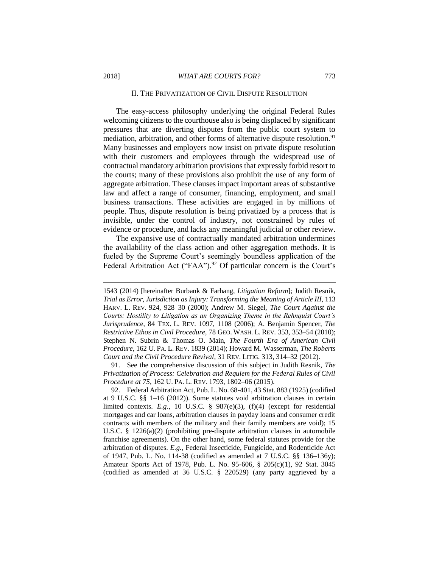#### II. THE PRIVATIZATION OF CIVIL DISPUTE RESOLUTION

The easy-access philosophy underlying the original Federal Rules welcoming citizens to the courthouse also is being displaced by significant pressures that are diverting disputes from the public court system to mediation, arbitration, and other forms of alternative dispute resolution.<sup>91</sup> Many businesses and employers now insist on private dispute resolution with their customers and employees through the widespread use of contractual mandatory arbitration provisions that expressly forbid resort to the courts; many of these provisions also prohibit the use of any form of aggregate arbitration. These clauses impact important areas of substantive law and affect a range of consumer, financing, employment, and small business transactions. These activities are engaged in by millions of people. Thus, dispute resolution is being privatized by a process that is invisible, under the control of industry, not constrained by rules of evidence or procedure, and lacks any meaningful judicial or other review.

The expansive use of contractually mandated arbitration undermines the availability of the class action and other aggregation methods. It is fueled by the Supreme Court's seemingly boundless application of the Federal Arbitration Act ("FAA").<sup>92</sup> Of particular concern is the Court's

91. See the comprehensive discussion of this subject in Judith Resnik, *The Privatization of Process: Celebration and Requiem for the Federal Rules of Civil Procedure at 75*, 162 U. PA. L. REV. 1793, 1802–06 (2015).

92. Federal Arbitration Act, Pub. L. No. 68-401, 43 Stat. 883 (1925) (codified at 9 U.S.C. §§ 1–16 (2012)). Some statutes void arbitration clauses in certain limited contexts. *E.g.*, 10 U.S.C. § 987(e)(3), (f)(4) (except for residential mortgages and car loans, arbitration clauses in payday loans and consumer credit contracts with members of the military and their family members are void); 15 U.S.C.  $\S$  1226(a)(2) (prohibiting pre-dispute arbitration clauses in automobile franchise agreements). On the other hand, some federal statutes provide for the arbitration of disputes. *E.g.*, Federal Insecticide, Fungicide, and Rodenticide Act of 1947, Pub. L. No. 114-38 (codified as amended at 7 U.S.C. §§ 136–136y); Amateur Sports Act of 1978, Pub. L. No. 95-606, § 205(c)(1), 92 Stat. 3045 (codified as amended at 36 U.S.C. § 220529) (any party aggrieved by a

<sup>1543 (2014) [</sup>hereinafter Burbank & Farhang, *Litigation Reform*]; Judith Resnik, *Trial as Error, Jurisdiction as Injury: Transforming the Meaning of Article III*, 113 HARV. L. REV. 924, 928–30 (2000); Andrew M. Siegel, *The Court Against the Courts: Hostility to Litigation as an Organizing Theme in the Rehnquist Court's Jurisprudenc*e, 84 TEX. L. REV. 1097, 1108 (2006); A. Benjamin Spencer, *The Restrictive Ethos in Civil Procedure*, 78 GEO. WASH. L. REV. 353, 353–54 (2010); Stephen N. Subrin & Thomas O. Main, *The Fourth Era of American Civil Procedure*, 162 U. PA. L. REV. 1839 (2014); Howard M. Wasserman, *The Roberts Court and the Civil Procedure Revival*, 31 REV. LITIG. 313, 314–32 (2012).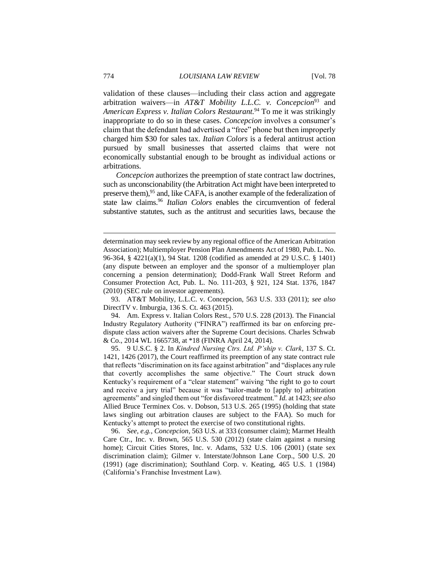validation of these clauses—including their class action and aggregate arbitration waivers—in *AT&T Mobility L.L.C. v. Concepcion*<sup>93</sup> and *American Express v. Italian Colors Restaurant.*<sup>94</sup> To me it was strikingly inappropriate to do so in these cases*. Concepcion* involves a consumer's claim that the defendant had advertised a "free" phone but then improperly charged him \$30 for sales tax. *Italian Colors* is a federal antitrust action pursued by small businesses that asserted claims that were not economically substantial enough to be brought as individual actions or arbitrations.

*Concepcion* authorizes the preemption of state contract law doctrines, such as unconscionability (the Arbitration Act might have been interpreted to preserve them),<sup>95</sup> and, like CAFA, is another example of the federalization of state law claims.<sup>96</sup> *Italian Colors* enables the circumvention of federal substantive statutes, such as the antitrust and securities laws, because the

93. AT&T Mobility, L.L.C. v. Concepcion, 563 U.S. 333 (2011); *see also* DirectTV v. Imburgia, 136 S. Ct. 463 (2015).

94. Am. Express v. Italian Colors Rest., 570 U.S. 228 (2013). The Financial Industry Regulatory Authority ("FINRA") reaffirmed its bar on enforcing predispute class action waivers after the Supreme Court decisions. Charles Schwab & Co., 2014 WL 1665738, at \*18 (FINRA April 24, 2014).

95. 9 U.S.C. § 2. In *Kindred Nursing Ctrs. Ltd. P'ship v. Clark*, 137 S. Ct. 1421, 1426 (2017), the Court reaffirmed its preemption of any state contract rule that reflects "discrimination on its face against arbitration" and "displaces any rule that covertly accomplishes the same objective." The Court struck down Kentucky's requirement of a "clear statement" waiving "the right to go to court and receive a jury trial" because it was "tailor-made to [apply to] arbitration agreements" and singled them out "for disfavored treatment." *Id.* at 1423; *see also*  Allied Bruce Terminex Cos. v. Dobson, 513 U.S. 265 (1995) (holding that state laws singling out arbitration clauses are subject to the FAA). So much for Kentucky's attempt to protect the exercise of two constitutional rights.

96. *See, e.g.*, *Concepcion*, 563 U.S. at 333 (consumer claim); Marmet Health Care Ctr., Inc. v. Brown, 565 U.S. 530 (2012) (state claim against a nursing home); Circuit Cities Stores, Inc. v. Adams, 532 U.S. 106 (2001) (state sex discrimination claim); Gilmer v. Interstate/Johnson Lane Corp., 500 U.S. 20 (1991) (age discrimination); Southland Corp. v. Keating, 465 U.S. 1 (1984) (California's Franchise Investment Law).

determination may seek review by any regional office of the American Arbitration Association); Multiemployer Pension Plan Amendments Act of 1980, Pub. L. No. 96-364, § 4221(a)(1), 94 Stat. 1208 (codified as amended at 29 U.S.C. § 1401) (any dispute between an employer and the sponsor of a multiemployer plan concerning a pension determination); Dodd-Frank Wall Street Reform and Consumer Protection Act, Pub. L. No. 111-203, § 921, 124 Stat. 1376, 1847 (2010) (SEC rule on investor agreements).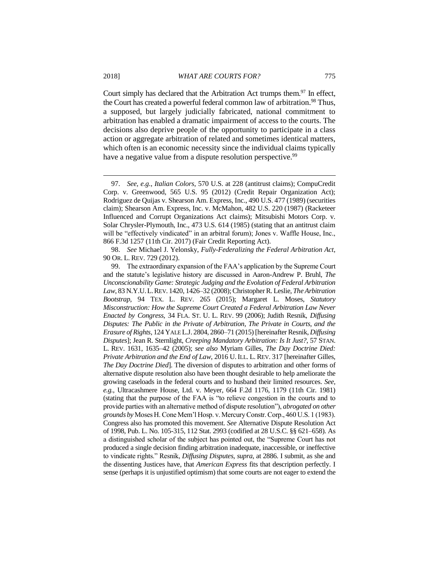Court simply has declared that the Arbitration Act trumps them.<sup>97</sup> In effect, the Court has created a powerful federal common law of arbitration.<sup>98</sup> Thus, a supposed, but largely judicially fabricated, national commitment to arbitration has enabled a dramatic impairment of access to the courts. The decisions also deprive people of the opportunity to participate in a class action or aggregate arbitration of related and sometimes identical matters, which often is an economic necessity since the individual claims typically have a negative value from a dispute resolution perspective.<sup>99</sup>

<sup>97.</sup> *See, e.g.*, *Italian Colors*, 570 U.S. at 228 (antitrust claims); CompuCredit Corp. v. Greenwood, 565 U.S. 95 (2012) (Credit Repair Organization Act); Rodriguez de Quijas v. Shearson Am. Express, Inc., 490 U.S. 477 (1989) (securities claim); Shearson Am. Express, Inc. v. McMahon, 482 U.S. 220 (1987) (Racketeer Influenced and Corrupt Organizations Act claims); Mitsubishi Motors Corp. v. Solar Chrysler-Plymouth, Inc., 473 U.S. 614 (1985) (stating that an antitrust claim will be "effectively vindicated" in an arbitral forum); Jones v. Waffle House, Inc., 866 F.3d 1257 (11th Cir. 2017) (Fair Credit Reporting Act).

<sup>98.</sup> *See* Michael J. Yelonsky, *Fully-Federalizing the Federal Arbitration Act*, 90 OR. L. REV. 729 (2012).

<sup>99.</sup> The extraordinary expansion of the FAA's application by the Supreme Court and the statute's legislative history are discussed in Aaron-Andrew P. Bruhl, *The Unconscionability Game: Strategic Judging and the Evolution of Federal Arbitration Law*, 83 N.Y.U.L.REV. 1420, 1426–32 (2008); Christopher R. Leslie, *The Arbitration Bootstrap*, 94 TEX. L. REV. 265 (2015); Margaret L. Moses, *Statutory Misconstruction: How the Supreme Court Created a Federal Arbitration Law Never Enacted by Congress*, 34 FLA. ST. U. L. REV. 99 (2006); Judith Resnik, *Diffusing Disputes: The Public in the Private of Arbitration, The Private in Courts, and the Erasure of Rights*, 124 YALE L.J. 2804, 2860–71 (2015) [hereinafter Resnik, *Diffusing Disputes*]; Jean R. Sternlight, *Creeping Mandatory Arbitration: Is It Just?*, 57 STAN. L. REV. 1631, 1635–42 (2005); *see also* Myriam Gilles, *The Day Doctrine Died: Private Arbitration and the End of Law*, 2016 U.ILL. L. REV. 317 [hereinafter Gilles, *The Day Doctrine Died*]. The diversion of disputes to arbitration and other forms of alternative dispute resolution also have been thought desirable to help ameliorate the growing caseloads in the federal courts and to husband their limited resources. *See, e.g.*, Ultracashmere House, Ltd. v. Meyer, 664 F.2d 1176, 1179 (11th Cir. 1981) (stating that the purpose of the FAA is "to relieve congestion in the courts and to provide parties with an alternative method of dispute resolution"), *abrogated on other grounds by* Moses H. Cone Mem'l Hosp. v. Mercury Constr. Corp., 460 U.S. 1 (1983). Congress also has promoted this movement. *See* Alternative Dispute Resolution Act of 1998, Pub. L. No. 105-315, 112 Stat. 2993 (codified at 28 U.S.C. §§ 621–658). As a distinguished scholar of the subject has pointed out, the "Supreme Court has not produced a single decision finding arbitration inadequate, inaccessible, or ineffective to vindicate rights." Resnik, *Diffusing Disputes*, *supra*, at 2886. I submit, as she and the dissenting Justices have, that *American Express* fits that description perfectly. I sense (perhaps it is unjustified optimism) that some courts are not eager to extend the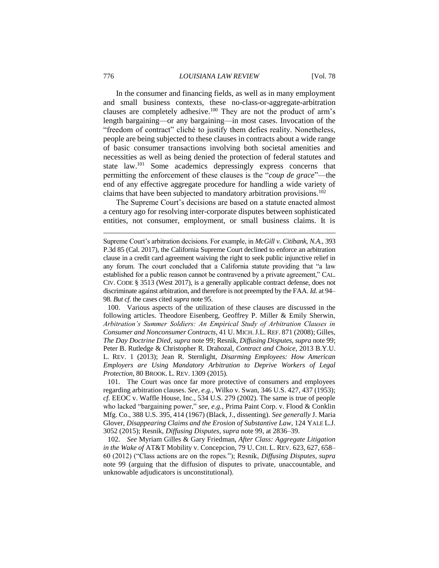In the consumer and financing fields, as well as in many employment and small business contexts, these no-class-or-aggregate-arbitration clauses are completely adhesive.<sup>100</sup> They are not the product of arm's length bargaining—or any bargaining—in most cases. Invocation of the "freedom of contract" cliché to justify them defies reality. Nonetheless, people are being subjected to these clauses in contracts about a wide range of basic consumer transactions involving both societal amenities and necessities as well as being denied the protection of federal statutes and state law.<sup>101</sup> Some academics depressingly express concerns that permitting the enforcement of these clauses is the "*coup de grace*"—the end of any effective aggregate procedure for handling a wide variety of claims that have been subjected to mandatory arbitration provisions.<sup>102</sup>

The Supreme Court's decisions are based on a statute enacted almost a century ago for resolving inter-corporate disputes between sophisticated entities, not consumer, employment, or small business claims. It is

100. Various aspects of the utilization of these clauses are discussed in the following articles. Theodore Eisenberg, Geoffrey P. Miller & Emily Sherwin, *Arbitration's Summer Soldiers: An Empirical Study of Arbitration Clauses in Consumer and Nonconsumer Contracts*, 41 U. MICH.J.L. REF. 871 (2008); Gilles, *The Day Doctrine Died, supra* note 99; Resnik, *Diffusing Disputes, supra* note 99; Peter B. Rutledge & Christopher R. Drahozal, *Contract and Choice*, 2013 B.Y.U. L. REV. 1 (2013); Jean R. Sternlight, *Disarming Employees: How American Employers are Using Mandatory Arbitration to Deprive Workers of Legal Protection*, 80 BROOK. L. REV. 1309 (2015).

101. The Court was once far more protective of consumers and employees regarding arbitration clauses. *See, e.g.*, Wilko v. Swan, 346 U.S. 427, 437 (1953); *cf.* EEOC v. Waffle House, Inc., 534 U.S. 279 (2002). The same is true of people who lacked "bargaining power," *see, e.g.*, Prima Paint Corp. v. Flood & Conklin Mfg. Co., 388 U.S. 395, 414 (1967) (Black, J., dissenting). *See generally* J. Maria Glover, *Disappearing Claims and the Erosion of Substantive Law*, 124 YALE L.J. 3052 (2015); Resnik, *Diffusing Disputes*, *supra* note 99, at 2836–39.

102. *See* Myriam Gilles & Gary Friedman, *After Class: Aggregate Litigation in the Wake of* AT&T Mobility v. Concepcion, 79 U. CHI. L. REV. 623, 627, 658– 60 (2012) ("Class actions are on the ropes."); Resnik, *Diffusing Disputes, supra*  note 99 (arguing that the diffusion of disputes to private, unaccountable, and unknowable adjudicators is unconstitutional)*.*

Supreme Court's arbitration decisions. For example, in *McGill v. Citibank, N.A.*, 393 P.3d 85 (Cal. 2017), the California Supreme Court declined to enforce an arbitration clause in a credit card agreement waiving the right to seek public injunctive relief in any forum. The court concluded that a California statute providing that "a law established for a public reason cannot be contravened by a private agreement," CAL. CIV. CODE § 3513 (West 2017), is a generally applicable contract defense, does not discriminate against arbitration, and therefore is not preempted by the FAA. *Id.* at 94– 98. *But cf*. the cases cited *supra* note 95.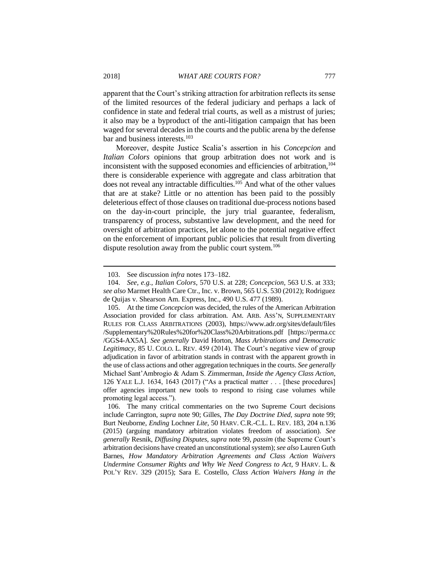apparent that the Court's striking attraction for arbitration reflects its sense of the limited resources of the federal judiciary and perhaps a lack of confidence in state and federal trial courts, as well as a mistrust of juries; it also may be a byproduct of the anti-litigation campaign that has been waged for several decades in the courts and the public arena by the defense bar and business interests.<sup>103</sup>

Moreover, despite Justice Scalia's assertion in his *Concepcion* and *Italian Colors* opinions that group arbitration does not work and is inconsistent with the supposed economies and efficiencies of arbitration,<sup>104</sup> there is considerable experience with aggregate and class arbitration that does not reveal any intractable difficulties.<sup>105</sup> And what of the other values that are at stake? Little or no attention has been paid to the possibly deleterious effect of those clauses on traditional due-process notions based on the day-in-court principle, the jury trial guarantee, federalism, transparency of process, substantive law development, and the need for oversight of arbitration practices, let alone to the potential negative effect on the enforcement of important public policies that result from diverting dispute resolution away from the public court system.<sup>106</sup>

<sup>103.</sup> See discussion *infra* notes 173–182.

<sup>104.</sup> *See, e.g.*, *Italian Colors*, 570 U.S. at 228; *Concepcion*, 563 U.S. at 333; *see also* Marmet Health Care Ctr., Inc. v. Brown, 565 U.S. 530 (2012); Rodriguez de Quijas v. Shearson Am. Express, Inc., 490 U.S. 477 (1989).

<sup>105.</sup> At the time *Concepcion* was decided, the rules of the American Arbitration Association provided for class arbitration. AM. ARB. ASS'N, SUPPLEMENTARY RULES FOR CLASS ARBITRATIONS (2003), https://www.adr.org/sites/default/files /Supplementary%20Rules%20for%20Class%20Arbitrations.pdf [https://perma.cc /GGS4-AX5A]. *See generally* David Horton, *Mass Arbitrations and Democratic Legitimacy*, 85 U. COLO. L. REV. 459 (2014). The Court's negative view of group adjudication in favor of arbitration stands in contrast with the apparent growth in the use of class actions and other aggregation techniques in the courts. *See generally* Michael Sant'Ambrogio & Adam S. Zimmerman, *Inside the Agency Class Action*, 126 YALE L.J. 1634, 1643 (2017) ("As a practical matter . . . [these procedures] offer agencies important new tools to respond to rising case volumes while promoting legal access.").

<sup>106.</sup> The many critical commentaries on the two Supreme Court decisions include Carrington, *supra* note 90; Gilles, *The Day Doctrine Died*, *supra* note 99; Burt Neuborne, *Ending* Lochner *Lite*, 50 HARV. C.R.-C.L. L. REV. 183, 204 n.136 (2015) (arguing mandatory arbitration violates freedom of association). *See generally* Resnik, *Diffusing Disputes, supra* note 99, *passim* (the Supreme Court's arbitration decisions have created an unconstitutional system); *see also* Lauren Guth Barnes, *How Mandatory Arbitration Agreements and Class Action Waivers Undermine Consumer Rights and Why We Need Congress to Act*, 9 HARV. L. & POL'Y REV. 329 (2015); Sara E. Costello, *Class Action Waivers Hang in the*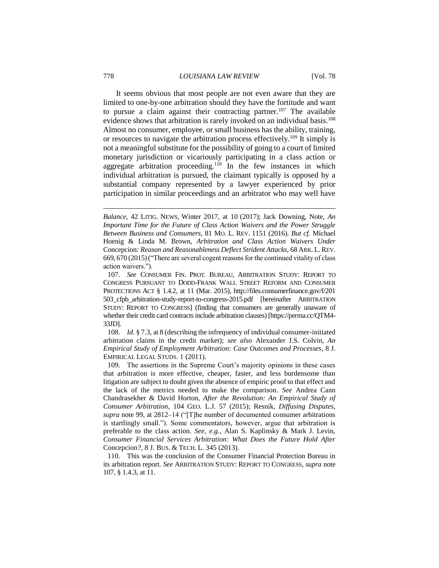It seems obvious that most people are not even aware that they are limited to one-by-one arbitration should they have the fortitude and want to pursue a claim against their contracting partner.<sup>107</sup> The available evidence shows that arbitration is rarely invoked on an individual basis.<sup>108</sup> Almost no consumer, employee, or small business has the ability, training, or resources to navigate the arbitration process effectively.<sup>109</sup> It simply is not a meaningful substitute for the possibility of going to a court of limited monetary jurisdiction or vicariously participating in a class action or aggregate arbitration proceeding.<sup>110</sup> In the few instances in which individual arbitration is pursued, the claimant typically is opposed by a substantial company represented by a lawyer experienced by prior participation in similar proceedings and an arbitrator who may well have

108. *Id*. § 7.3, at 8 (describing the infrequency of individual consumer-initiated arbitration claims in the credit market); *see also* Alexander J.S. Colvin, *An Empirical Study of Employment Arbitration: Case Outcomes and Processes*, 8 J. EMPIRICAL LEGAL STUDS. 1 (2011).

109. The assertions in the Supreme Court's majority opinions in these cases that arbitration is more effective, cheaper, faster, and less burdensome than litigation are subject to doubt given the absence of empiric proof to that effect and the lack of the metrics needed to make the comparison. *See* Andrea Cann Chandrasekher & David Horton, *After the Revolution: An Empirical Study of Consumer Arbitration*, 104 GEO. L.J. 57 (2015); Resnik, *Diffusing Disputes, supra* note 99, at 2812–14 ("[T]he number of documented consumer arbitrations is startlingly small."). Some commentators, however, argue that arbitration is preferable to the class action. *See, e.g.*, Alan S. Kaplinsky & Mark J. Levin, *Consumer Financial Services Arbitration: What Does the Future Hold After*  Concepcion*?*, 8 J. BUS. & TECH. L. 345 (2013).

110. This was the conclusion of the Consumer Financial Protection Bureau in its arbitration report. *See* ARBITRATION STUDY: REPORT TO CONGRESS, *supra* note 107, § 1.4.3, at 11.

*Balance*, 42 LITIG. NEWS, Winter 2017, at 10 (2017); Jack Downing, Note, *An Important Time for the Future of Class Action Waivers and the Power Struggle Between Business and Consumers*, 81 MO. L. REV. 1151 (2016). *But cf.* Michael Hoenig & Linda M. Brown, *Arbitration and Class Action Waivers Under*  Concepcion*: Reason and Reasonableness Deflect Strident Attacks*, 68 ARK. L. REV. 669, 670 (2015)("There are several cogent reasons for the continued vitality of class action waivers.").

<sup>107.</sup> *See* CONSUMER FIN. PROT. BUREAU, ARBITRATION STUDY: REPORT TO CONGRESS PURSUANT TO DODD-FRANK WALL STREET REFORM AND CONSUMER PROTECTIONS ACT § 1.4.2, at 11 (Mar. 2015), http://files.consumerfinance.gov/f/201 503\_cfpb\_arbitration-study-report-to-congress-2015.pdf [hereinafter ARBITRATION STUDY: REPORT TO CONGRESS] (finding that consumers are generally unaware of whether their credit card contracts include arbitration clauses) [https://perma.cc/QTM4- 33JD].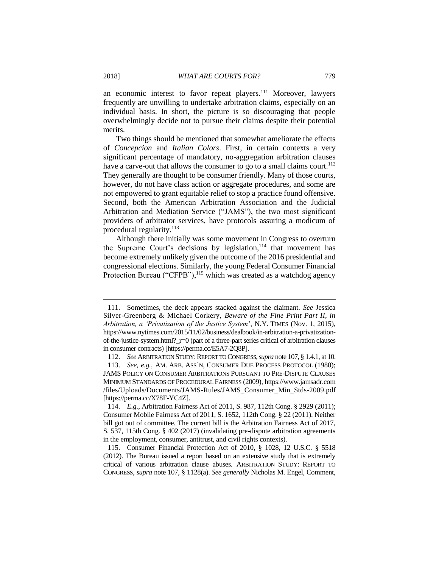an economic interest to favor repeat players.<sup>111</sup> Moreover, lawyers frequently are unwilling to undertake arbitration claims, especially on an individual basis. In short, the picture is so discouraging that people overwhelmingly decide not to pursue their claims despite their potential merits.

Two things should be mentioned that somewhat ameliorate the effects of *Concepcion* and *Italian Colors*. First, in certain contexts a very significant percentage of mandatory, no-aggregation arbitration clauses have a carve-out that allows the consumer to go to a small claims court.<sup>112</sup> They generally are thought to be consumer friendly. Many of those courts, however, do not have class action or aggregate procedures, and some are not empowered to grant equitable relief to stop a practice found offensive. Second, both the American Arbitration Association and the Judicial Arbitration and Mediation Service ("JAMS"), the two most significant providers of arbitrator services, have protocols assuring a modicum of procedural regularity.<sup>113</sup>

Although there initially was some movement in Congress to overturn the Supreme Court's decisions by legislation,<sup>114</sup> that movement has become extremely unlikely given the outcome of the 2016 presidential and congressional elections. Similarly, the young Federal Consumer Financial Protection Bureau ("CFPB"),<sup>115</sup> which was created as a watchdog agency

<sup>111.</sup> Sometimes, the deck appears stacked against the claimant. *See* Jessica Silver-Greenberg & Michael Corkery, *Beware of the Fine Print Part II, in Arbitration, a 'Privatization of the Justice System*', N.Y. TIMES (Nov. 1, 2015), https://www.nytimes.com/2015/11/02/business/dealbook/in-arbitration-a-privatizationof-the-justice-system.html?  $r=0$  (part of a three-part series critical of arbitration clauses in consumer contracts) [https://perma.cc/E5A7-2Q8P].

<sup>112.</sup> *See* ARBITRATION STUDY:REPORT TO CONGRESS,*supra* note 107, § 1.4.1, at 10.

<sup>113.</sup> *See, e.g.*, AM. ARB. ASS'N, CONSUMER DUE PROCESS PROTOCOL (1980); JAMS POLICY ON CONSUMER ARBITRATIONS PURSUANT TO PRE-DISPUTE CLAUSES MINIMUM STANDARDS OF PROCEDURAL FAIRNESS (2009), https://www.jamsadr.com /files/Uploads/Documents/JAMS-Rules/JAMS\_Consumer\_Min\_Stds-2009.pdf [https://perma.cc/X78F-YC4Z].

<sup>114.</sup> *E.g.*, Arbitration Fairness Act of 2011, S. 987, 112th Cong. § 2929 (2011); Consumer Mobile Fairness Act of 2011, S. 1652, 112th Cong. § 22 (2011). Neither bill got out of committee. The current bill is the Arbitration Fairness Act of 2017, S. 537, 115th Cong. § 402 (2017) (invalidating pre-dispute arbitration agreements in the employment, consumer, antitrust, and civil rights contexts).

<sup>115.</sup> Consumer Financial Protection Act of 2010, § 1028, 12 U.S.C. § 5518 (2012). The Bureau issued a report based on an extensive study that is extremely critical of various arbitration clause abuses. ARBITRATION STUDY: REPORT TO CONGRESS, *supra* note 107, § 1128(a). *See generally* Nicholas M. Engel, Comment,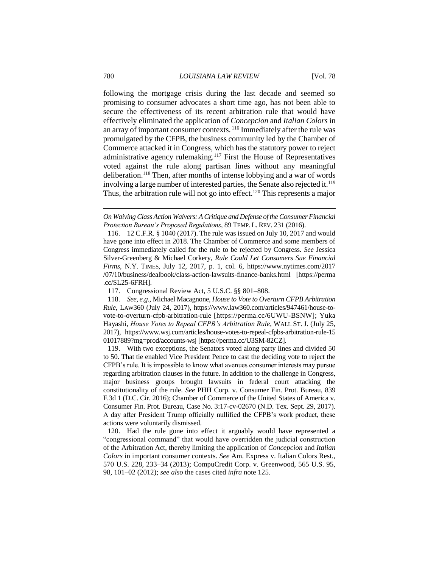following the mortgage crisis during the last decade and seemed so promising to consumer advocates a short time ago, has not been able to secure the effectiveness of its recent arbitration rule that would have effectively eliminated the application of *Concepcion* and *Italian Colors* in an array of important consumer contexts.  $116$  Immediately after the rule was promulgated by the CFPB, the business community led by the Chamber of Commerce attacked it in Congress, which has the statutory power to reject administrative agency rulemaking.<sup>117</sup> First the House of Representatives voted against the rule along partisan lines without any meaningful deliberation.<sup>118</sup> Then, after months of intense lobbying and a war of words involving a large number of interested parties, the Senate also rejected it.<sup>119</sup> Thus, the arbitration rule will not go into effect.<sup>120</sup> This represents a major

117. Congressional Review Act, 5 U.S.C. §§ 801–808.

118. *See, e.g.*, Michael Macagnone, *House to Vote to Overturn CFPB Arbitration Rule*, LAW360 (July 24, 2017), https://www.law360.com/articles/947461/house-tovote-to-overturn-cfpb-arbitration-rule [https://perma.cc/6UWU-BSNW]; Yuka Hayashi, *House Votes to Repeal CFPB's Arbitration Rule*, WALL ST. J. (July 25, 2017), https://www.wsj.com/articles/house-votes-to-repeal-cfpbs-arbitration-rule-15 01017889?mg=prod/accounts-wsj [https://perma.cc/U3SM-82CZ].

119. With two exceptions, the Senators voted along party lines and divided 50 to 50. That tie enabled Vice President Pence to cast the deciding vote to reject the CFPB's rule. It is impossible to know what avenues consumer interests may pursue regarding arbitration clauses in the future. In addition to the challenge in Congress, major business groups brought lawsuits in federal court attacking the constitutionality of the rule. *See* PHH Corp. v. Consumer Fin. Prot. Bureau, 839 F.3d 1 (D.C. Cir. 2016); Chamber of Commerce of the United States of America v. Consumer Fin. Prot. Bureau, Case No. 3:17-cv-02670 (N.D. Tex. Sept. 29, 2017). A day after President Trump officially nullified the CFPB's work product, these actions were voluntarily dismissed.

120. Had the rule gone into effect it arguably would have represented a "congressional command" that would have overridden the judicial construction of the Arbitration Act, thereby limiting the application of *Concepcion* and *Italian Colors* in important consumer contexts. *See* Am. Express v. Italian Colors Rest., 570 U.S. 228, 233–34 (2013); CompuCredit Corp. v. Greenwood, 565 U.S. 95, 98, 101–02 (2012); *see also* the cases cited *infra* note 125.

*On Waiving Class Action Waivers: A Critique and Defense of the Consumer Financial Protection Bureau's Proposed Regulations*, 89 TEMP. L. REV. 231 (2016).

<sup>116.</sup> 12 C.F.R. § 1040 (2017). The rule was issued on July 10, 2017 and would have gone into effect in 2018. The Chamber of Commerce and some members of Congress immediately called for the rule to be rejected by Congress. *See* Jessica Silver-Greenberg & Michael Corkery, *Rule Could Let Consumers Sue Financial Firms*, N.Y. TIMES, July 12, 2017, p. 1, col. 6, https://www.nytimes.com/2017 /07/10/business/dealbook/class-action-lawsuits-finance-banks.html [https://perma .cc/SL25-6FRH].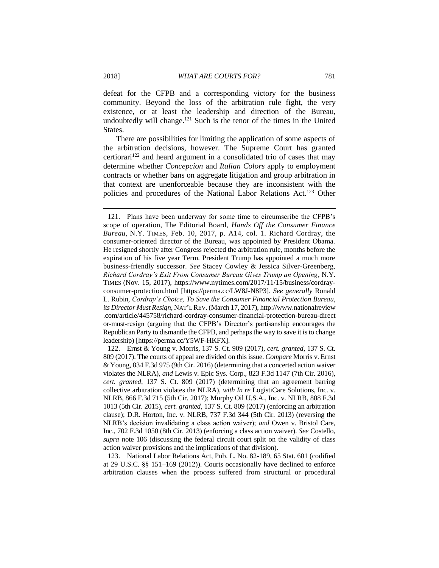defeat for the CFPB and a corresponding victory for the business community. Beyond the loss of the arbitration rule fight, the very existence, or at least the leadership and direction of the Bureau, undoubtedly will change.<sup>121</sup> Such is the tenor of the times in the United States.

There are possibilities for limiting the application of some aspects of the arbitration decisions, however. The Supreme Court has granted certiorari<sup>122</sup> and heard argument in a consolidated trio of cases that may determine whether *Concepcion* and *Italian Colors* apply to employment contracts or whether bans on aggregate litigation and group arbitration in that context are unenforceable because they are inconsistent with the policies and procedures of the National Labor Relations Act.<sup>123</sup> Other

123. National Labor Relations Act, Pub. L. No. 82-189, 65 Stat. 601 (codified at 29 U.S.C. §§ 151–169 (2012)). Courts occasionally have declined to enforce arbitration clauses when the process suffered from structural or procedural

<sup>121.</sup> Plans have been underway for some time to circumscribe the CFPB's scope of operation, The Editorial Board, *Hands Off the Consumer Finance Bureau*, N.Y. TIMES, Feb. 10, 2017, p. A14, col. 1. Richard Cordray, the consumer-oriented director of the Bureau, was appointed by President Obama. He resigned shortly after Congress rejected the arbitration rule, months before the expiration of his five year Term. President Trump has appointed a much more business-friendly successor. *See* Stacey Cowley & Jessica Silver-Greenberg, *Richard Cordray's Exit From Consumer Bureau Gives Trump an Opening*, N.Y. TIMES (Nov. 15, 2017), [https://www.nytimes.com/2017/11/15/business/cordray](https://www.nytimes.com/2017/11/15/business/cordray-consumer-protection.html)[consumer-protection.html](https://www.nytimes.com/2017/11/15/business/cordray-consumer-protection.html) [https://perma.cc/LW8J-N8P3]. *See generally* Ronald L. Rubin, *Cordray's Choice, To Save the Consumer Financial Protection Bureau, its Director Must Resign*, NAT'L REV. (March 17, 2017), http://www.nationalreview .com/article/445758/richard-cordray-consumer-financial-protection-bureau-direct or-must-resign (arguing that the CFPB's Director's partisanship encourages the Republican Party to dismantle the CFPB, and perhaps the way to save it is to change leadership) [https://perma.cc/Y5WF-HKFX].

<sup>122.</sup> Ernst & Young v. Morris, 137 S. Ct. 909 (2017), *cert. granted*, 137 S. Ct. 809 (2017). The courts of appeal are divided on this issue. *Compare* Morris v. Ernst & Young, 834 F.3d 975 (9th Cir. 2016) (determining that a concerted action waiver violates the NLRA), *and* Lewis v. Epic Sys. Corp., 823 F.3d 1147 (7th Cir. 2016), *cert. granted*, 137 S. Ct. 809 (2017) (determining that an agreement barring collective arbitration violates the NLRA), *with In re* LogistiCare Solutions, Inc. v. NLRB, 866 F.3d 715 (5th Cir. 2017); Murphy Oil U.S.A., Inc. v. NLRB, 808 F.3d 1013 (5th Cir. 2015), *cert. granted*, 137 S. Ct. 809 (2017) (enforcing an arbitration clause); D.R. Horton, Inc. v. NLRB, 737 F.3d 344 (5th Cir. 2013) (reversing the NLRB's decision invalidating a class action waiver); *and* Owen v. Bristol Care, Inc., 702 F.3d 1050 (8th Cir. 2013) (enforcing a class action waiver). *See* Costello, *supra* note 106 (discussing the federal circuit court split on the validity of class action waiver provisions and the implications of that division).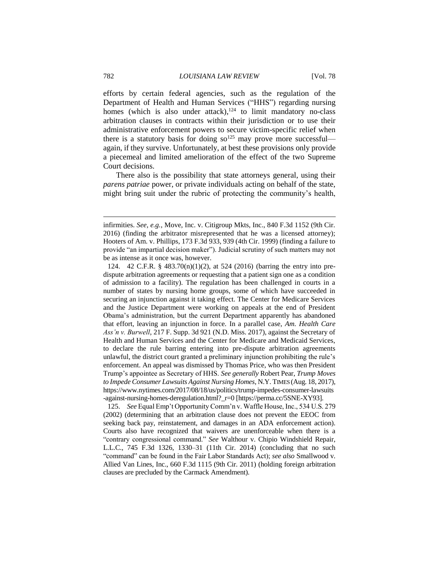efforts by certain federal agencies, such as the regulation of the Department of Health and Human Services ("HHS") regarding nursing homes (which is also under attack), $124$  to limit mandatory no-class arbitration clauses in contracts within their jurisdiction or to use their administrative enforcement powers to secure victim-specific relief when there is a statutory basis for doing  $so^{125}$  may prove more successful again, if they survive. Unfortunately, at best these provisions only provide a piecemeal and limited amelioration of the effect of the two Supreme Court decisions.

There also is the possibility that state attorneys general, using their *parens patriae* power, or private individuals acting on behalf of the state, might bring suit under the rubric of protecting the community's health,

125. *See* Equal Emp't Opportunity Comm'n v. Waffle House, Inc., 534 U.S. 279 (2002) (determining that an arbitration clause does not prevent the EEOC from seeking back pay, reinstatement, and damages in an ADA enforcement action). Courts also have recognized that waivers are unenforceable when there is a "contrary congressional command." *See* Walthour v. Chipio Windshield Repair, L.L.C., 745 F.3d 1326, 1330–31 (11th Cir. 2014) (concluding that no such "command" can be found in the Fair Labor Standards Act); *see also* Smallwood v. Allied Van Lines, Inc., 660 F.3d 1115 (9th Cir. 2011) (holding foreign arbitration clauses are precluded by the Carmack Amendment).

infirmities. *See, e.g.*, Move, Inc. v. Citigroup Mkts, Inc., 840 F.3d 1152 (9th Cir. 2016) (finding the arbitrator misrepresented that he was a licensed attorney); Hooters of Am. v. Phillips, 173 F.3d 933, 939 (4th Cir. 1999) (finding a failure to provide "an impartial decision maker"). Judicial scrutiny of such matters may not be as intense as it once was, however.

<sup>124.</sup> 42 C.F.R. § 483.70(n)(1)(2), at 524 (2016) (barring the entry into predispute arbitration agreements or requesting that a patient sign one as a condition of admission to a facility). The regulation has been challenged in courts in a number of states by nursing home groups, some of which have succeeded in securing an injunction against it taking effect. The Center for Medicare Services and the Justice Department were working on appeals at the end of President Obama's administration, but the current Department apparently has abandoned that effort, leaving an injunction in force. In a parallel case, *Am. Health Care Ass'n v. Burwell*, 217 F. Supp. 3d 921 (N.D. Miss. 2017), against the Secretary of Health and Human Services and the Center for Medicare and Medicaid Services, to declare the rule barring entering into pre-dispute arbitration agreements unlawful, the district court granted a preliminary injunction prohibiting the rule's enforcement. An appeal was dismissed by Thomas Price, who was then President Trump's appointee as Secretary of HHS. *See generally* Robert Pear, *Trump Moves to Impede Consumer Lawsuits Against Nursing Homes*, N.Y. TIMES (Aug. 18, 2017), https://www.nytimes.com/2017/08/18/us/politics/trump-impedes-consumer-lawsuits -against-nursing-homes-deregulation.html?\_r=0 [https://perma.cc/5SNE-XY93].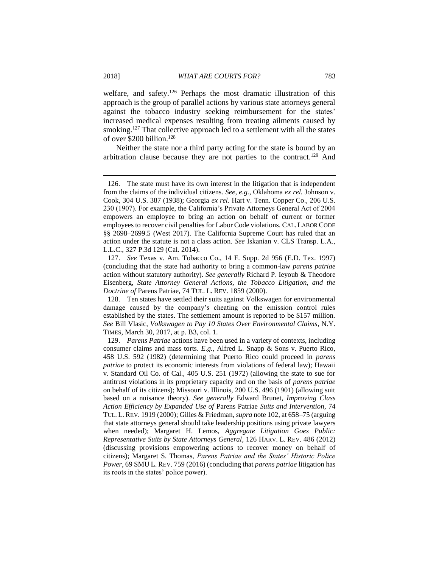welfare, and safety.<sup>126</sup> Perhaps the most dramatic illustration of this approach is the group of parallel actions by various state attorneys general against the tobacco industry seeking reimbursement for the states' increased medical expenses resulting from treating ailments caused by smoking.<sup>127</sup> That collective approach led to a settlement with all the states of over \$200 billion.<sup>128</sup>

Neither the state nor a third party acting for the state is bound by an arbitration clause because they are not parties to the contract.<sup>129</sup> And

<sup>126.</sup> The state must have its own interest in the litigation that is independent from the claims of the individual citizens. *See, e.g.*, Oklahoma *ex rel.* Johnson v. Cook, 304 U.S. 387 (1938); Georgia *ex rel.* Hart v. Tenn. Copper Co., 206 U.S. 230 (1907). For example, the California's Private Attorneys General Act of 2004 empowers an employee to bring an action on behalf of current or former employees to recover civil penalties for Labor Code violations. CAL. LABOR CODE §§ 2698–2699.5 (West 2017). The California Supreme Court has ruled that an action under the statute is not a class action. *See* Iskanian v. CLS Transp. L.A., L.L.C., 327 P.3d 129 (Cal. 2014).

<sup>127.</sup> *See* Texas v. Am. Tobacco Co., 14 F. Supp. 2d 956 (E.D. Tex. 1997) (concluding that the state had authority to bring a common-law *parens patriae* action without statutory authority). *See generally* Richard P. Ieyoub & Theodore Eisenberg, *State Attorney General Actions, the Tobacco Litigation, and the Doctrine of* Parens Patriae, 74 TUL. L. REV. 1859 (2000).

<sup>128.</sup> Ten states have settled their suits against Volkswagen for environmental damage caused by the company's cheating on the emission control rules established by the states. The settlement amount is reported to be \$157 million. *See* Bill Vlasic, *Volkswagen to Pay 10 States Over Environmental Claims*, N.Y. TIMES, March 30, 2017, at p. B3, col. 1.

<sup>129.</sup> *Parens Patriae* actions have been used in a variety of contexts, including consumer claims and mass torts. *E.g.*, Alfred L. Snapp & Sons v. Puerto Rico, 458 U.S. 592 (1982) (determining that Puerto Rico could proceed in *parens patriae* to protect its economic interests from violations of federal law); Hawaii v. Standard Oil Co. of Cal., 405 U.S. 251 (1972) (allowing the state to sue for antitrust violations in its proprietary capacity and on the basis of *parens patriae* on behalf of its citizens); Missouri v. Illinois, 200 U.S. 496 (1901) (allowing suit based on a nuisance theory). *See generally* Edward Brunet, *Improving Class Action Efficiency by Expanded Use of* Parens Patriae *Suits and Intervention*, 74 TUL. L. REV. 1919 (2000); Gilles & Friedman, *supra* note 102, at 658–75 (arguing that state attorneys general should take leadership positions using private lawyers when needed); Margaret H. Lemos, *Aggregate Litigation Goes Public: Representative Suits by State Attorneys General*, 126 HARV. L. REV. 486 (2012) (discussing provisions empowering actions to recover money on behalf of citizens); Margaret S. Thomas, *Parens Patriae and the States' Historic Police Power*, 69 SMU L. REV. 759 (2016) (concluding that *parens patriae* litigation has its roots in the states' police power).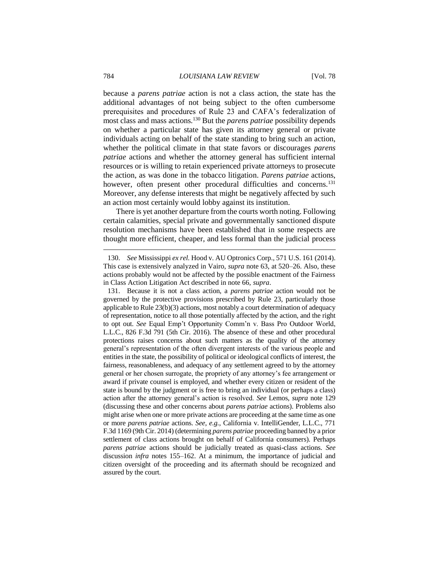because a *parens patriae* action is not a class action, the state has the additional advantages of not being subject to the often cumbersome prerequisites and procedures of Rule 23 and CAFA's federalization of most class and mass actions.<sup>130</sup> But the *parens patriae* possibility depends on whether a particular state has given its attorney general or private individuals acting on behalf of the state standing to bring such an action, whether the political climate in that state favors or discourages *parens patriae* actions and whether the attorney general has sufficient internal resources or is willing to retain experienced private attorneys to prosecute the action, as was done in the tobacco litigation. *Parens patriae* actions, however, often present other procedural difficulties and concerns.<sup>131</sup> Moreover, any defense interests that might be negatively affected by such an action most certainly would lobby against its institution.

There is yet another departure from the courts worth noting. Following certain calamities, special private and governmentally sanctioned dispute resolution mechanisms have been established that in some respects are thought more efficient, cheaper, and less formal than the judicial process

<sup>130.</sup> *See* Mississippi *ex rel.* Hood v. AU Optronics Corp., 571 U.S. 161 (2014). This case is extensively analyzed in Vairo, *supra* note 63, at 520–26. Also, these actions probably would not be affected by the possible enactment of the Fairness in Class Action Litigation Act described in note 66, *supra*.

<sup>131.</sup> Because it is not a class action, a *parens patriae* action would not be governed by the protective provisions prescribed by Rule 23, particularly those applicable to Rule 23(b)(3) actions, most notably a court determination of adequacy of representation, notice to all those potentially affected by the action, and the right to opt out. *See* Equal Emp't Opportunity Comm'n v. Bass Pro Outdoor World, L.L.C., 826 F.3d 791 (5th Cir. 2016). The absence of these and other procedural protections raises concerns about such matters as the quality of the attorney general's representation of the often divergent interests of the various people and entities in the state, the possibility of political or ideological conflicts of interest, the fairness, reasonableness, and adequacy of any settlement agreed to by the attorney general or her chosen surrogate, the propriety of any attorney's fee arrangement or award if private counsel is employed, and whether every citizen or resident of the state is bound by the judgment or is free to bring an individual (or perhaps a class) action after the attorney general's action is resolved. *See* Lemos, *supra* note 129 (discussing these and other concerns about *parens patriae* actions). Problems also might arise when one or more private actions are proceeding at the same time as one or more *parens patriae* actions. *See, e.g.*, California v. IntelliGender, L.L.C., 771 F.3d 1169 (9th Cir. 2014) (determining *parens patriae* proceeding banned by a prior settlement of class actions brought on behalf of California consumers). Perhaps *parens patriae* actions should be judicially treated as quasi-class actions. *See* discussion *infra* notes 155–162. At a minimum, the importance of judicial and citizen oversight of the proceeding and its aftermath should be recognized and assured by the court.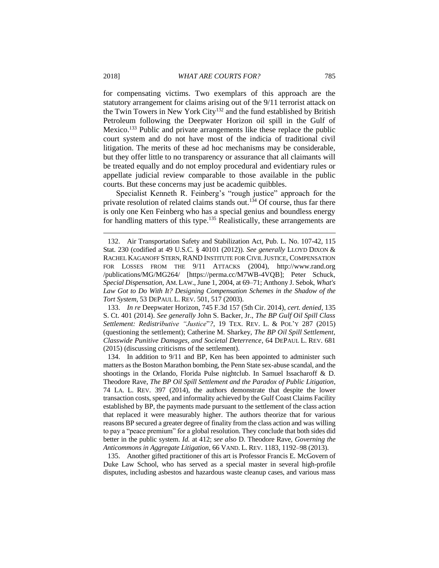for compensating victims. Two exemplars of this approach are the statutory arrangement for claims arising out of the 9/11 terrorist attack on the Twin Towers in New York City<sup>132</sup> and the fund established by British Petroleum following the Deepwater Horizon oil spill in the Gulf of Mexico.<sup>133</sup> Public and private arrangements like these replace the public court system and do not have most of the indicia of traditional civil litigation. The merits of these ad hoc mechanisms may be considerable, but they offer little to no transparency or assurance that all claimants will be treated equally and do not employ procedural and evidentiary rules or appellate judicial review comparable to those available in the public courts. But these concerns may just be academic quibbles.

Specialist Kenneth R. Feinberg's "rough justice" approach for the private resolution of related claims stands out.<sup>134</sup> Of course, thus far there is only one Ken Feinberg who has a special genius and boundless energy for handling matters of this type.<sup>135</sup> Realistically, these arrangements are

133. *In re* Deepwater Horizon, 745 F.3d 157 (5th Cir. 2014), *cert. denied*, 135 S. Ct. 401 (2014). *See generally* John S. Backer, Jr., *The BP Gulf Oil Spill Class Settlement: Redistributive "Justice*"*?*, 19 TEX. REV. L. & POL'Y 287 (2015) (questioning the settlement); Catherine M. Sharkey, *The BP Oil Spill Settlement, Classwide Punitive Damages, and Societal Deterrence*, 64 DEPAUL L. REV. 681 (2015) (discussing criticisms of the settlement).

134. In addition to 9/11 and BP, Ken has been appointed to administer such matters as the Boston Marathon bombing, the Penn State sex-abuse scandal, and the shootings in the Orlando, Florida Pulse nightclub. In Samuel Issacharoff & D. Theodore Rave, *The BP Oil Spill Settlement and the Paradox of Public Litigation*, 74 LA. L. REV. 397 (2014), the authors demonstrate that despite the lower transaction costs, speed, and informality achieved by the Gulf Coast Claims Facility established by BP, the payments made pursuant to the settlement of the class action that replaced it were measurably higher. The authors theorize that for various reasons BP secured a greater degree of finality from the class action and was willing to pay a "peace premium" for a global resolution. They conclude that both sides did better in the public system. *Id.* at 412; *see also* D. Theodore Rave, *Governing the Anticommons in Aggregate Litigation*, 66 VAND. L. REV. 1183, 1192–98 (2013).

135. Another gifted practitioner of this art is Professor Francis E. McGovern of Duke Law School, who has served as a special master in several high-profile disputes, including asbestos and hazardous waste cleanup cases, and various mass

<sup>132.</sup> Air Transportation Safety and Stabilization Act, Pub. L. No. 107-42, 115 Stat. 230 (codified at 49 U.S.C. § 40101 (2012)). *See generally* LLOYD DIXON & RACHEL KAGANOFF STERN, RAND INSTITUTE FOR CIVIL JUSTICE, COMPENSATION FOR LOSSES FROM THE 9/11 ATTACKS (2004), http://www.rand.org /publications/MG/MG264/ [https://perma.cc/M7WB-4VQB]; Peter Schuck, *Special Dispensation*, AM. LAW., June 1, 2004, at 69–71; Anthony J. Sebok, *What's*  Law Got to Do With It? Designing Compensation Schemes in the Shadow of the *Tort System*, 53 DEPAUL L. REV. 501, 517 (2003).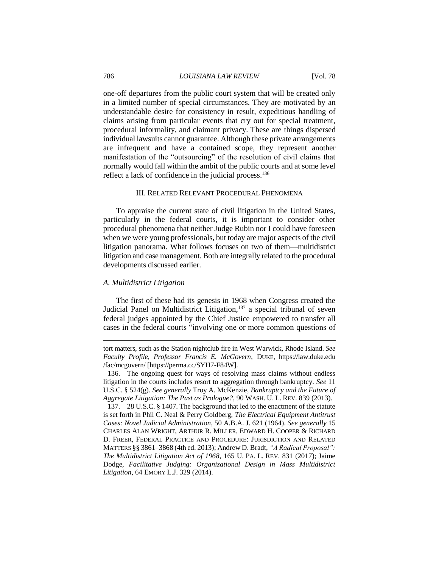# 786 *LOUISIANA LAW REVIEW* [Vol. 78

one-off departures from the public court system that will be created only in a limited number of special circumstances. They are motivated by an understandable desire for consistency in result, expeditious handling of claims arising from particular events that cry out for special treatment, procedural informality, and claimant privacy. These are things dispersed individual lawsuits cannot guarantee. Although these private arrangements are infrequent and have a contained scope, they represent another manifestation of the "outsourcing" of the resolution of civil claims that normally would fall within the ambit of the public courts and at some level reflect a lack of confidence in the judicial process. 136

# III. RELATED RELEVANT PROCEDURAL PHENOMENA

To appraise the current state of civil litigation in the United States, particularly in the federal courts, it is important to consider other procedural phenomena that neither Judge Rubin nor I could have foreseen when we were young professionals, but today are major aspects of the civil litigation panorama. What follows focuses on two of them—multidistrict litigation and case management. Both are integrally related to the procedural developments discussed earlier.

# *A. Multidistrict Litigation*

 $\overline{a}$ 

The first of these had its genesis in 1968 when Congress created the Judicial Panel on Multidistrict Litigation,<sup>137</sup> a special tribunal of seven federal judges appointed by the Chief Justice empowered to transfer all cases in the federal courts "involving one or more common questions of

tort matters, such as the Station nightclub fire in West Warwick, Rhode Island. *See Faculty Profile, Professor Francis E. McGovern*, DUKE, https://law.duke.edu /fac/mcgovern/ [https://perma.cc/SYH7-F84W].

<sup>136.</sup> The ongoing quest for ways of resolving mass claims without endless litigation in the courts includes resort to aggregation through bankruptcy. *See* 11 U.S.C. § 524(g). *See generally* Troy A. McKenzie, *Bankruptcy and the Future of Aggregate Litigation: The Past as Prologue?*, 90 WASH. U. L. REV. 839 (2013).

<sup>137.</sup> 28 U.S.C. § 1407. The background that led to the enactment of the statute is set forth in Phil C. Neal & Perry Goldberg, *The Electrical Equipment Antitrust Cases: Novel Judicial Administration*, 50 A.B.A. J. 621 (1964). *See generally* 15 CHARLES ALAN WRIGHT, ARTHUR R. MILLER, EDWARD H. COOPER & RICHARD D. FREER, FEDERAL PRACTICE AND PROCEDURE: JURISDICTION AND RELATED MATTERS §§ 3861–3868 (4th ed. 2013); Andrew D. Bradt, *"A Radical Proposal": The Multidistrict Litigation Act of 1968*, 165 U. PA. L. REV. 831 (2017); Jaime Dodge, *Facilitative Judging: Organizational Design in Mass Multidistrict Litigation*, 64 EMORY L.J. 329 (2014).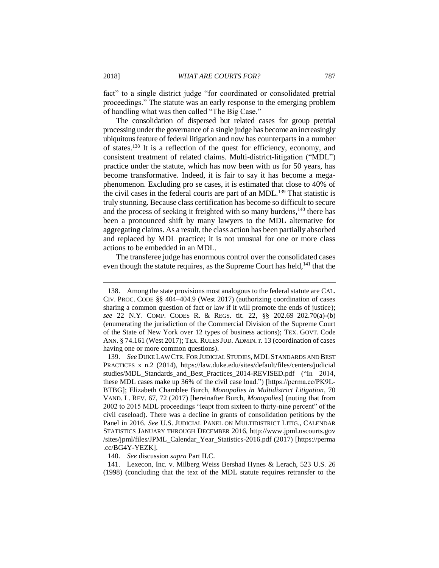fact" to a single district judge "for coordinated or consolidated pretrial proceedings." The statute was an early response to the emerging problem of handling what was then called "The Big Case."

The consolidation of dispersed but related cases for group pretrial processing under the governance of a single judge has become an increasingly ubiquitous feature of federal litigation and now has counterparts in a number of states.<sup>138</sup> It is a reflection of the quest for efficiency, economy, and consistent treatment of related claims. Multi-district-litigation ("MDL") practice under the statute, which has now been with us for 50 years, has become transformative. Indeed, it is fair to say it has become a megaphenomenon. Excluding pro se cases, it is estimated that close to 40% of the civil cases in the federal courts are part of an MDL.<sup>139</sup> That statistic is truly stunning. Because class certification has become so difficult to secure and the process of seeking it freighted with so many burdens,<sup>140</sup> there has been a pronounced shift by many lawyers to the MDL alternative for aggregating claims. As a result, the class action has been partially absorbed and replaced by MDL practice; it is not unusual for one or more class actions to be embedded in an MDL.

The transferee judge has enormous control over the consolidated cases even though the statute requires, as the Supreme Court has held,<sup>141</sup> that the

140. *See* discussion *supra* Part II.C.

141. Lexecon, Inc. v. Milberg Weiss Bershad Hynes & Lerach, 523 U.S. 26 (1998) (concluding that the text of the MDL statute requires retransfer to the

<sup>138.</sup> Among the state provisions most analogous to the federal statute are CAL. CIV. PROC. CODE §§ 404–404.9 (West 2017) (authorizing coordination of cases sharing a common question of fact or law if it will promote the ends of justice); *see* 22 N.Y. COMP. CODES R. & REGS. tit. 22, §§ 202.69–202.70(a)-(b) (enumerating the jurisdiction of the Commercial Division of the Supreme Court of the State of New York over 12 types of business actions); TEX. GOVT. Code ANN. § 74.161 (West 2017); TEX. RULES JUD. ADMIN. r. 13 (coordination of cases having one or more common questions).

<sup>139.</sup> *See* DUKE LAW CTR. FOR JUDICIAL STUDIES, MDLSTANDARDS AND BEST PRACTICES x n.2 (2014), https://law.duke.edu/sites/default/files/centers/judicial studies/MDL\_Standards\_and\_Best\_Practices\_2014-REVISED.pdf ("In 2014, these MDL cases make up 36% of the civil case load.") [https://perma.cc/PK9L-BTBG]; Elizabeth Chamblee Burch, *Monopolies in Multidistrict Litigation*, 70 VAND. L. REV. 67, 72 (2017) [hereinafter Burch, *Monopolies*] (noting that from 2002 to 2015 MDL proceedings "leapt from sixteen to thirty-nine percent" of the civil caseload). There was a decline in grants of consolidation petitions by the Panel in 2016. *See* U.S. JUDICIAL PANEL ON MULTIDISTRICT LITIG., CALENDAR STATISTICS JANUARY THROUGH DECEMBER 2016, http://www.jpml.uscourts.gov /sites/jpml/files/JPML\_Calendar\_Year\_Statistics-2016.pdf (2017) [https://perma .cc/BG4Y-YEZK].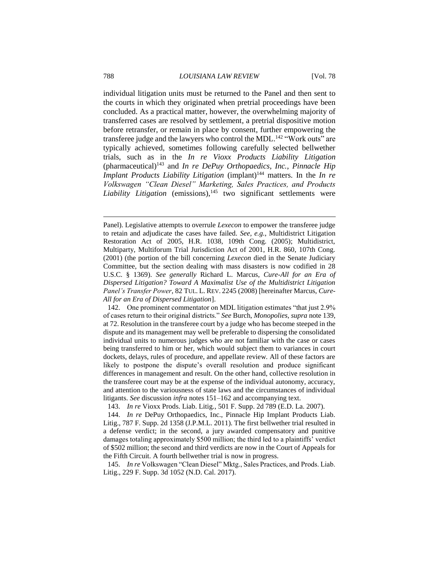individual litigation units must be returned to the Panel and then sent to the courts in which they originated when pretrial proceedings have been concluded. As a practical matter, however, the overwhelming majority of transferred cases are resolved by settlement, a pretrial dispositive motion before retransfer, or remain in place by consent, further empowering the transferee judge and the lawyers who control the MDL.<sup>142</sup> "Work outs" are typically achieved, sometimes following carefully selected bellwether trials, such as in the *In re Vioxx Products Liability Litigation* (pharmaceutical)<sup>143</sup> and *In re DePuy Orthopaedics, Inc.*, *Pinnacle Hip Implant Products Liability Litigation* (implant)<sup>144</sup> matters. In the *In re Volkswagen "Clean Diesel" Marketing, Sales Practices, and Products Liability Litigation* (emissions),<sup>145</sup> two significant settlements were

142. One prominent commentator on MDL litigation estimates "that just 2.9% of cases return to their original districts." *See* Burch, *Monopolies*, *supra* note 139, at 72. Resolution in the transferee court by a judge who has become steeped in the dispute and its management may well be preferable to dispersing the consolidated individual units to numerous judges who are not familiar with the case or cases being transferred to him or her, which would subject them to variances in court dockets, delays, rules of procedure, and appellate review. All of these factors are likely to postpone the dispute's overall resolution and produce significant differences in management and result. On the other hand, collective resolution in the transferee court may be at the expense of the individual autonomy, accuracy, and attention to the variousness of state laws and the circumstances of individual litigants. *See* discussion *infra* notes 151–162 and accompanying text.

143. *In re* Vioxx Prods. Liab. Litig., 501 F. Supp. 2d 789 (E.D. La. 2007).

144. *In re* DePuy Orthopaedics, Inc., Pinnacle Hip Implant Products Liab. Litig., 787 F. Supp. 2d 1358 (J.P.M.L. 2011). The first bellwether trial resulted in a defense verdict; in the second, a jury awarded compensatory and punitive damages totaling approximately \$500 million; the third led to a plaintiffs' verdict of \$502 million; the second and third verdicts are now in the Court of Appeals for the Fifth Circuit. A fourth bellwether trial is now in progress.

145. *In re* Volkswagen "Clean Diesel" Mktg., Sales Practices, and Prods. Liab. Litig., 229 F. Supp. 3d 1052 (N.D. Cal. 2017).

Panel). Legislative attempts to overrule *Lexecon* to empower the transferee judge to retain and adjudicate the cases have failed. *See, e.g.*, Multidistrict Litigation Restoration Act of 2005, H.R. 1038, 109th Cong. (2005); Multidistrict, Multiparty, Multiforum Trial Jurisdiction Act of 2001, H.R. 860, 107th Cong. (2001) (the portion of the bill concerning *Lexecon* died in the Senate Judiciary Committee, but the section dealing with mass disasters is now codified in 28 U.S.C. § 1369). *See generally* Richard L. Marcus, *Cure-All for an Era of Dispersed Litigation? Toward A Maximalist Use of the Multidistrict Litigation Panel's Transfer Power*, 82 TUL. L. REV. 2245 (2008) [hereinafter Marcus, *Cure-All for an Era of Dispersed Litigation*].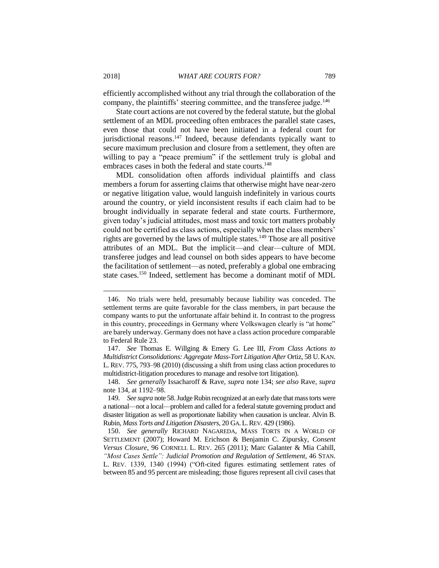efficiently accomplished without any trial through the collaboration of the company, the plaintiffs' steering committee, and the transferee judge.<sup>146</sup>

State court actions are not covered by the federal statute, but the global settlement of an MDL proceeding often embraces the parallel state cases, even those that could not have been initiated in a federal court for jurisdictional reasons.<sup>147</sup> Indeed, because defendants typically want to secure maximum preclusion and closure from a settlement, they often are willing to pay a "peace premium" if the settlement truly is global and embraces cases in both the federal and state courts.<sup>148</sup>

MDL consolidation often affords individual plaintiffs and class members a forum for asserting claims that otherwise might have near-zero or negative litigation value, would languish indefinitely in various courts around the country, or yield inconsistent results if each claim had to be brought individually in separate federal and state courts. Furthermore, given today's judicial attitudes, most mass and toxic tort matters probably could not be certified as class actions, especially when the class members' rights are governed by the laws of multiple states.<sup>149</sup> Those are all positive attributes of an MDL. But the implicit—and clear—culture of MDL transferee judges and lead counsel on both sides appears to have become the facilitation of settlement—as noted, preferably a global one embracing state cases.<sup>150</sup> Indeed, settlement has become a dominant motif of MDL

<sup>146.</sup> No trials were held, presumably because liability was conceded. The settlement terms are quite favorable for the class members, in part because the company wants to put the unfortunate affair behind it. In contrast to the progress in this country, proceedings in Germany where Volkswagen clearly is "at home" are barely underway. Germany does not have a class action procedure comparable to Federal Rule 23.

<sup>147.</sup> *See* Thomas E. Willging & Emery G. Lee III, *From Class Actions to Multidistrict Consolidations: Aggregate Mass-Tort Litigation After* Ortiz, 58 U. KAN. L. REV. 775, 793–98 (2010) (discussing a shift from using class action procedures to multidistrict-litigation procedures to manage and resolve tort litigation).

<sup>148.</sup> *See generally* Issacharoff & Rave, *supra* note 134; *see also* Rave, *supra*  note 134, at 1192–98.

<sup>149</sup>*. See supra* note 58. Judge Rubin recognized at an early date that mass torts were a national—not a local—problem and called for a federal statute governing product and disaster litigation as well as proportionate liability when causation is unclear. Alvin B. Rubin, *Mass Torts and Litigation Disasters*, 20 GA.L.REV. 429 (1986).

<sup>150.</sup> *See generally* RICHARD NAGAREDA, MASS TORTS IN A WORLD OF SETTLEMENT (2007); Howard M. Erichson & Benjamin C. Zipursky, *Consent Versus Closure*, 96 CORNELL L. REV. 265 (2011); Marc Galanter & Mia Cahill, *"Most Cases Settle": Judicial Promotion and Regulation of Settlement*, 46 STAN. L. REV. 1339, 1340 (1994) ("Oft-cited figures estimating settlement rates of between 85 and 95 percent are misleading; those figures represent all civil cases that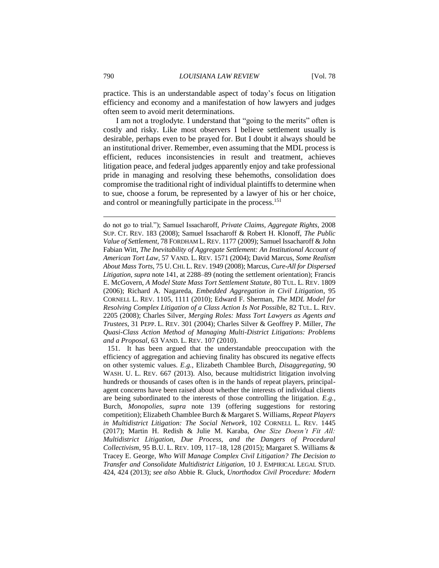practice. This is an understandable aspect of today's focus on litigation efficiency and economy and a manifestation of how lawyers and judges often seem to avoid merit determinations.

I am not a troglodyte. I understand that "going to the merits" often is costly and risky. Like most observers I believe settlement usually is desirable, perhaps even to be prayed for. But I doubt it always should be an institutional driver. Remember, even assuming that the MDL process is efficient, reduces inconsistencies in result and treatment, achieves litigation peace, and federal judges apparently enjoy and take professional pride in managing and resolving these behemoths, consolidation does compromise the traditional right of individual plaintiffs to determine when to sue, choose a forum, be represented by a lawyer of his or her choice, and control or meaningfully participate in the process.<sup>151</sup>

151. It has been argued that the understandable preoccupation with the efficiency of aggregation and achieving finality has obscured its negative effects on other systemic values. *E.g.*, Elizabeth Chamblee Burch, *Disaggregating*, 90 WASH. U. L. REV. 667 (2013). Also, because multidistrict litigation involving hundreds or thousands of cases often is in the hands of repeat players, principalagent concerns have been raised about whether the interests of individual clients are being subordinated to the interests of those controlling the litigation. *E.g.*, Burch, *Monopolies*, *supra* note 139 (offering suggestions for restoring competition); Elizabeth Chamblee Burch & Margaret S. Williams, *Repeat Players in Multidistrict Litigation: The Social Network*, 102 CORNELL L. REV. 1445 (2017); Martin H. Redish & Julie M. Karaba, *One Size Doesn't Fit All: Multidistrict Litigation, Due Process, and the Dangers of Procedural Collectivism*, 95 B.U. L. REV. 109, 117–18, 128 (2015); Margaret S. Williams & Tracey E. George, *Who Will Manage Complex Civil Litigation? The Decision to Transfer and Consolidate Multidistrict Litigation*, 10 J. EMPIRICAL LEGAL STUD. 424, 424 (2013); *see also* Abbie R. Gluck, *Unorthodox Civil Procedure: Modern* 

do not go to trial."); Samuel Issacharoff, *Private Claims, Aggregate Rights*, 2008 SUP. CT. REV. 183 (2008); Samuel Issacharoff & Robert H. Klonoff, *The Public Value of Settlement*, 78 FORDHAM L. REV. 1177 (2009); Samuel Issacharoff & John Fabian Witt, *The Inevitability of Aggregate Settlement: An Institutional Account of American Tort Law*, 57 VAND. L. REV. 1571 (2004); David Marcus, *Some Realism About Mass Torts*, 75 U. CHI. L. REV. 1949 (2008); Marcus, *Cure-All for Dispersed Litigation, supra* note 141, at 2288–89 (noting the settlement orientation); Francis E. McGovern, *A Model State Mass Tort Settlement Statute*, 80 TUL. L. REV. 1809 (2006); Richard A. Nagareda, *Embedded Aggregation in Civil Litigation*, 95 CORNELL L. REV. 1105, 1111 (2010); Edward F. Sherman, *The MDL Model for Resolving Complex Litigation of a Class Action Is Not Possibl*e, 82 TUL. L. REV. 2205 (2008); Charles Silver, *Merging Roles: Mass Tort Lawyers as Agents and Trustees*, 31 PEPP. L. REV. 301 (2004); Charles Silver & Geoffrey P. Miller, *The Quasi-Class Action Method of Managing Multi-District Litigations: Problems and a Proposal*, 63 VAND. L. REV. 107 (2010).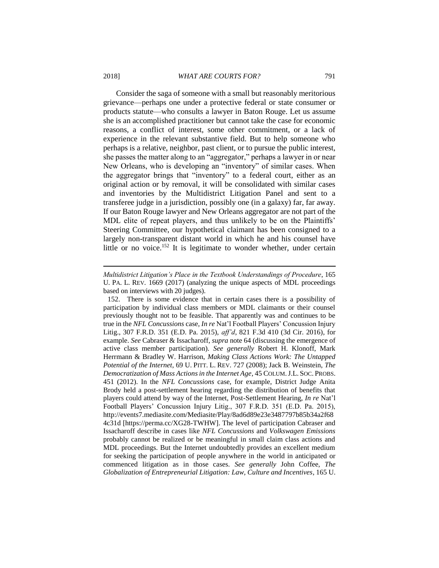Consider the saga of someone with a small but reasonably meritorious grievance—perhaps one under a protective federal or state consumer or products statute—who consults a lawyer in Baton Rouge. Let us assume she is an accomplished practitioner but cannot take the case for economic reasons, a conflict of interest, some other commitment, or a lack of experience in the relevant substantive field. But to help someone who perhaps is a relative, neighbor, past client, or to pursue the public interest, she passes the matter along to an "aggregator," perhaps a lawyer in or near New Orleans, who is developing an "inventory" of similar cases. When the aggregator brings that "inventory" to a federal court, either as an original action or by removal, it will be consolidated with similar cases and inventories by the Multidistrict Litigation Panel and sent to a transferee judge in a jurisdiction, possibly one (in a galaxy) far, far away. If our Baton Rouge lawyer and New Orleans aggregator are not part of the MDL elite of repeat players, and thus unlikely to be on the Plaintiffs' Steering Committee, our hypothetical claimant has been consigned to a largely non-transparent distant world in which he and his counsel have little or no voice.<sup>152</sup> It is legitimate to wonder whether, under certain

*Multidistrict Litigation's Place in the Textbook Understandings of Procedure*, 165 U. PA. L. REV. 1669 (2017) (analyzing the unique aspects of MDL proceedings based on interviews with 20 judges).

<sup>152.</sup> There is some evidence that in certain cases there is a possibility of participation by individual class members or MDL claimants or their counsel previously thought not to be feasible. That apparently was and continues to be true in the *NFL Concussions* case, *In re* Nat'l Football Players' Concussion Injury Litig., 307 F.R.D. 351 (E.D. Pa. 2015), *aff'd*, 821 F.3d 410 (3d Cir. 2016), for example. *See* Cabraser & Issacharoff, *supra* note 64 (discussing the emergence of active class member participation). *See generally* Robert H. Klonoff, Mark Herrmann & Bradley W. Harrison, *Making Class Actions Work: The Untapped Potential of the Internet*, 69 U. PITT. L. REV. 727 (2008); Jack B. Weinstein, *The Democratization of Mass Actions in the Internet Age*, 45 COLUM.J.L. SOC. PROBS. 451 (2012). In the *NFL Concussions* case, for example, District Judge Anita Brody held a post-settlement hearing regarding the distribution of benefits that players could attend by way of the Internet, Post-Settlement Hearing, *In re* Nat'l Football Players' Concussion Injury Litig., 307 F.R.D. 351 (E.D. Pa. 2015), http://events7.mediasite.com/Mediasite/Play/8ad6d89e23e3487797b85b34a2f68 4c31d [https://perma.cc/XG28-TWHW]. The level of participation Cabraser and Issacharoff describe in cases like *NFL Concussions* and *Volkswagen Emissions* probably cannot be realized or be meaningful in small claim class actions and MDL proceedings. But the Internet undoubtedly provides an excellent medium for seeking the participation of people anywhere in the world in anticipated or commenced litigation as in those cases. *See generally* John Coffee, *The Globalization of Entrepreneurial Litigation: Law, Culture and Incentives*, 165 U.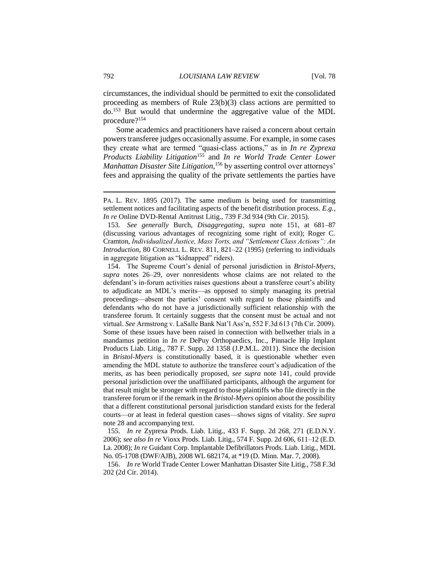circumstances, the individual should be permitted to exit the consolidated proceeding as members of Rule 23(b)(3) class actions are permitted to do.<sup>153</sup> But would that undermine the aggregative value of the MDL procedure?<sup>154</sup>

Some academics and practitioners have raised a concern about certain powers transferee judges occasionally assume. For example, in some cases they create what are termed "quasi-class actions," as in *In re Zyprexa Products Liability Litigation*<sup>155</sup> and *In re World Trade Center Lower Manhattan Disaster Site Litigation,*<sup>156</sup> by asserting control over attorneys' fees and appraising the quality of the private settlements the parties have

154. The Supreme Court's denial of personal jurisdiction in *Bristol-Myers*, *supra* notes 26–29, over nonresidents whose claims are not related to the defendant's in-forum activities raises questions about a transferee court's ability to adjudicate an MDL's merits—as opposed to simply managing its pretrial proceedings—absent the parties' consent with regard to those plaintiffs and defendants who do not have a jurisdictionally sufficient relationship with the transferee forum. It certainly suggests that the consent must be actual and not virtual. *See* Armstrong v. LaSalle Bank Nat'l Ass'n, 552 F.3d 613 (7th Cir. 2009). Some of these issues have been raised in connection with bellwether trials in a mandamus petition in *In re* DePuy Orthopaedics, Inc., Pinnacle Hip Implant Products Liab. Litig., 787 F. Supp. 2d 1358 (J.P.M.L. 2011). Since the decision in *Bristol-Myers* is constitutionally based, it is questionable whether even amending the MDL statute to authorize the transferee court's adjudication of the merits, as has been periodically proposed, *see supra* note 141*,* could provide personal jurisdiction over the unaffiliated participants, although the argument for that result might be stronger with regard to those plaintiffs who file directly in the transferee forum or if the remark in the *Bristol-Myers* opinion about the possibility that a different constitutional personal jurisdiction standard exists for the federal courts—or at least in federal question cases—shows signs of vitality. *See supra*  note 28 and accompanying text.

155. *In re* Zyprexa Prods. Liab. Litig., 433 F. Supp. 2d 268, 271 (E.D.N.Y. 2006); *see also In re* Vioxx Prods. Liab. Litig., 574 F. Supp. 2d 606, 611–12 (E.D. La. 2008); *In re* Guidant Corp. Implantable Defibrillators Prods. Liab. Litig., MDL No. 05-1708 (DWF/AJB), 2008 WL 682174, at \*19 (D. Minn. Mar. 7, 2008).

156. *In re* World Trade Center Lower Manhattan Disaster Site Litig., 758 F.3d 202 (2d Cir. 2014).

PA. L. REV. 1895 (2017). The same medium is being used for transmitting settlement notices and facilitating aspects of the benefit distribution process. *E.g.*, *In re* Online DVD-Rental Antitrust Litig., 739 F.3d 934 (9th Cir. 2015).

<sup>153.</sup> *See generally* Burch, *Disaggregating*, *supra* note 151, at 681–87 (discussing various advantages of recognizing some right of exit); Roger C. Cramton, *Individualized Justice, Mass Torts, and "Settlement Class Actions": An Introduction*, 80 CORNELL L. REV. 811, 821–22 (1995) (referring to individuals in aggregate litigation as "kidnapped" riders).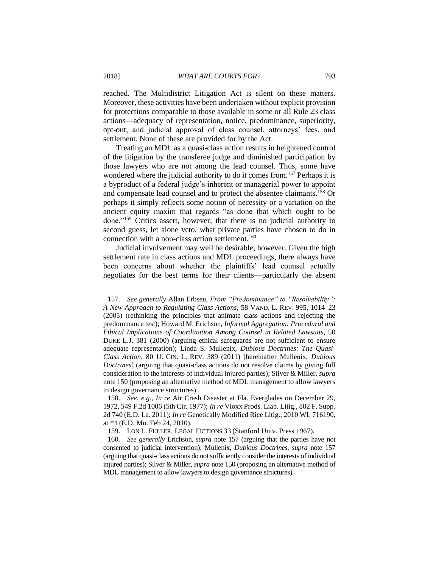reached. The Multidistrict Litigation Act is silent on these matters. Moreover, these activities have been undertaken without explicit provision for protections comparable to those available in some or all Rule 23 class actions—adequacy of representation, notice, predominance, superiority, opt-out, and judicial approval of class counsel, attorneys' fees, and settlement. None of these are provided for by the Act.

Treating an MDL as a quasi-class action results in heightened control of the litigation by the transferee judge and diminished participation by those lawyers who are not among the lead counsel. Thus, some have wondered where the judicial authority to do it comes from.<sup>157</sup> Perhaps it is a byproduct of a federal judge's inherent or managerial power to appoint and compensate lead counsel and to protect the absentee claimants.<sup>158</sup> Or perhaps it simply reflects some notion of necessity or a variation on the ancient equity maxim that regards "as done that which ought to be done."<sup>159</sup> Critics assert, however, that there is no judicial authority to second guess, let alone veto, what private parties have chosen to do in connection with a non-class action settlement.<sup>160</sup>

Judicial involvement may well be desirable, however. Given the high settlement rate in class actions and MDL proceedings, there always have been concerns about whether the plaintiffs' lead counsel actually negotiates for the best terms for their clients—particularly the absent

<sup>157.</sup> *See generally* Allan Erbsen, *From "Predominance" to "Resolvability": A New Approach to Regulating Class Actions*, 58 VAND. L. REV. 995, 1014–23 (2005) (rethinking the principles that animate class actions and rejecting the predominance test); Howard M. Erichson, *Informal Aggregation: Procedural and Ethical Implications of Coordination Among Counsel in Related Lawsuits*, 50 DUKE L.J. 381 (2000) (arguing ethical safeguards are not sufficient to ensure adequate representation); Linda S. Mullenix, *Dubious Doctrines: The Quasi-Class Action*, 80 U. CIN. L. REV. 389 (2011) [hereinafter Mullenix, *Dubious Doctrines*] (arguing that quasi-class actions do not resolve claims by giving full consideration to the interests of individual injured parties); Silver & Miller, *supra* note 150 (proposing an alternative method of MDL management to allow lawyers to design governance structures).

<sup>158.</sup> *See, e.g.*, *In re* Air Crash Disaster at Fla. Everglades on December 29, 1972, 549 F.2d 1006 (5th Cir. 1977); *In re* Vioxx Prods. Liab. Litig., 802 F. Supp. 2d 740 (E.D. La. 2011); *In re* Genetically Modified Rice Litig., 2010 WL 716190, at \*4 (E.D. Mo. Feb 24, 2010).

<sup>159.</sup> LON L. FULLER, LEGAL FICTIONS 33 (Stanford Univ. Press 1967).

<sup>160.</sup> *See generally* Erichson, *supra* note 157 (arguing that the parties have not consented to judicial intervention); Mullenix, *Dubious Doctrines, supra* note 157 (arguing that quasi-class actions do not sufficiently consider the interests of individual injured parties); Silver & Miller, *supra* note 150 (proposing an alternative method of MDL management to allow lawyers to design governance structures).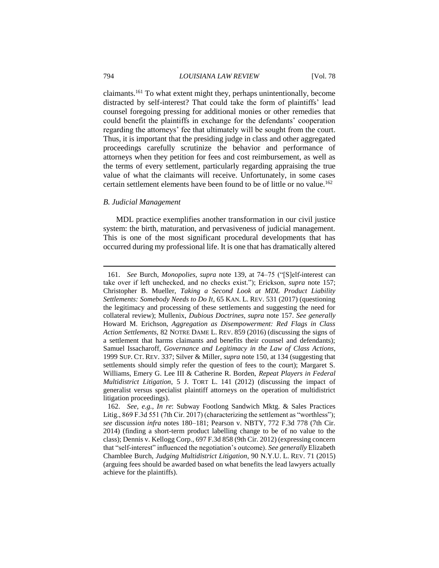claimants.<sup>161</sup> To what extent might they, perhaps unintentionally, become distracted by self-interest? That could take the form of plaintiffs' lead counsel foregoing pressing for additional monies or other remedies that could benefit the plaintiffs in exchange for the defendants' cooperation regarding the attorneys' fee that ultimately will be sought from the court. Thus, it is important that the presiding judge in class and other aggregated proceedings carefully scrutinize the behavior and performance of attorneys when they petition for fees and cost reimbursement, as well as the terms of every settlement, particularly regarding appraising the true value of what the claimants will receive. Unfortunately, in some cases certain settlement elements have been found to be of little or no value.<sup>162</sup>

### *B. Judicial Management*

MDL practice exemplifies another transformation in our civil justice system: the birth, maturation, and pervasiveness of judicial management. This is one of the most significant procedural developments that has occurred during my professional life. It is one that has dramatically altered

<sup>161.</sup> *See* Burch, *Monopolies*, *supra* note 139, at 74–75 ("[S]elf-interest can take over if left unchecked, and no checks exist."); Erickson, *supra* note 157; Christopher B. Mueller, *Taking a Second Look at MDL Product Liability Settlements: Somebody Needs to Do It*, 65 KAN. L. REV. 531 (2017) (questioning the legitimacy and processing of these settlements and suggesting the need for collateral review); Mullenix, *Dubious Doctrines*, *supra* note 157. *See generally* Howard M. Erichson, *Aggregation as Disempowerment: Red Flags in Class Action Settlements*, 82 NOTRE DAME L. REV. 859 (2016) (discussing the signs of a settlement that harms claimants and benefits their counsel and defendants); Samuel Issacharoff, *Governance and Legitimacy in the Law of Class Actions*, 1999 SUP. CT. REV. 337; Silver & Miller, *supra* note 150, at 134 (suggesting that settlements should simply refer the question of fees to the court); Margaret S. Williams, Emery G. Lee III & Catherine R. Borden, *Repeat Players in Federal Multidistrict Litigation*, 5 J. TORT L. 141 (2012) (discussing the impact of generalist versus specialist plaintiff attorneys on the operation of multidistrict litigation proceedings).

<sup>162.</sup> *See, e.g.*, *In re*: Subway Footlong Sandwich Mktg. & Sales Practices Litig., 869 F.3d 551 (7th Cir. 2017) (characterizing the settlement as "worthless"); *see* discussion *infra* notes 180–181; Pearson v. NBTY, 772 F.3d 778 (7th Cir. 2014) (finding a short-term product labelling change to be of no value to the class); Dennis v. Kellogg Corp., 697 F.3d 858 (9th Cir. 2012) (expressing concern that "self-interest" influenced the negotiation's outcome). *See generally* Elizabeth Chamblee Burch, *Judging Multidistrict Litigation*, 90 N.Y.U. L. REV. 71 (2015) (arguing fees should be awarded based on what benefits the lead lawyers actually achieve for the plaintiffs).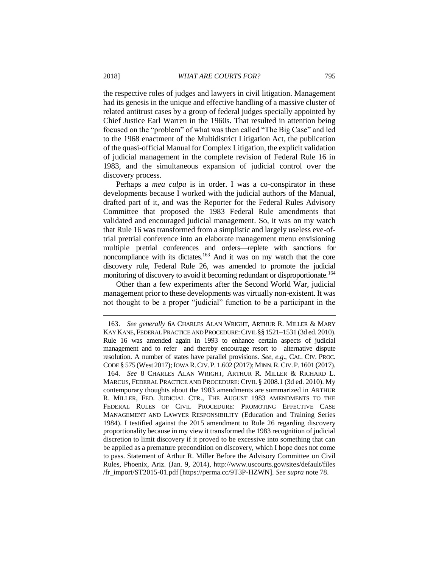the respective roles of judges and lawyers in civil litigation. Management had its genesis in the unique and effective handling of a massive cluster of related antitrust cases by a group of federal judges specially appointed by Chief Justice Earl Warren in the 1960s. That resulted in attention being focused on the "problem" of what was then called "The Big Case" and led to the 1968 enactment of the Multidistrict Litigation Act, the publication of the quasi-official Manual for Complex Litigation, the explicit validation of judicial management in the complete revision of Federal Rule 16 in 1983, and the simultaneous expansion of judicial control over the discovery process.

Perhaps a *mea culpa* is in order. I was a co-conspirator in these developments because I worked with the judicial authors of the Manual, drafted part of it, and was the Reporter for the Federal Rules Advisory Committee that proposed the 1983 Federal Rule amendments that validated and encouraged judicial management. So, it was on my watch that Rule 16 was transformed from a simplistic and largely useless eve-oftrial pretrial conference into an elaborate management menu envisioning multiple pretrial conferences and orders—replete with sanctions for noncompliance with its dictates.<sup>163</sup> And it was on my watch that the core discovery rule, Federal Rule 26, was amended to promote the judicial monitoring of discovery to avoid it becoming redundant or disproportionate.<sup>164</sup>

Other than a few experiments after the Second World War, judicial management prior to these developments was virtually non-existent. It was not thought to be a proper "judicial" function to be a participant in the

<sup>163.</sup> *See generally* 6A CHARLES ALAN WRIGHT, ARTHUR R. MILLER & MARY KAY KANE,FEDERAL PRACTICE AND PROCEDURE:CIVIL §§ 1521*–*1531 (3d ed. 2010). Rule 16 was amended again in 1993 to enhance certain aspects of judicial management and to refer—and thereby encourage resort to—alternative dispute resolution. A number of states have parallel provisions. *See, e.g*., CAL. CIV. PROC. CODE § 575 (West 2017); IOWA R.CIV.P. 1.602 (2017); MINN.R.CIV.P. 1601 (2017).

<sup>164.</sup> *See* 8 CHARLES ALAN WRIGHT, ARTHUR R. MILLER & RICHARD L. MARCUS, FEDERAL PRACTICE AND PROCEDURE:CIVIL § 2008.1 (3d ed. 2010). My contemporary thoughts about the 1983 amendments are summarized in ARTHUR R. MILLER, FED. JUDICIAL CTR., THE AUGUST 1983 AMENDMENTS TO THE FEDERAL RULES OF CIVIL PROCEDURE: PROMOTING EFFECTIVE CASE MANAGEMENT AND LAWYER RESPONSIBILITY (Education and Training Series 1984). I testified against the 2015 amendment to Rule 26 regarding discovery proportionality because in my view it transformed the 1983 recognition of judicial discretion to limit discovery if it proved to be excessive into something that can be applied as a premature precondition on discovery, which I hope does not come to pass. Statement of Arthur R. Miller Before the Advisory Committee on Civil Rules, Phoenix, Ariz. (Jan. 9, 2014), http://www.uscourts.gov/sites/default/files /fr\_import/ST2015-01.pdf [https://perma.cc/9T3P-HZWN]. *See supra* note 78.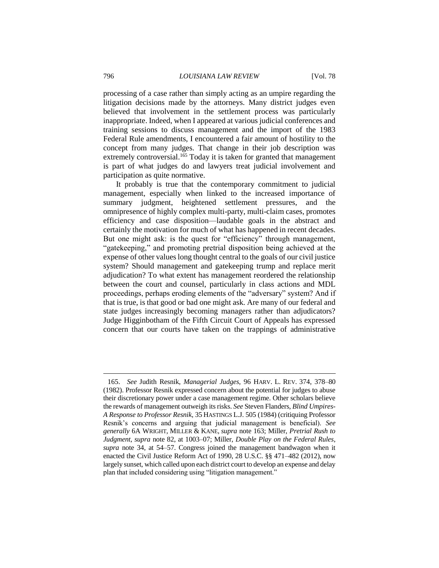processing of a case rather than simply acting as an umpire regarding the litigation decisions made by the attorneys. Many district judges even believed that involvement in the settlement process was particularly inappropriate. Indeed, when I appeared at various judicial conferences and training sessions to discuss management and the import of the 1983 Federal Rule amendments, I encountered a fair amount of hostility to the concept from many judges. That change in their job description was extremely controversial.<sup>165</sup> Today it is taken for granted that management is part of what judges do and lawyers treat judicial involvement and participation as quite normative.

It probably is true that the contemporary commitment to judicial management, especially when linked to the increased importance of summary judgment, heightened settlement pressures, and the omnipresence of highly complex multi-party, multi-claim cases, promotes efficiency and case disposition—laudable goals in the abstract and certainly the motivation for much of what has happened in recent decades. But one might ask: is the quest for "efficiency" through management, "gatekeeping," and promoting pretrial disposition being achieved at the expense of other values long thought central to the goals of our civil justice system? Should management and gatekeeping trump and replace merit adjudication? To what extent has management reordered the relationship between the court and counsel, particularly in class actions and MDL proceedings, perhaps eroding elements of the "adversary" system? And if that is true, is that good or bad one might ask. Are many of our federal and state judges increasingly becoming managers rather than adjudicators? Judge Higginbotham of the Fifth Circuit Court of Appeals has expressed concern that our courts have taken on the trappings of administrative

<sup>165.</sup> *See* Judith Resnik, *Managerial Judges*, 96 HARV. L. REV. 374, 378–80 (1982). Professor Resnik expressed concern about the potential for judges to abuse their discretionary power under a case management regime. Other scholars believe the rewards of management outweigh its risks. *See* Steven Flanders, *Blind Umpires-A Response to Professor Resnik*, 35 HASTINGS L.J. 505 (1984) (critiquing Professor Resnik's concerns and arguing that judicial management is beneficial). *See generally* 6A WRIGHT, MILLER & KANE, *supra* note 163; Miller, *Pretrial Rush to Judgment*, *supra* note 82, at 1003–07; Miller, *Double Play on the Federal Rules*, *supra* note 34, at 54–57. Congress joined the management bandwagon when it enacted the Civil Justice Reform Act of 1990, 28 U.S.C. §§ 471–482 (2012), now largely sunset, which called upon each district court to develop an expense and delay plan that included considering using "litigation management."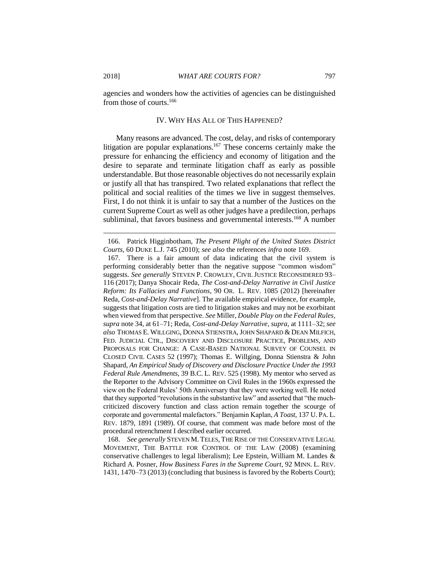agencies and wonders how the activities of agencies can be distinguished from those of courts.<sup>166</sup>

#### IV. WHY HAS ALL OF THIS HAPPENED?

Many reasons are advanced. The cost, delay, and risks of contemporary litigation are popular explanations.<sup>167</sup> These concerns certainly make the pressure for enhancing the efficiency and economy of litigation and the desire to separate and terminate litigation chaff as early as possible understandable. But those reasonable objectives do not necessarily explain or justify all that has transpired. Two related explanations that reflect the political and social realities of the times we live in suggest themselves. First, I do not think it is unfair to say that a number of the Justices on the current Supreme Court as well as other judges have a predilection, perhaps subliminal, that favors business and governmental interests.<sup>168</sup> A number

168. *See generally* STEVEN M. TELES, THE RISE OF THE CONSERVATIVE LEGAL MOVEMENT, THE BATTLE FOR CONTROL OF THE LAW (2008) (examining conservative challenges to legal liberalism); Lee Epstein, William M. Landes & Richard A. Posner, *How Business Fares in the Supreme Court*, 92 MINN. L. REV. 1431, 1470–73 (2013) (concluding that business is favored by the Roberts Court);

<sup>166.</sup> Patrick Higginbotham, *The Present Plight of the United States District Courts*, 60 DUKE L.J. 745 (2010); *see also* the references *infra* note 169.

<sup>167.</sup> There is a fair amount of data indicating that the civil system is performing considerably better than the negative suppose "common wisdom" suggests. *See generally* STEVEN P. CROWLEY, CIVIL JUSTICE RECONSIDERED 93– 116 (2017); Danya Shocair Reda, *The Cost-and-Delay Narrative in Civil Justice Reform: Its Fallacies and Functions*, 90 OR. L. REV. 1085 (2012) [hereinafter Reda, *Cost-and-Delay Narrative*]. The available empirical evidence, for example, suggests that litigation costs are tied to litigation stakes and may not be exorbitant when viewed from that perspective. *See* Miller, *Double Play on the Federal Rules*, *supra* note 34, at 61–71; Reda, *Cost-and-Delay Narrative*, *supra*, at 1111–32; *see also* THOMAS E. WILLGING, DONNA STIENSTRA,JOHN SHAPARD & DEAN MILFICH, FED. JUDICIAL CTR., DISCOVERY AND DISCLOSURE PRACTICE, PROBLEMS, AND PROPOSALS FOR CHANGE: A CASE-BASED NATIONAL SURVEY OF COUNSEL IN CLOSED CIVIL CASES 52 (1997); Thomas E. Willging, Donna Stienstra & John Shapard, *An Empirical Study of Discovery and Disclosure Practice Under the 1993 Federal Rule Amendments*, 39 B.C. L. REV. 525 (1998). My mentor who served as the Reporter to the Advisory Committee on Civil Rules in the 1960s expressed the view on the Federal Rules' 50th Anniversary that they were working well. He noted that they supported "revolutions in the substantive law" and asserted that "the muchcriticized discovery function and class action remain together the scourge of corporate and governmental malefactors." Benjamin Kaplan, *A Toast*, 137 U. PA. L. REV. 1879, 1891 (1989). Of course, that comment was made before most of the procedural retrenchment I described earlier occurred.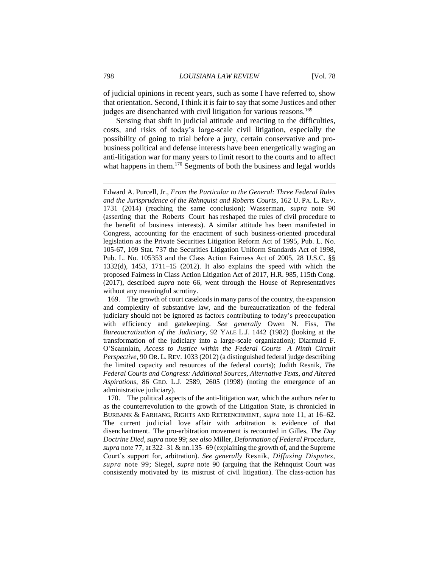of judicial opinions in recent years, such as some I have referred to, show that orientation. Second, I think it is fair to say that some Justices and other judges are disenchanted with civil litigation for various reasons.<sup>169</sup>

Sensing that shift in judicial attitude and reacting to the difficulties, costs, and risks of today's large-scale civil litigation, especially the possibility of going to trial before a jury, certain conservative and probusiness political and defense interests have been energetically waging an anti-litigation war for many years to limit resort to the courts and to affect what happens in them.<sup>170</sup> Segments of both the business and legal worlds

169. The growth of court caseloads in many parts of the country, the expansion and complexity of substantive law, and the bureaucratization of the federal judiciary should not be ignored as factors contributing to today's preoccupation with efficiency and gatekeeping. *See generally* Owen N. Fiss, *The Bureaucratization of the Judiciary*, 92 YALE L.J. 1442 (1982) (looking at the transformation of the judiciary into a large-scale organization); Diarmuid F. O'Scannlain, *Access to Justice within the Federal Courts—A Ninth Circuit Perspective*, 90 OR. L. REV. 1033 (2012) (a distinguished federal judge describing the limited capacity and resources of the federal courts); Judith Resnik, *The Federal Courts and Congress: Additional Sources, Alternative Texts, and Altered Aspirations*, 86 GEO. L.J. 2589, 2605 (1998) (noting the emergence of an administrative judiciary).

170. The political aspects of the anti-litigation war, which the authors refer to as the counterrevolution to the growth of the Litigation State, is chronicled in BURBANK & FARHANG, RIGHTS AND RETRENCHMENT, *supra* note 11, at 16–62. The current judicial love affair with arbitration is evidence of that disenchantment. The pro-arbitration movement is recounted in Gilles, *The Day Doctrine Died*, *supra* note 99; *see also* Miller, *Deformation of Federal Procedure, supra* note 77, at 322–31 & nn.135–69 (explaining the growth of, and the Supreme Court's support for, arbitration). *See generally* Resnik, *Diffusing Disputes, supra* note 99; Siegel, *supra* note 90 (arguing that the Rehnquist Court was consistently motivated by its mistrust of civil litigation). The class-action has

Edward A. Purcell, Jr., *From the Particular to the General: Three Federal Rules and the Jurisprudence of the Rehnquist and Roberts Courts*, 162 U. PA. L. REV. 1731 (2014) (reaching the same conclusion); Wasserman, *supra* note 90 (asserting that the Roberts Court has reshaped the rules of civil procedure to the benefit of business interests). A similar attitude has been manifested in Congress, accounting for the enactment of such business-oriented procedural legislation as the Private Securities Litigation Reform Act of 1995, Pub. L. No. 105-67, 109 Stat. 737 the Securities Litigation Uniform Standards Act of 1998, Pub. L. No. 105353 and the Class Action Fairness Act of 2005, 28 U.S.C. §§ 1332(d), 1453, 1711–15 (2012). It also explains the speed with which the proposed Fairness in Class Action Litigation Act of 2017, H.R. 985, 115th Cong. (2017), described *supra* note 66, went through the House of Representatives without any meaningful scrutiny.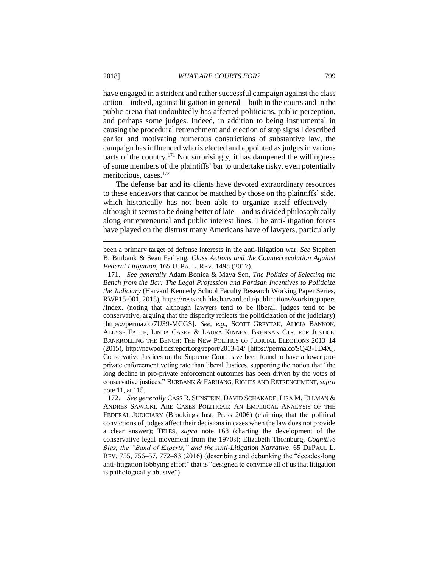have engaged in a strident and rather successful campaign against the class action—indeed, against litigation in general—both in the courts and in the public arena that undoubtedly has affected politicians, public perception, and perhaps some judges. Indeed, in addition to being instrumental in causing the procedural retrenchment and erection of stop signs I described earlier and motivating numerous constrictions of substantive law, the campaign has influenced who is elected and appointed as judges in various parts of the country.<sup>171</sup> Not surprisingly, it has dampened the willingness of some members of the plaintiffs' bar to undertake risky, even potentially meritorious, cases.<sup>172</sup>

The defense bar and its clients have devoted extraordinary resources to these endeavors that cannot be matched by those on the plaintiffs' side, which historically has not been able to organize itself effectively although it seems to be doing better of late—and is divided philosophically along entrepreneurial and public interest lines. The anti-litigation forces have played on the distrust many Americans have of lawyers, particularly

been a primary target of defense interests in the anti-litigation war. *See* Stephen B. Burbank & Sean Farhang, *Class Actions and the Counterrevolution Against Federal Litigation*, 165 U. PA. L. REV. 1495 (2017).

<sup>171.</sup> *See generally* Adam Bonica & Maya Sen, *The Politics of Selecting the Bench from the Bar: The Legal Profession and Partisan Incentives to Politicize the Judiciary* (Harvard Kennedy School Faculty Research Working Paper Series, RWP15-001, 2015), https://research.hks.harvard.edu/publications/workingpapers /Index. (noting that although lawyers tend to be liberal, judges tend to be conservative, arguing that the disparity reflects the politicization of the judiciary) [https://perma.cc/7U39-MCGS]. *See, e.g*., SCOTT GREYTAK, ALICIA BANNON, ALLYSE FALCE, LINDA CASEY & LAURA KINNEY, BRENNAN CTR. FOR JUSTICE, BANKROLLING THE BENCH: THE NEW POLITICS OF JUDICIAL ELECTIONS 2013–14 (2015), http://newpoliticsreport.org/report/2013-14/ [https://perma.cc/SQ43-TD4X]. Conservative Justices on the Supreme Court have been found to have a lower proprivate enforcement voting rate than liberal Justices, supporting the notion that "the long decline in pro-private enforcement outcomes has been driven by the votes of conservative justices." BURBANK & FARHANG, RIGHTS AND RETRENCHMENT, *supra* note 11, at 115.

<sup>172.</sup> *See generally* CASS R. SUNSTEIN, DAVID SCHAKADE, LISA M. ELLMAN & ANDRES SAWICKI, ARE CASES POLITICAL: AN EMPIRICAL ANALYSIS OF THE FEDERAL JUDICIARY (Brookings Inst. Press 2006) (claiming that the political convictions of judges affect their decisions in cases when the law does not provide a clear answer); TELES, *supra* note 168 (charting the development of the conservative legal movement from the 1970s); Elizabeth Thornburg, *Cognitive Bias, the "Band of Experts," and the Anti-Litigation Narrative*, 65 DEPAUL L. REV. 755, 756–57, 772–83 (2016) (describing and debunking the "decades-long anti-litigation lobbying effort" that is "designed to convince all of us that litigation is pathologically abusive").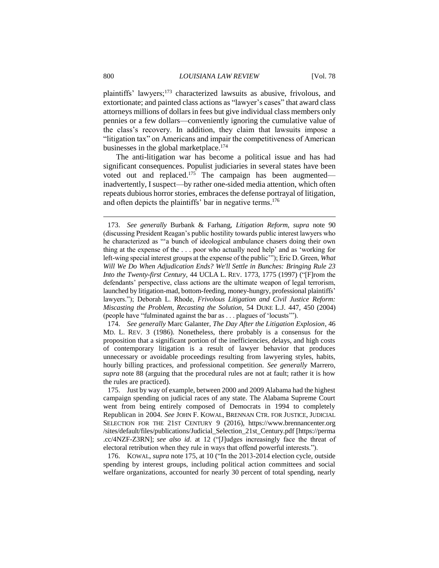plaintiffs' lawyers;<sup>173</sup> characterized lawsuits as abusive, frivolous, and extortionate; and painted class actions as "lawyer's cases" that award class attorneys millions of dollars in fees but give individual class members only pennies or a few dollars—conveniently ignoring the cumulative value of the class's recovery. In addition, they claim that lawsuits impose a "litigation tax" on Americans and impair the competitiveness of American businesses in the global marketplace.<sup>174</sup>

The anti-litigation war has become a political issue and has had significant consequences. Populist judiciaries in several states have been voted out and replaced.<sup>175</sup> The campaign has been augmented inadvertently, I suspect—by rather one-sided media attention, which often repeats dubious horror stories, embraces the defense portrayal of litigation, and often depicts the plaintiffs' bar in negative terms.<sup>176</sup>

174. *See generally* Marc Galanter, *The Day After the Litigation Explosion*, 46 MD. L. REV. 3 (1986). Nonetheless, there probably is a consensus for the proposition that a significant portion of the inefficiencies, delays, and high costs of contemporary litigation is a result of lawyer behavior that produces unnecessary or avoidable proceedings resulting from lawyering styles, habits, hourly billing practices, and professional competition. *See generally* Marrero, *supra* note 88 (arguing that the procedural rules are not at fault; rather it is how the rules are practiced).

175. Just by way of example, between 2000 and 2009 Alabama had the highest campaign spending on judicial races of any state. The Alabama Supreme Court went from being entirely composed of Democrats in 1994 to completely Republican in 2004. *See* JOHN F. KOWAL, BRENNAN CTR. FOR JUSTICE, JUDICIAL SELECTION FOR THE 21ST CENTURY 9 (2016), https://www.brennancenter.org /sites/default/files/publications/Judicial\_Selection\_21st\_Century.pdf [https://perma .cc/4NZF-Z3RN]; *see also id*. at 12 ("[J]udges increasingly face the threat of electoral retribution when they rule in ways that offend powerful interests.").

176. KOWAL, *supra* note 175, at 10 ("In the 2013-2014 election cycle, outside spending by interest groups, including political action committees and social welfare organizations, accounted for nearly 30 percent of total spending, nearly

<sup>173.</sup> *See generally* Burbank & Farhang, *Litigation Reform*, *supra* note 90 (discussing President Reagan's public hostility towards public interest lawyers who he characterized as "'a bunch of ideological ambulance chasers doing their own thing at the expense of the . . . poor who actually need help' and as 'working for left-wing special interest groups at the expense of the public'"); Eric D. Green, *What Will We Do When Adjudication Ends? We'll Settle in Bunches: Bringing Rule 23 Into the Twenty-first Century*, 44 UCLA L. REV. 1773, 1775 (1997) ("[F]rom the defendants' perspective, class actions are the ultimate weapon of legal terrorism, launched by litigation-mad, bottom-feeding, money-hungry, professional plaintiffs' lawyers."); Deborah L. Rhode, *Frivolous Litigation and Civil Justice Reform: Miscasting the Problem, Recasting the Solution*, 54 DUKE L.J. 447, 450 (2004) (people have "fulminated against the bar as . . . plagues of 'locusts'").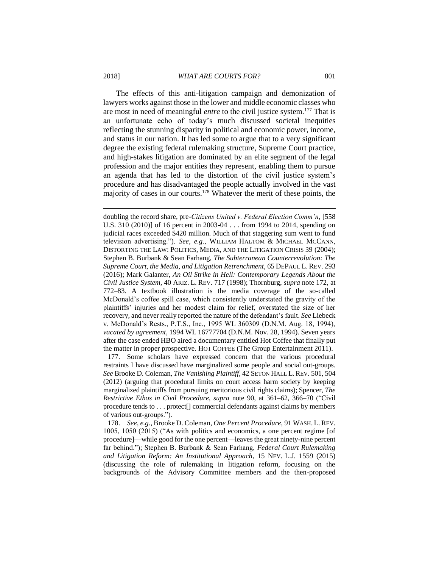The effects of this anti-litigation campaign and demonization of lawyers works against those in the lower and middle economic classes who are most in need of meaningful *entre* to the civil justice system.<sup>177</sup> That is an unfortunate echo of today's much discussed societal inequities reflecting the stunning disparity in political and economic power, income, and status in our nation. It has led some to argue that to a very significant degree the existing federal rulemaking structure, Supreme Court practice, and high-stakes litigation are dominated by an elite segment of the legal profession and the major entities they represent, enabling them to pursue an agenda that has led to the distortion of the civil justice system's procedure and has disadvantaged the people actually involved in the vast majority of cases in our courts.<sup>178</sup> Whatever the merit of these points, the

doubling the record share, pre-*Citizens United v. Federal Election Comm'n*, [558 U.S. 310 (2010)] of 16 percent in 2003-04 . . . from 1994 to 2014, spending on judicial races exceeded \$420 million. Much of that staggering sum went to fund television advertising."). *See, e.g.*, WILLIAM HALTOM & MICHAEL MCCANN, DISTORTING THE LAW: POLITICS, MEDIA, AND THE LITIGATION CRISIS 39 (2004); Stephen B. Burbank & Sean Farhang, *The Subterranean Counterrevolution: The Supreme Court, the Media, and Litigation Retrenchment*, 65 DEPAUL L. REV. 293 (2016); Mark Galanter, *An Oil Strike in Hell: Contemporary Legends About the Civil Justice System*, 40 ARIZ. L. REV. 717 (1998); Thornburg, *supra* note 172, at 772–83. A textbook illustration is the media coverage of the so-called McDonald's coffee spill case, which consistently understated the gravity of the plaintiffs' injuries and her modest claim for relief, overstated the size of her recovery, and never really reported the nature of the defendant's fault. *See* Liebeck v. McDonald's Rests., P.T.S., Inc., 1995 WL 360309 (D.N.M. Aug. 18, 1994), *vacated by agreement*, 1994 WL 16777704 (D.N.M. Nov. 28, 1994). Seven years after the case ended HBO aired a documentary entitled Hot Coffee that finally put the matter in proper prospective. HOT COFFEE (The Group Entertainment 2011).

177. Some scholars have expressed concern that the various procedural restraints I have discussed have marginalized some people and social out-groups. *See* Brooke D. Coleman, *The Vanishing Plaintiff*, 42 SETON HALL L. REV. 501, 504 (2012) (arguing that procedural limits on court access harm society by keeping marginalized plaintiffs from pursuing meritorious civil rights claims); Spencer, *The Restrictive Ethos in Civil Procedure*, *supra* note 90, at 361–62, 366–70 ("Civil procedure tends to . . . protect[] commercial defendants against claims by members of various out-groups.").

178. *See, e.g.*, Brooke D. Coleman, *One Percent Procedure*, 91 WASH. L. REV. 1005, 1050 (2015) ("As with politics and economics, a one percent regime [of procedure]—while good for the one percent—leaves the great ninety-nine percent far behind."); Stephen B. Burbank & Sean Farhang, *Federal Court Rulemaking and Litigation Reform: An Institutional Approach*, 15 NEV. L.J. 1559 (2015) (discussing the role of rulemaking in litigation reform, focusing on the backgrounds of the Advisory Committee members and the then-proposed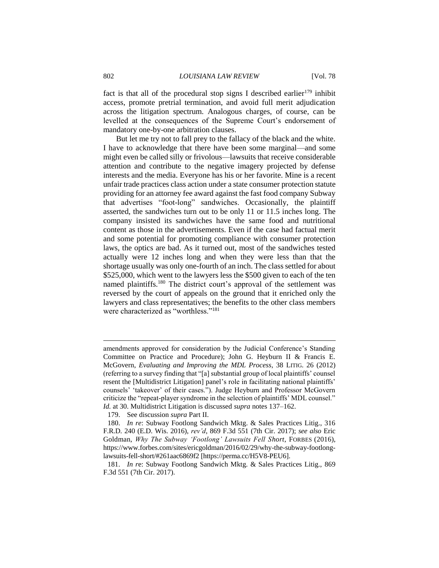fact is that all of the procedural stop signs I described earlier<sup>179</sup> inhibit access, promote pretrial termination, and avoid full merit adjudication across the litigation spectrum. Analogous charges, of course, can be levelled at the consequences of the Supreme Court's endorsement of mandatory one-by-one arbitration clauses.

But let me try not to fall prey to the fallacy of the black and the white. I have to acknowledge that there have been some marginal—and some might even be called silly or frivolous—lawsuits that receive considerable attention and contribute to the negative imagery projected by defense interests and the media. Everyone has his or her favorite. Mine is a recent unfair trade practices class action under a state consumer protection statute providing for an attorney fee award against the fast food company Subway that advertises "foot-long" sandwiches. Occasionally, the plaintiff asserted, the sandwiches turn out to be only 11 or 11.5 inches long. The company insisted its sandwiches have the same food and nutritional content as those in the advertisements. Even if the case had factual merit and some potential for promoting compliance with consumer protection laws, the optics are bad. As it turned out, most of the sandwiches tested actually were 12 inches long and when they were less than that the shortage usually was only one-fourth of an inch. The class settled for about \$525,000, which went to the lawyers less the \$500 given to each of the ten named plaintiffs.<sup>180</sup> The district court's approval of the settlement was reversed by the court of appeals on the ground that it enriched only the lawyers and class representatives; the benefits to the other class members were characterized as "worthless."<sup>181</sup>

amendments approved for consideration by the Judicial Conference's Standing Committee on Practice and Procedure); John G. Heyburn II & Francis E. McGovern, *Evaluating and Improving the MDL Process*, 38 LITIG. 26 (2012) (referring to a survey finding that "[a] substantial group of local plaintiffs' counsel resent the [Multidistrict Litigation] panel's role in facilitating national plaintiffs' counsels' 'takeover' of their cases."). Judge Heyburn and Professor McGovern criticize the "repeat-player syndrome in the selection of plaintiffs' MDL counsel." *Id.* at 30. Multidistrict Litigation is discussed *supra* notes 137–162.

<sup>179.</sup> See discussion *supra* Part II.

<sup>180.</sup> *In re*: Subway Footlong Sandwich Mktg. & Sales Practices Litig., 316 F.R.D. 240 (E.D. Wis. 2016), *rev'd*, 869 F.3d 551 (7th Cir. 2017); *see also* Eric Goldman, *Why The Subway 'Footlong' Lawsuits Fell Short*, FORBES (2016), https://www.forbes.com/sites/ericgoldman/2016/02/29/why-the-subway-footlonglawsuits-fell-short/#261aac6869f2 [https://perma.cc/H5V8-PEU6].

<sup>181.</sup> *In r*e: Subway Footlong Sandwich Mktg. & Sales Practices Litig., 869 F.3d 551 (7th Cir. 2017).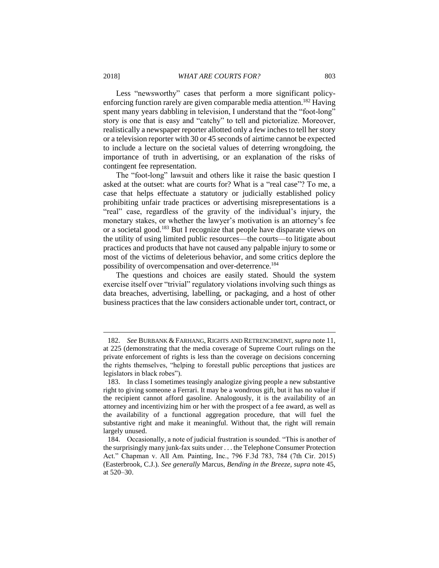Less "newsworthy" cases that perform a more significant policyenforcing function rarely are given comparable media attention.<sup>182</sup> Having spent many years dabbling in television, I understand that the "foot-long" story is one that is easy and "catchy" to tell and pictorialize. Moreover, realistically a newspaper reporter allotted only a few inches to tell her story or a television reporter with 30 or 45 seconds of airtime cannot be expected to include a lecture on the societal values of deterring wrongdoing, the importance of truth in advertising, or an explanation of the risks of contingent fee representation.

The "foot-long" lawsuit and others like it raise the basic question I asked at the outset: what are courts for? What is a "real case"? To me, a case that helps effectuate a statutory or judicially established policy prohibiting unfair trade practices or advertising misrepresentations is a "real" case, regardless of the gravity of the individual's injury, the monetary stakes, or whether the lawyer's motivation is an attorney's fee or a societal good.<sup>183</sup> But I recognize that people have disparate views on the utility of using limited public resources—the courts—to litigate about practices and products that have not caused any palpable injury to some or most of the victims of deleterious behavior, and some critics deplore the possibility of overcompensation and over-deterrence.<sup>184</sup>

The questions and choices are easily stated. Should the system exercise itself over "trivial" regulatory violations involving such things as data breaches, advertising, labelling, or packaging, and a host of other business practices that the law considers actionable under tort, contract, or

<sup>182.</sup> *See* BURBANK & FARHANG, RIGHTS AND RETRENCHMENT, *supra* note 11, at 225 (demonstrating that the media coverage of Supreme Court rulings on the private enforcement of rights is less than the coverage on decisions concerning the rights themselves, "helping to forestall public perceptions that justices are legislators in black robes").

<sup>183.</sup> In class I sometimes teasingly analogize giving people a new substantive right to giving someone a Ferrari. It may be a wondrous gift, but it has no value if the recipient cannot afford gasoline. Analogously, it is the availability of an attorney and incentivizing him or her with the prospect of a fee award, as well as the availability of a functional aggregation procedure, that will fuel the substantive right and make it meaningful. Without that, the right will remain largely unused.

<sup>184.</sup> Occasionally, a note of judicial frustration is sounded. "This is another of the surprisingly many junk-fax suits under . . . the Telephone Consumer Protection Act." Chapman v. All Am. Painting, Inc., 796 F.3d 783, 784 (7th Cir. 2015) (Easterbrook, C.J.). *See generally* Marcus, *Bending in the Breeze, supra* note 45, at 520–30.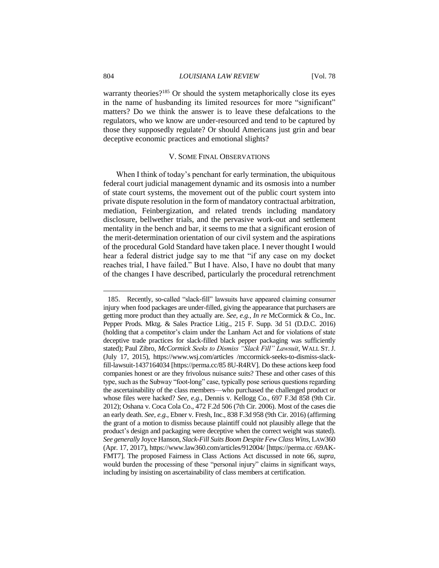warranty theories?<sup>185</sup> Or should the system metaphorically close its eyes in the name of husbanding its limited resources for more "significant" matters? Do we think the answer is to leave these defalcations to the regulators, who we know are under-resourced and tend to be captured by those they supposedly regulate? Or should Americans just grin and bear deceptive economic practices and emotional slights?

# V. SOME FINAL OBSERVATIONS

When I think of today's penchant for early termination, the ubiquitous federal court judicial management dynamic and its osmosis into a number of state court systems, the movement out of the public court system into private dispute resolution in the form of mandatory contractual arbitration, mediation, Feinbergization, and related trends including mandatory disclosure, bellwether trials, and the pervasive work-out and settlement mentality in the bench and bar, it seems to me that a significant erosion of the merit-determination orientation of our civil system and the aspirations of the procedural Gold Standard have taken place. I never thought I would hear a federal district judge say to me that "if any case on my docket reaches trial, I have failed." But I have. Also, I have no doubt that many of the changes I have described, particularly the procedural retrenchment

<sup>185.</sup> Recently, so-called "slack-fill" lawsuits have appeared claiming consumer injury when food packages are under-filled, giving the appearance that purchasers are getting more product than they actually are. *See, e.g.*, *In re* McCormick & Co., Inc. Pepper Prods. Mktg. & Sales Practice Litig., 215 F. Supp. 3d 51 (D.D.C. 2016) (holding that a competitor's claim under the Lanham Act and for violations of state deceptive trade practices for slack-filled black pepper packaging was sufficiently stated); Paul Zibro, *McCormick Seeks to Dismiss "Slack Fill" Lawsuit*, WALL ST. J. (July 17, 2015), https://www.wsj.com/articles /mccormick-seeks-to-dismiss-slackfill-lawsuit-1437164034 [https://perma.cc/85 8U-R4RV]. Do these actions keep food companies honest or are they frivolous nuisance suits? These and other cases of this type, such as the Subway "foot-long" case, typically pose serious questions regarding the ascertainability of the class members—who purchased the challenged product or whose files were hacked? *See, e.g.*, Dennis v. Kellogg Co., 697 F.3d 858 (9th Cir. 2012); Oshana v. Coca Cola Co., 472 F.2d 506 (7th Cir. 2006). Most of the cases die an early death. *See, e.g.*, Ebner v. Fresh, Inc., 838 F.3d 958 (9th Cir. 2016) (affirming the grant of a motion to dismiss because plaintiff could not plausibly allege that the product's design and packaging were deceptive when the correct weight was stated). *See generally* Joyce Hanson, *Slack-Fill Suits Boom Despite Few Class Wins*, LAW360 (Apr. 17, 2017), https://www.law360.com/articles/912004/ [https://perma.cc /69AK-FMT7]. The proposed Fairness in Class Actions Act discussed in note 66, *supra*, would burden the processing of these "personal injury" claims in significant ways, including by insisting on ascertainability of class members at certification.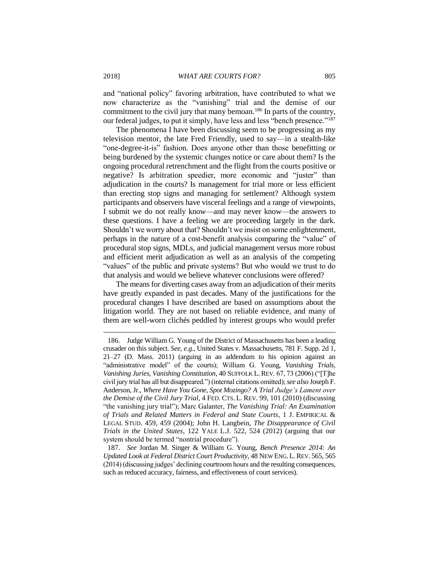and "national policy" favoring arbitration, have contributed to what we now characterize as the "vanishing" trial and the demise of our commitment to the civil jury that many bemoan.<sup>186</sup> In parts of the country, our federal judges, to put it simply, have less and less "bench presence."<sup>187</sup>

The phenomena I have been discussing seem to be progressing as my television mentor, the late Fred Friendly, used to say—in a stealth-like "one-degree-it-is" fashion. Does anyone other than those benefitting or being burdened by the systemic changes notice or care about them? Is the ongoing procedural retrenchment and the flight from the courts positive or negative? Is arbitration speedier, more economic and "juster" than adjudication in the courts? Is management for trial more or less efficient than erecting stop signs and managing for settlement? Although system participants and observers have visceral feelings and a range of viewpoints, I submit we do not really know—and may never know—the answers to these questions. I have a feeling we are proceeding largely in the dark. Shouldn't we worry about that? Shouldn't we insist on some enlightenment, perhaps in the nature of a cost-benefit analysis comparing the "value" of procedural stop signs, MDLs, and judicial management versus more robust and efficient merit adjudication as well as an analysis of the competing "values" of the public and private systems? But who would we trust to do that analysis and would we believe whatever conclusions were offered?

The means for diverting cases away from an adjudication of their merits have greatly expanded in past decades. Many of the justifications for the procedural changes I have described are based on assumptions about the litigation world. They are not based on reliable evidence, and many of them are well-worn clichés peddled by interest groups who would prefer

<sup>186.</sup> Judge William G. Young of the District of Massachusetts has been a leading crusader on this subject. *See, e.g.*, United States v. Massachusetts, 781 F. Supp. 2d 1, 21–27 (D. Mass. 2011) (arguing in an addendum to his opinion against an "administrative model" of the courts); William G. Young, *Vanishing Trials, Vanishing Juries, Vanishing Constitution*, 40 SUFFOLK L. REV. 67, 73 (2006) ("[T]he civil jury trial has all but disappeared.") (internal citations omitted); *see also* Joseph F. Anderson, Jr., *Where Have You Gone, Spot Mozingo? A Trial Judge's Lament over the Demise of the Civil Jury Trial*, 4 FED. CTS. L. REV. 99, 101 (2010) (discussing "the vanishing jury trial"); Marc Galanter, *The Vanishing Trial: An Examination of Trials and Related Matters in Federal and State Courts*, 1 J. EMPIRICAL & LEGAL STUD. 459, 459 (2004); John H. Langbein, *The Disappearance of Civil Trials in the United States*, 122 YALE L.J. 522, 524 (2012) (arguing that our system should be termed "nontrial procedure").

<sup>187.</sup> *See* Jordan M. Singer & William G. Young, *Bench Presence 2014: An Updated Look at Federal District Court Productivity*, 48 NEW ENG. L.REV. 565, 565 (2014) (discussing judges' declining courtroom hours and the resulting consequences, such as reduced accuracy, fairness, and effectiveness of court services).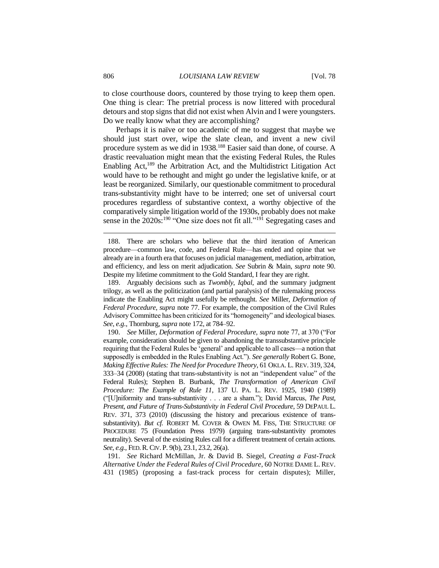to close courthouse doors, countered by those trying to keep them open. One thing is clear: The pretrial process is now littered with procedural detours and stop signs that did not exist when Alvin and I were youngsters. Do we really know what they are accomplishing?

Perhaps it is naïve or too academic of me to suggest that maybe we should just start over, wipe the slate clean, and invent a new civil procedure system as we did in 1938.<sup>188</sup> Easier said than done, of course. A drastic reevaluation might mean that the existing Federal Rules, the Rules Enabling Act,<sup>189</sup> the Arbitration Act, and the Multidistrict Litigation Act would have to be rethought and might go under the legislative knife, or at least be reorganized. Similarly, our questionable commitment to procedural trans-substantivity might have to be interred; one set of universal court procedures regardless of substantive context, a worthy objective of the comparatively simple litigation world of the 1930s, probably does not make sense in the  $2020s$ :<sup>190</sup> "One size does not fit all."<sup>191</sup> Segregating cases and

<sup>188.</sup> There are scholars who believe that the third iteration of American procedure—common law, code, and Federal Rule—has ended and opine that we already are in a fourth era that focuses on judicial management, mediation, arbitration, and efficiency, and less on merit adjudication. *See* Subrin & Main, *supra* note 90. Despite my lifetime commitment to the Gold Standard, I fear they are right.

<sup>189.</sup> Arguably decisions such as *Twombly*, *Iqbal*, and the summary judgment trilogy, as well as the politicization (and partial paralysis) of the rulemaking process indicate the Enabling Act might usefully be rethought. *See* Miller, *Deformation of Federal Procedure*, *supra* note 77. For example, the composition of the Civil Rules Advisory Committee has been criticized for its "homogeneity" and ideological biases. *See, e.g.*, Thornburg, *supra* note 172, at 784–92.

<sup>190.</sup> *See* Miller, *Deformation of Federal Procedure*, *supra* note 77, at 370 ("For example, consideration should be given to abandoning the transsubstantive principle requiring that the Federal Rules be 'general' and applicable to all cases—a notion that supposedly is embedded in the Rules Enabling Act."). *See generally* Robert G. Bone, *Making Effective Rules: The Need for Procedure Theory*, 61 OKLA. L. REV. 319, 324, 333–34 (2008) (stating that trans-substantivity is not an "independent value" of the Federal Rules); Stephen B. Burbank, *The Transformation of American Civil Procedure: The Example of Rule 11*, 137 U. PA. L. REV. 1925, 1940 (1989) ("[U]niformity and trans-substantivity . . . are a sham."); David Marcus, *The Past, Present, and Future of Trans-Substantivity in Federal Civil Procedure*, 59 DEPAUL L. REV. 371, 373 (2010) (discussing the history and precarious existence of transsubstantivity). *But cf.* ROBERT M. COVER & OWEN M. FISS, THE STRUCTURE OF PROCEDURE 75 (Foundation Press 1979) (arguing trans-substantivity promotes neutrality). Several of the existing Rules call for a different treatment of certain actions. *See, e.g.*, FED.R.CIV. P. 9(b), 23.1, 23.2, 26(a).

<sup>191.</sup> *See* Richard McMillan, Jr. & David B. Siegel, *Creating a Fast-Track Alternative Under the Federal Rules of Civil Procedure*, 60 NOTRE DAME L. REV. 431 (1985) (proposing a fast-track process for certain disputes); Miller,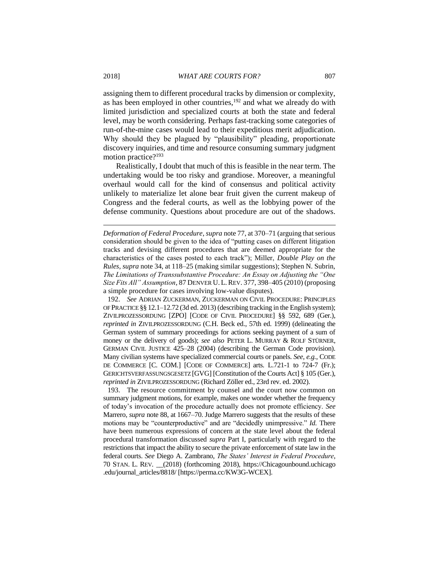assigning them to different procedural tracks by dimension or complexity, as has been employed in other countries,<sup>192</sup> and what we already do with limited jurisdiction and specialized courts at both the state and federal level, may be worth considering. Perhaps fast-tracking some categories of run-of-the-mine cases would lead to their expeditious merit adjudication. Why should they be plagued by "plausibility" pleading, proportionate discovery inquiries, and time and resource consuming summary judgment motion practice?<sup>193</sup>

Realistically, I doubt that much of this is feasible in the near term. The undertaking would be too risky and grandiose. Moreover, a meaningful overhaul would call for the kind of consensus and political activity unlikely to materialize let alone bear fruit given the current makeup of Congress and the federal courts, as well as the lobbying power of the defense community. Questions about procedure are out of the shadows.

192. *See* ADRIAN ZUCKERMAN, ZUCKERMAN ON CIVIL PROCEDURE: PRINCIPLES OF PRACTICE §§ 12.1–12.72 (3d ed. 2013) (describing tracking in the English system); ZIVILPROZESSORDUNG [ZPO] [CODE OF CIVIL PROCEDURE] §§ 592, 689 (Ger.), *reprinted in* ZIVILPROZESSORDUNG (C.H. Beck ed., 57th ed. 1999) (delineating the German system of summary proceedings for actions seeking payment of a sum of money or the delivery of goods); *see also* PETER L. MURRAY & ROLF STÜRNER, GERMAN CIVIL JUSTICE 425–28 (2004) (describing the German Code provision). Many civilian systems have specialized commercial courts or panels. *See, e.g.*, CODE DE COMMERCE [C. COM.] [CODE OF COMMERCE] arts. L.721-1 to 724-7 (Fr.); GERICHTSVERFASSUNGSGESETZ [GVG] [Constitution of the Courts Act] § 105 (Ger.), *reprinted in* ZIVILPROZESSORDUNG (Richard Zöller ed., 23rd rev. ed. 2002).

193. The resource commitment by counsel and the court now common on summary judgment motions, for example, makes one wonder whether the frequency of today's invocation of the procedure actually does not promote efficiency. *See*  Marrero, *supra* note 88, at 1667–70. Judge Marrero suggests that the results of these motions may be "counterproductive" and are "decidedly unimpressive." *Id.* There have been numerous expressions of concern at the state level about the federal procedural transformation discussed *supra* Part I, particularly with regard to the restrictions that impact the ability to secure the private enforcement of state law in the federal courts. *See* Diego A. Zambrano, *The States' Interest in Federal Procedure*, 70 STAN. L. REV. \_\_(2018) (forthcoming 2018), https://Chicagounbound.uchicago .edu/journal\_articles/8818/ [https://perma.cc/KW3G-WCEX].

*Deformation of Federal Procedure*, *supra* note 77, at 370–71 (arguing that serious consideration should be given to the idea of "putting cases on different litigation tracks and devising different procedures that are deemed appropriate for the characteristics of the cases posted to each track"); Miller, *Double Play on the Rules*, *supra* note 34, at 118–25 (making similar suggestions); Stephen N. Subrin, *The Limitations of Transsubstantive Procedure: An Essay on Adjusting the "One Size Fits All" Assumption*, 87 DENVER U.L.REV. 377, 398–405 (2010) (proposing a simple procedure for cases involving low-value disputes).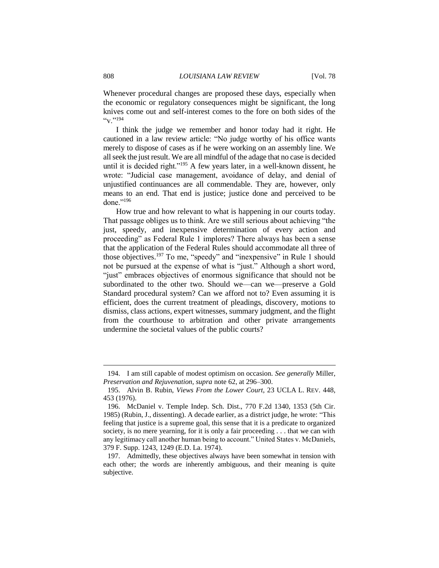Whenever procedural changes are proposed these days, especially when the economic or regulatory consequences might be significant, the long knives come out and self-interest comes to the fore on both sides of the  $``v$ . "194

I think the judge we remember and honor today had it right. He cautioned in a law review article: "No judge worthy of his office wants merely to dispose of cases as if he were working on an assembly line. We all seek the just result. We are all mindful of the adage that no case is decided until it is decided right."<sup>195</sup> A few years later, in a well-known dissent, he wrote: "Judicial case management, avoidance of delay, and denial of unjustified continuances are all commendable. They are, however, only means to an end. That end is justice; justice done and perceived to be done."<sup>196</sup>

How true and how relevant to what is happening in our courts today. That passage obliges us to think. Are we still serious about achieving "the just, speedy, and inexpensive determination of every action and proceeding" as Federal Rule 1 implores? There always has been a sense that the application of the Federal Rules should accommodate all three of those objectives.<sup>197</sup> To me, "speedy" and "inexpensive" in Rule 1 should not be pursued at the expense of what is "just." Although a short word, "just" embraces objectives of enormous significance that should not be subordinated to the other two. Should we—can we—preserve a Gold Standard procedural system? Can we afford not to? Even assuming it is efficient, does the current treatment of pleadings, discovery, motions to dismiss, class actions, expert witnesses, summary judgment, and the flight from the courthouse to arbitration and other private arrangements undermine the societal values of the public courts?

<sup>194.</sup> I am still capable of modest optimism on occasion. *See generally* Miller, *Preservation and Rejuvenation, supra* note 62, at 296–300.

<sup>195.</sup> Alvin B. Rubin, *Views From the Lower Court*, 23 UCLA L. REV. 448, 453 (1976).

<sup>196.</sup> McDaniel v. Temple Indep. Sch. Dist., 770 F.2d 1340, 1353 (5th Cir. 1985) (Rubin, J., dissenting). A decade earlier, as a district judge, he wrote: "This feeling that justice is a supreme goal, this sense that it is a predicate to organized society, is no mere yearning, for it is only a fair proceeding . . . that we can with any legitimacy call another human being to account." United States v. McDaniels, 379 F. Supp. 1243, 1249 (E.D. La. 1974).

<sup>197.</sup> Admittedly, these objectives always have been somewhat in tension with each other; the words are inherently ambiguous, and their meaning is quite subjective.